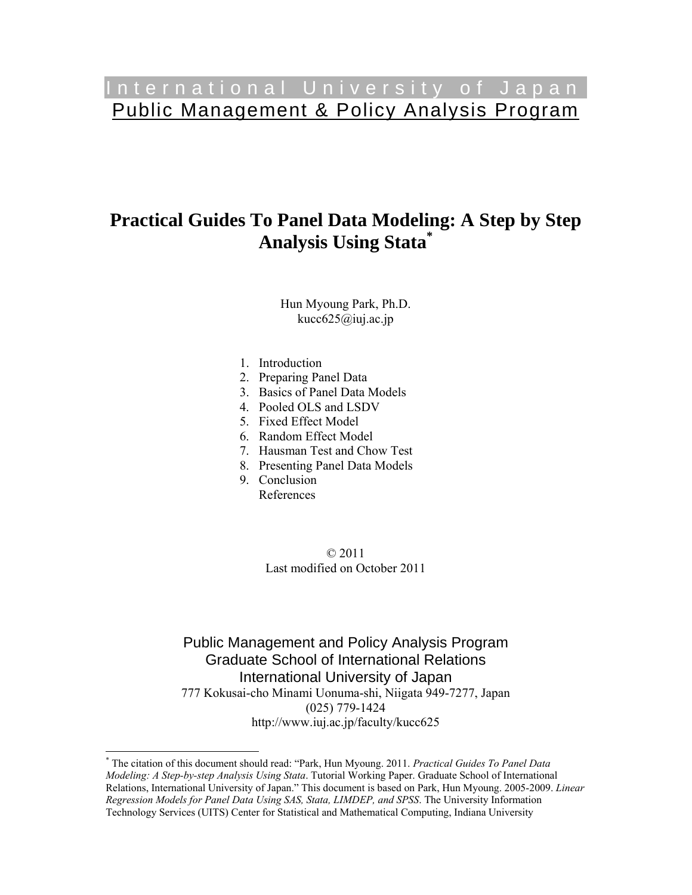# International University of Japan Public Management & Policy Analysis Program

# **Practical Guides To Panel Data Modeling: A Step by Step Analysis Using Stata\***

Hun Myoung Park, Ph.D. kucc $625@$ iuj.ac.jp

- 1. Introduction
- 2. Preparing Panel Data
- 3. Basics of Panel Data Models
- 4. Pooled OLS and LSDV
- 5. Fixed Effect Model
- 6. Random Effect Model
- 7. Hausman Test and Chow Test
- 8. Presenting Panel Data Models
- 9. Conclusion
	- References

 $\overline{a}$ 

© 2011 Last modified on October 2011

Public Management and Policy Analysis Program Graduate School of International Relations International University of Japan 777 Kokusai-cho Minami Uonuma-shi, Niigata 949-7277, Japan (025) 779-1424 http://www.iuj.ac.jp/faculty/kucc625

<sup>\*</sup> The citation of this document should read: "Park, Hun Myoung. 2011. *Practical Guides To Panel Data Modeling: A Step-by-step Analysis Using Stata*. Tutorial Working Paper. Graduate School of International Relations, International University of Japan." This document is based on Park, Hun Myoung. 2005-2009. *Linear Regression Models for Panel Data Using SAS, Stata, LIMDEP, and SPSS*. The University Information Technology Services (UITS) Center for Statistical and Mathematical Computing, Indiana University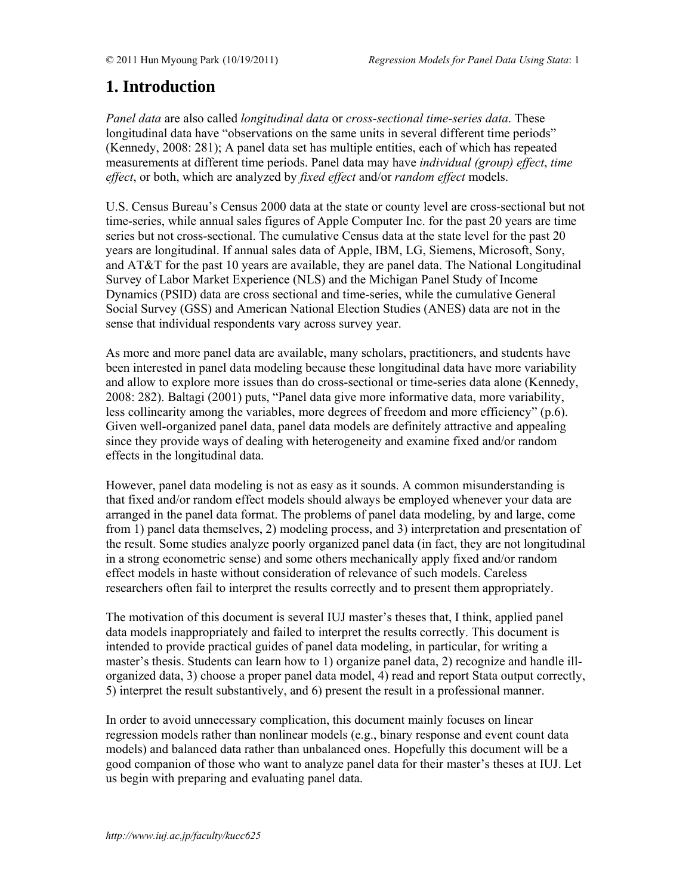# **1. Introduction**

*Panel data* are also called *longitudinal data* or *cross-sectional time-series data*. These longitudinal data have "observations on the same units in several different time periods" (Kennedy, 2008: 281); A panel data set has multiple entities, each of which has repeated measurements at different time periods. Panel data may have *individual (group) effect*, *time effect*, or both, which are analyzed by *fixed effect* and/or *random effect* models.

U.S. Census Bureau's Census 2000 data at the state or county level are cross-sectional but not time-series, while annual sales figures of Apple Computer Inc. for the past 20 years are time series but not cross-sectional. The cumulative Census data at the state level for the past 20 years are longitudinal. If annual sales data of Apple, IBM, LG, Siemens, Microsoft, Sony, and AT&T for the past 10 years are available, they are panel data. The National Longitudinal Survey of Labor Market Experience (NLS) and the Michigan Panel Study of Income Dynamics (PSID) data are cross sectional and time-series, while the cumulative General Social Survey (GSS) and American National Election Studies (ANES) data are not in the sense that individual respondents vary across survey year.

As more and more panel data are available, many scholars, practitioners, and students have been interested in panel data modeling because these longitudinal data have more variability and allow to explore more issues than do cross-sectional or time-series data alone (Kennedy, 2008: 282). Baltagi (2001) puts, "Panel data give more informative data, more variability, less collinearity among the variables, more degrees of freedom and more efficiency" (p.6). Given well-organized panel data, panel data models are definitely attractive and appealing since they provide ways of dealing with heterogeneity and examine fixed and/or random effects in the longitudinal data.

However, panel data modeling is not as easy as it sounds. A common misunderstanding is that fixed and/or random effect models should always be employed whenever your data are arranged in the panel data format. The problems of panel data modeling, by and large, come from 1) panel data themselves, 2) modeling process, and 3) interpretation and presentation of the result. Some studies analyze poorly organized panel data (in fact, they are not longitudinal in a strong econometric sense) and some others mechanically apply fixed and/or random effect models in haste without consideration of relevance of such models. Careless researchers often fail to interpret the results correctly and to present them appropriately.

The motivation of this document is several IUJ master's theses that, I think, applied panel data models inappropriately and failed to interpret the results correctly. This document is intended to provide practical guides of panel data modeling, in particular, for writing a master's thesis. Students can learn how to 1) organize panel data, 2) recognize and handle illorganized data, 3) choose a proper panel data model, 4) read and report Stata output correctly, 5) interpret the result substantively, and 6) present the result in a professional manner.

In order to avoid unnecessary complication, this document mainly focuses on linear regression models rather than nonlinear models (e.g., binary response and event count data models) and balanced data rather than unbalanced ones. Hopefully this document will be a good companion of those who want to analyze panel data for their master's theses at IUJ. Let us begin with preparing and evaluating panel data.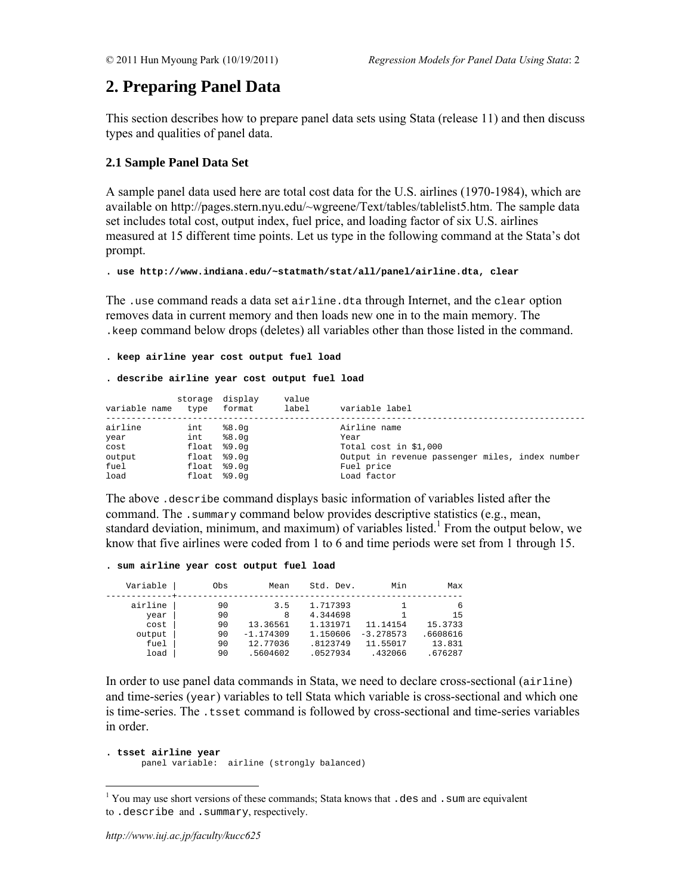# **2. Preparing Panel Data**

This section describes how to prepare panel data sets using Stata (release 11) and then discuss types and qualities of panel data.

# **2.1 Sample Panel Data Set**

A sample panel data used here are total cost data for the U.S. airlines (1970-1984), which are available on http://pages.stern.nyu.edu/~wgreene/Text/tables/tablelist5.htm. The sample data set includes total cost, output index, fuel price, and loading factor of six U.S. airlines measured at 15 different time points. Let us type in the following command at the Stata's dot prompt.

**. use http://www.indiana.edu/~statmath/stat/all/panel/airline.dta, clear** 

The .use command reads a data set airline.dta through Internet, and the clear option removes data in current memory and then loads new one in to the main memory. The .keep command below drops (deletes) all variables other than those listed in the command.

#### **. keep airline year cost output fuel load**

#### **. describe airline year cost output fuel load**

| variable name | storage display<br>type | format | value<br>label | variable label                                  |
|---------------|-------------------------|--------|----------------|-------------------------------------------------|
| airline       | int                     | 88.0q  |                | Airline name                                    |
| year          | int                     | 88.0q  |                | Year                                            |
| cost          | $float$ $$9.0q$         |        |                | Total cost in \$1,000                           |
| output        | $float$ $$9.0q$         |        |                | Output in revenue passenger miles, index number |
| fuel          | $float$ $$9.0q$         |        |                | Fuel price                                      |
| load          | $float$ $$9.0q$         |        |                | Load factor                                     |

The above .describe command displays basic information of variables listed after the command. The .summary command below provides descriptive statistics (e.g., mean, standard deviation, minimum, and maximum) of variables listed.<sup>1</sup> From the output below, we know that five airlines were coded from 1 to 6 and time periods were set from 1 through 15.

#### **. sum airline year cost output fuel load**

| Variable | Obs | Mean        | Std. Dev. | Min         | Max      |
|----------|-----|-------------|-----------|-------------|----------|
| airline  | 90  | 3.5         | 1.717393  |             | 6        |
| year     | 90  | 8           | 4.344698  |             | 15       |
| cost     | 90  | 13.36561    | 1.131971  | 11.14154    | 15.3733  |
| output   | 90  | $-1.174309$ | 1.150606  | $-3.278573$ | .6608616 |
| fuel     | 90  | 12.77036    | .8123749  | 11.55017    | 13.831   |
| load     | 90  | .5604602    | .0527934  | .432066     | .676287  |

In order to use panel data commands in Stata, we need to declare cross-sectional  $(airline)$ and time-series (year) variables to tell Stata which variable is cross-sectional and which one is time-series. The .tsset command is followed by cross-sectional and time-series variables in order.

```
. tsset airline year 
       panel variable: airline (strongly balanced)
```
<sup>&</sup>lt;sup>1</sup> You may use short versions of these commands; Stata knows that .des and .sum are equivalent to .describe and .summary, respectively.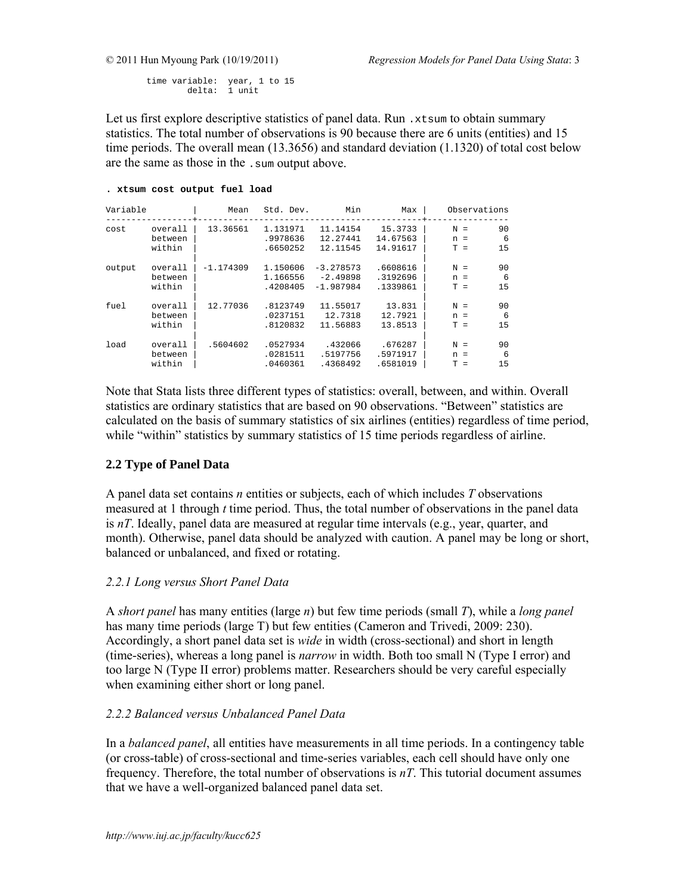time variable: year, 1 to 15 delta: 1 unit

Let us first explore descriptive statistics of panel data. Run  $.x$ tsum to obtain summary statistics. The total number of observations is 90 because there are 6 units (entities) and 15 time periods. The overall mean (13.3656) and standard deviation (1.1320) of total cost below are the same as those in the .sum output above.

## **. xtsum cost output fuel load**

| Variable |                              | Mean        | Std. Dev.                        | Min                                      | Max                              | Observations                                      |
|----------|------------------------------|-------------|----------------------------------|------------------------------------------|----------------------------------|---------------------------------------------------|
| cost     | overall<br>between<br>within | 13.36561    | 1.131971<br>.9978636<br>.6650252 | 11.14154<br>12.27441<br>12.11545         | 15.3733<br>14.67563<br>14.91617  | 90<br>$N =$<br>6<br>$n =$<br>15<br>$T =$          |
| output   | overall<br>between<br>within | $-1.174309$ | 1.150606<br>1.166556<br>.4208405 | $-3.278573$<br>$-2.49898$<br>$-1.987984$ | .6608616<br>.3192696<br>.1339861 | 90<br>$N =$<br>6<br>$n =$<br>15<br>$T =$          |
| fuel     | overall<br>between<br>within | 12.77036    | .8123749<br>.0237151<br>.8120832 | 11.55017<br>12.7318<br>11.56883          | 13.831<br>12.7921<br>13.8513     | 90<br>$N =$<br>6<br>$n =$<br>1.5<br>$T =$         |
| load     | overall<br>between<br>within | .5604602    | .0527934<br>.0281511<br>.0460361 | .432066<br>.5197756<br>.4368492          | .676287<br>.5971917<br>.6581019  | 90<br>$N =$<br>6<br>$n =$<br>15<br>T.<br>$\equiv$ |

Note that Stata lists three different types of statistics: overall, between, and within. Overall statistics are ordinary statistics that are based on 90 observations. "Between" statistics are calculated on the basis of summary statistics of six airlines (entities) regardless of time period, while "within" statistics by summary statistics of 15 time periods regardless of airline.

# **2.2 Type of Panel Data**

A panel data set contains *n* entities or subjects, each of which includes *T* observations measured at 1 through *t* time period. Thus, the total number of observations in the panel data is *nT*. Ideally, panel data are measured at regular time intervals (e.g., year, quarter, and month). Otherwise, panel data should be analyzed with caution. A panel may be long or short, balanced or unbalanced, and fixed or rotating.

# *2.2.1 Long versus Short Panel Data*

A *short panel* has many entities (large *n*) but few time periods (small *T*), while a *long panel* has many time periods (large T) but few entities (Cameron and Trivedi, 2009: 230). Accordingly, a short panel data set is *wide* in width (cross-sectional) and short in length (time-series), whereas a long panel is *narrow* in width. Both too small N (Type I error) and too large N (Type II error) problems matter. Researchers should be very careful especially when examining either short or long panel.

# *2.2.2 Balanced versus Unbalanced Panel Data*

In a *balanced panel*, all entities have measurements in all time periods. In a contingency table (or cross-table) of cross-sectional and time-series variables, each cell should have only one frequency. Therefore, the total number of observations is *nT*. This tutorial document assumes that we have a well-organized balanced panel data set.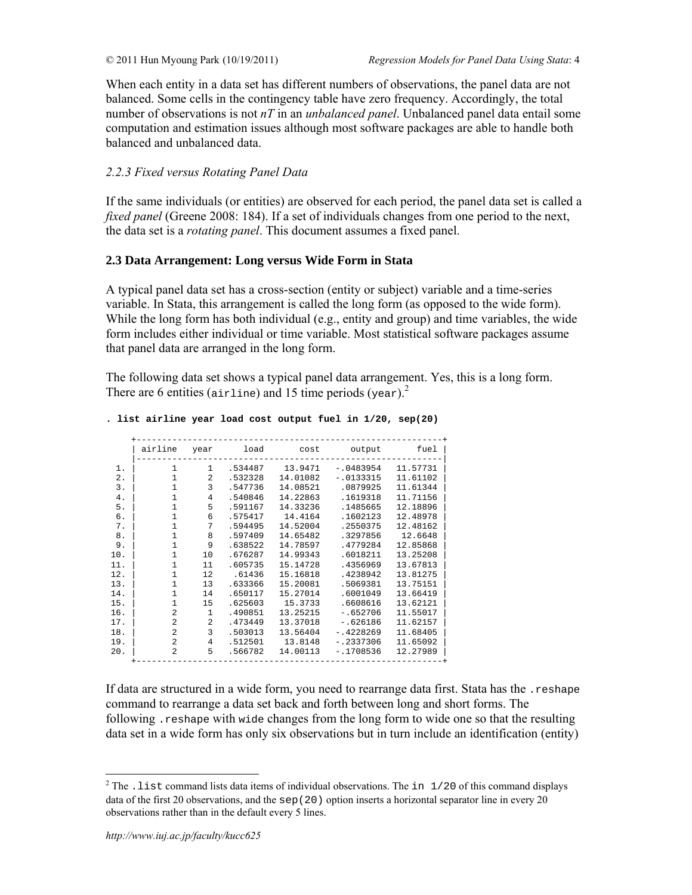When each entity in a data set has different numbers of observations, the panel data are not balanced. Some cells in the contingency table have zero frequency. Accordingly, the total number of observations is not *nT* in an *unbalanced panel*. Unbalanced panel data entail some computation and estimation issues although most software packages are able to handle both balanced and unbalanced data.

# *2.2.3 Fixed versus Rotating Panel Data*

If the same individuals (or entities) are observed for each period, the panel data set is called a *fixed panel* (Greene 2008: 184). If a set of individuals changes from one period to the next, the data set is a *rotating panel*. This document assumes a fixed panel.

# **2.3 Data Arrangement: Long versus Wide Form in Stata**

A typical panel data set has a cross-section (entity or subject) variable and a time-series variable. In Stata, this arrangement is called the long form (as opposed to the wide form). While the long form has both individual (e.g., entity and group) and time variables, the wide form includes either individual or time variable. Most statistical software packages assume that panel data are arranged in the long form.

The following data set shows a typical panel data arrangement. Yes, this is a long form. There are 6 entities (airline) and 15 time periods (year).<sup>2</sup>

|  |  |  |  |  |  |  |  |  |  | . list airline year load cost output fuel in 1/20, sep(20) |  |
|--|--|--|--|--|--|--|--|--|--|------------------------------------------------------------|--|
|--|--|--|--|--|--|--|--|--|--|------------------------------------------------------------|--|

|       | airline        | year           | load    | cost     | output      | fuel     |
|-------|----------------|----------------|---------|----------|-------------|----------|
| 1.    | $\mathbf{1}$   | $\mathbf{1}$   | .534487 | 13.9471  | $-.0483954$ | 11.57731 |
| $2$ . | $\mathbf{1}$   | $\mathfrak{D}$ | .532328 | 14.01082 | $-.0133315$ | 11.61102 |
| 3.    | $\mathbf{1}$   | 3              | .547736 | 14.08521 | .0879925    | 11.61344 |
| 4.    | $\mathbf{1}$   | $\overline{4}$ | .540846 | 14.22863 | .1619318    | 11.71156 |
| 5.    | $\mathbf{1}$   | 5              | .591167 | 14.33236 | .1485665    | 12.18896 |
| б.    | $\mathbf{1}$   | 6              | .575417 | 14.4164  | .1602123    | 12.48978 |
| 7.    | $\mathbf{1}$   | 7              | .594495 | 14.52004 | .2550375    | 12.48162 |
| 8.    | $\mathbf{1}$   | 8              | .597409 | 14.65482 | .3297856    | 12.6648  |
| 9.    | $\mathbf{1}$   | 9              | .638522 | 14.78597 | .4779284    | 12.85868 |
| 10.   | 1              | 10             | .676287 | 14.99343 | .6018211    | 13.25208 |
| 11.   | $\mathbf{1}$   | 11             | .605735 | 15.14728 | .4356969    | 13.67813 |
| 12.   | $\mathbf{1}$   | 12             | .61436  | 15.16818 | .4238942    | 13.81275 |
| 13.   | $\mathbf{1}$   | 13             | .633366 | 15.20081 | .5069381    | 13.75151 |
| 14.   | $\mathbf{1}$   | 14             | .650117 | 15.27014 | .6001049    | 13.66419 |
| 15.   | $\mathbf{1}$   | 15             | .625603 | 15.3733  | .6608616    | 13.62121 |
| 16.   | $\overline{a}$ | $\mathbf{1}$   | .490851 | 13.25215 | $-1652706$  | 11.55017 |
| 17.   | $\overline{a}$ | $\mathfrak{D}$ | .473449 | 13.37018 | $-.626186$  | 11.62157 |
| 18.   | $\overline{a}$ | 3              | .503013 | 13.56404 | $-.4228269$ | 11.68405 |
| 19.   | 2              | 4              | .512501 | 13.8148  | $-.2337306$ | 11.65092 |
| 20.   | $\overline{a}$ | 5              | .566782 | 14.00113 | $-1708536$  | 12.27989 |

If data are structured in a wide form, you need to rearrange data first. Stata has the .reshape command to rearrange a data set back and forth between long and short forms. The following .reshape with wide changes from the long form to wide one so that the resulting data set in a wide form has only six observations but in turn include an identification (entity)

<sup>&</sup>lt;sup>2</sup> The . list command lists data items of individual observations. The in  $1/20$  of this command displays data of the first 20 observations, and the sep(20) option inserts a horizontal separator line in every 20 observations rather than in the default every 5 lines.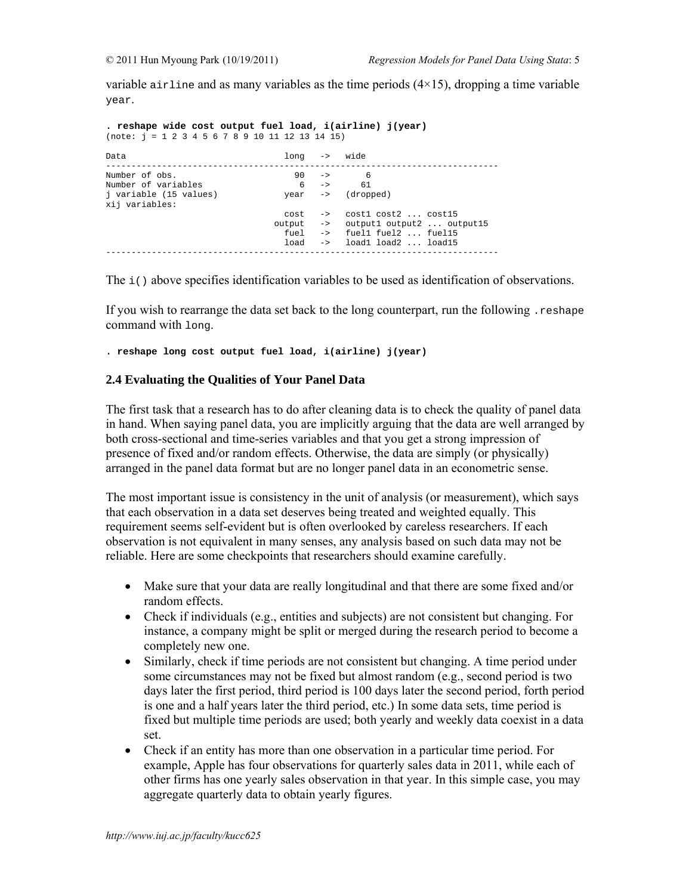variable airline and as many variables as the time periods  $(4\times15)$ , dropping a time variable year.

**. reshape wide cost output fuel load, i(airline) j(year)**  (note: j = 1 2 3 4 5 6 7 8 9 10 11 12 13 14 15) Data long -> wide ----------------------------------------------------------------------------- Number of obs. 90 -> 6 Number of variables 6 -> 61 Number of variables<br>
j variable (15 values) year -> (dropped) xij variables: cost -> cost1 cost2 ... cost15 output -> output1 output2 ... output15 fuel -> fuel1 fuel2 ... fuel15 load -> load1 load2 ... load15 -----------------------------------------------------------------------------

The i() above specifies identification variables to be used as identification of observations.

If you wish to rearrange the data set back to the long counterpart, run the following .reshape command with long.

**. reshape long cost output fuel load, i(airline) j(year)** 

### **2.4 Evaluating the Qualities of Your Panel Data**

The first task that a research has to do after cleaning data is to check the quality of panel data in hand. When saying panel data, you are implicitly arguing that the data are well arranged by both cross-sectional and time-series variables and that you get a strong impression of presence of fixed and/or random effects. Otherwise, the data are simply (or physically) arranged in the panel data format but are no longer panel data in an econometric sense.

The most important issue is consistency in the unit of analysis (or measurement), which says that each observation in a data set deserves being treated and weighted equally. This requirement seems self-evident but is often overlooked by careless researchers. If each observation is not equivalent in many senses, any analysis based on such data may not be reliable. Here are some checkpoints that researchers should examine carefully.

- Make sure that your data are really longitudinal and that there are some fixed and/or random effects.
- Check if individuals (e.g., entities and subjects) are not consistent but changing. For instance, a company might be split or merged during the research period to become a completely new one.
- Similarly, check if time periods are not consistent but changing. A time period under some circumstances may not be fixed but almost random (e.g., second period is two days later the first period, third period is 100 days later the second period, forth period is one and a half years later the third period, etc.) In some data sets, time period is fixed but multiple time periods are used; both yearly and weekly data coexist in a data set.
- Check if an entity has more than one observation in a particular time period. For example, Apple has four observations for quarterly sales data in 2011, while each of other firms has one yearly sales observation in that year. In this simple case, you may aggregate quarterly data to obtain yearly figures.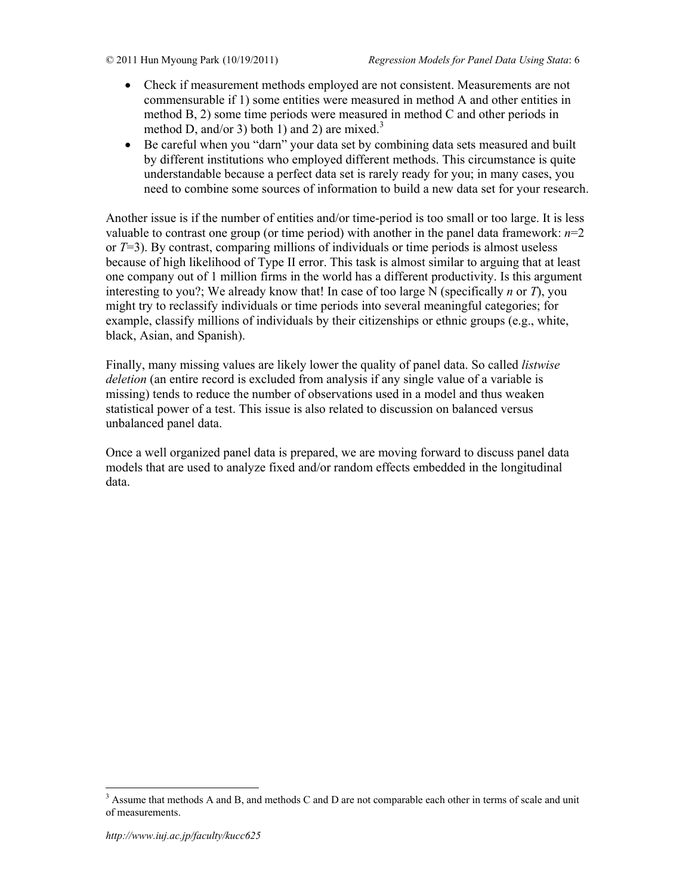- Check if measurement methods employed are not consistent. Measurements are not commensurable if 1) some entities were measured in method A and other entities in method B, 2) some time periods were measured in method C and other periods in method D, and/or 3) both 1) and 2) are mixed.<sup>3</sup>
- Be careful when you "darn" your data set by combining data sets measured and built by different institutions who employed different methods. This circumstance is quite understandable because a perfect data set is rarely ready for you; in many cases, you need to combine some sources of information to build a new data set for your research.

Another issue is if the number of entities and/or time-period is too small or too large. It is less valuable to contrast one group (or time period) with another in the panel data framework:  $n=2$ or *T*=3). By contrast, comparing millions of individuals or time periods is almost useless because of high likelihood of Type II error. This task is almost similar to arguing that at least one company out of 1 million firms in the world has a different productivity. Is this argument interesting to you?; We already know that! In case of too large N (specifically *n* or *T*), you might try to reclassify individuals or time periods into several meaningful categories; for example, classify millions of individuals by their citizenships or ethnic groups (e.g., white, black, Asian, and Spanish).

Finally, many missing values are likely lower the quality of panel data. So called *listwise deletion* (an entire record is excluded from analysis if any single value of a variable is missing) tends to reduce the number of observations used in a model and thus weaken statistical power of a test. This issue is also related to discussion on balanced versus unbalanced panel data.

Once a well organized panel data is prepared, we are moving forward to discuss panel data models that are used to analyze fixed and/or random effects embedded in the longitudinal data.

<sup>&</sup>lt;sup>3</sup> Assume that methods A and B, and methods C and D are not comparable each other in terms of scale and unit of measurements.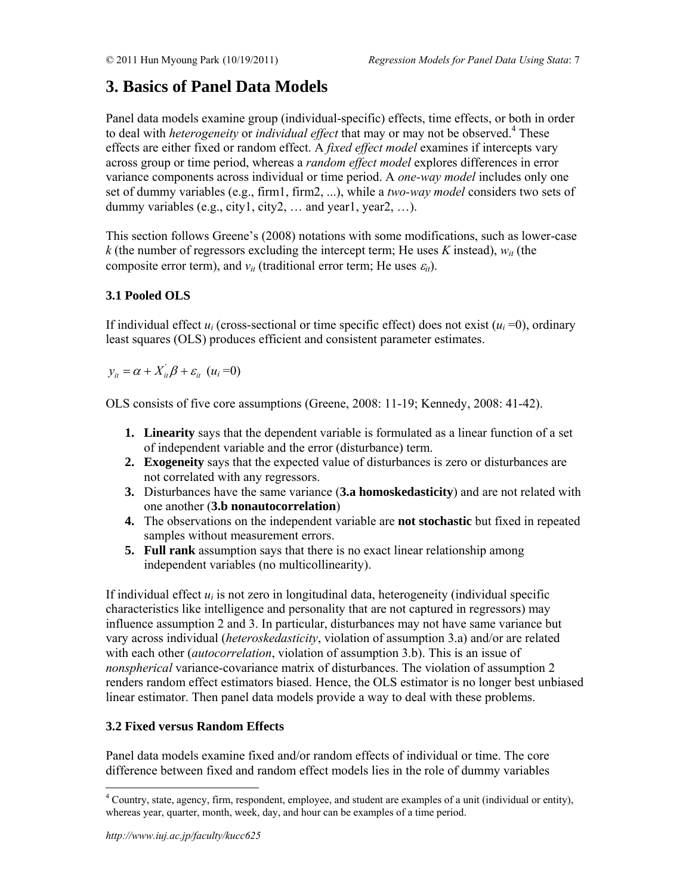# **3. Basics of Panel Data Models**

Panel data models examine group (individual-specific) effects, time effects, or both in order to deal with *heterogeneity* or *individual effect* that may or may not be observed.<sup>4</sup> These effects are either fixed or random effect. A *fixed effect model* examines if intercepts vary across group or time period, whereas a *random effect model* explores differences in error variance components across individual or time period. A *one-way model* includes only one set of dummy variables (e.g., firm1, firm2, ...), while a *two-way model* considers two sets of dummy variables (e.g., city1, city2, ... and year1, year2, ...).

This section follows Greene's (2008) notations with some modifications, such as lower-case  $k$  (the number of regressors excluding the intercept term; He uses *K* instead),  $w_{it}$  (the composite error term), and  $v_{it}$  (traditional error term; He uses  $\varepsilon_{it}$ ).

# **3.1 Pooled OLS**

If individual effect  $u_i$  (cross-sectional or time specific effect) does not exist  $(u_i = 0)$ , ordinary least squares (OLS) produces efficient and consistent parameter estimates.

 $y_{ii} = \alpha + X_{ii}'\beta + \varepsilon_{ii}$  (*u<sub>i</sub>* =0)

OLS consists of five core assumptions (Greene, 2008: 11-19; Kennedy, 2008: 41-42).

- **1. Linearity** says that the dependent variable is formulated as a linear function of a set of independent variable and the error (disturbance) term.
- **2. Exogeneity** says that the expected value of disturbances is zero or disturbances are not correlated with any regressors.
- **3.** Disturbances have the same variance (**3.a homoskedasticity**) and are not related with one another (**3.b nonautocorrelation**)
- **4.** The observations on the independent variable are **not stochastic** but fixed in repeated samples without measurement errors.
- **5. Full rank** assumption says that there is no exact linear relationship among independent variables (no multicollinearity).

If individual effect *ui* is not zero in longitudinal data, heterogeneity (individual specific characteristics like intelligence and personality that are not captured in regressors) may influence assumption 2 and 3. In particular, disturbances may not have same variance but vary across individual (*heteroskedasticity*, violation of assumption 3.a) and/or are related with each other (*autocorrelation*, violation of assumption 3.b). This is an issue of *nonspherical* variance-covariance matrix of disturbances. The violation of assumption 2 renders random effect estimators biased. Hence, the OLS estimator is no longer best unbiased linear estimator. Then panel data models provide a way to deal with these problems.

# **3.2 Fixed versus Random Effects**

Panel data models examine fixed and/or random effects of individual or time. The core difference between fixed and random effect models lies in the role of dummy variables

<sup>&</sup>lt;sup>4</sup> Country, state, agency, firm, respondent, employee, and student are examples of a unit (individual or entity), whereas year, quarter, month, week, day, and hour can be examples of a time period.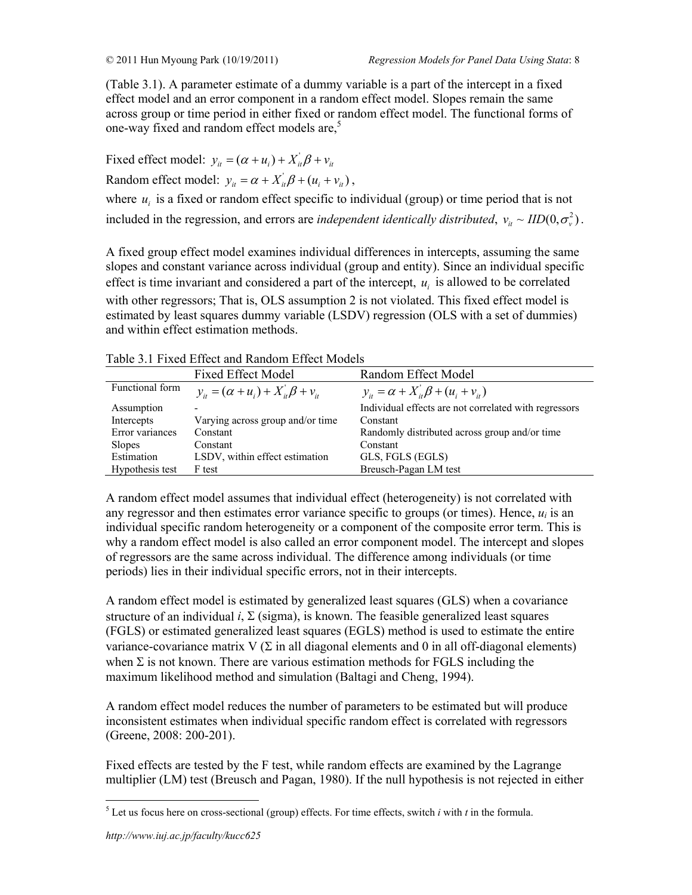(Table 3.1). A parameter estimate of a dummy variable is a part of the intercept in a fixed effect model and an error component in a random effect model. Slopes remain the same across group or time period in either fixed or random effect model. The functional forms of one-way fixed and random effect models are,<sup>5</sup>

Fixed effect model:  $y_{it} = (\alpha + u_i) + X_{it}^{\dagger} \beta + v_{it}$ Random effect model:  $y_{it} = \alpha + X_{it} \beta + (u_i + v_{it})$ , where  $u_i$  is a fixed or random effect specific to individual (group) or time period that is not included in the regression, and errors are *independent identically distributed*,  $v_u \sim IID(0, \sigma_v^2)$ .

A fixed group effect model examines individual differences in intercepts, assuming the same slopes and constant variance across individual (group and entity). Since an individual specific effect is time invariant and considered a part of the intercept,  $u_i$  is allowed to be correlated with other regressors; That is, OLS assumption 2 is not violated. This fixed effect model is estimated by least squares dummy variable (LSDV) regression (OLS with a set of dummies) and within effect estimation methods.

| <b>Fixed Effect Model</b><br>Random Effect Model<br>Functional form<br>$y_{ii} = \alpha + X_{ii}'\beta + (u_i + v_{ii})$<br>$y_{it} = (\alpha + u_i) + X_{it}^{\dagger} \beta + v_{it}$<br>Individual effects are not correlated with regressors<br>Assumption<br>Varying across group and/or time<br>Intercepts<br>Constant<br>Error variances<br>Randomly distributed across group and/or time<br>Constant<br>Slopes<br>Constant<br>Constant<br>Estimation<br>LSDV, within effect estimation<br>GLS, FGLS (EGLS)<br>Breusch-Pagan LM test<br>Hypothesis test<br>F test | Tuble 9.1 T IACQ ETICC and INHIGHT ETICC INOUGH |  |
|--------------------------------------------------------------------------------------------------------------------------------------------------------------------------------------------------------------------------------------------------------------------------------------------------------------------------------------------------------------------------------------------------------------------------------------------------------------------------------------------------------------------------------------------------------------------------|-------------------------------------------------|--|
|                                                                                                                                                                                                                                                                                                                                                                                                                                                                                                                                                                          |                                                 |  |
|                                                                                                                                                                                                                                                                                                                                                                                                                                                                                                                                                                          |                                                 |  |
|                                                                                                                                                                                                                                                                                                                                                                                                                                                                                                                                                                          |                                                 |  |
|                                                                                                                                                                                                                                                                                                                                                                                                                                                                                                                                                                          |                                                 |  |
|                                                                                                                                                                                                                                                                                                                                                                                                                                                                                                                                                                          |                                                 |  |
|                                                                                                                                                                                                                                                                                                                                                                                                                                                                                                                                                                          |                                                 |  |
|                                                                                                                                                                                                                                                                                                                                                                                                                                                                                                                                                                          |                                                 |  |
|                                                                                                                                                                                                                                                                                                                                                                                                                                                                                                                                                                          |                                                 |  |

Table 3.1 Fixed Effect and Random Effect Models

A random effect model assumes that individual effect (heterogeneity) is not correlated with any regressor and then estimates error variance specific to groups (or times). Hence,  $u_i$  is an individual specific random heterogeneity or a component of the composite error term. This is why a random effect model is also called an error component model. The intercept and slopes of regressors are the same across individual. The difference among individuals (or time periods) lies in their individual specific errors, not in their intercepts.

A random effect model is estimated by generalized least squares (GLS) when a covariance structure of an individual  $i$ ,  $\Sigma$  (sigma), is known. The feasible generalized least squares (FGLS) or estimated generalized least squares (EGLS) method is used to estimate the entire variance-covariance matrix  $V(\Sigma)$  in all diagonal elements and 0 in all off-diagonal elements) when  $\Sigma$  is not known. There are various estimation methods for FGLS including the maximum likelihood method and simulation (Baltagi and Cheng, 1994).

A random effect model reduces the number of parameters to be estimated but will produce inconsistent estimates when individual specific random effect is correlated with regressors (Greene, 2008: 200-201).

Fixed effects are tested by the F test, while random effects are examined by the Lagrange multiplier (LM) test (Breusch and Pagan, 1980). If the null hypothesis is not rejected in either

 5 Let us focus here on cross-sectional (group) effects. For time effects, switch *i* with *t* in the formula.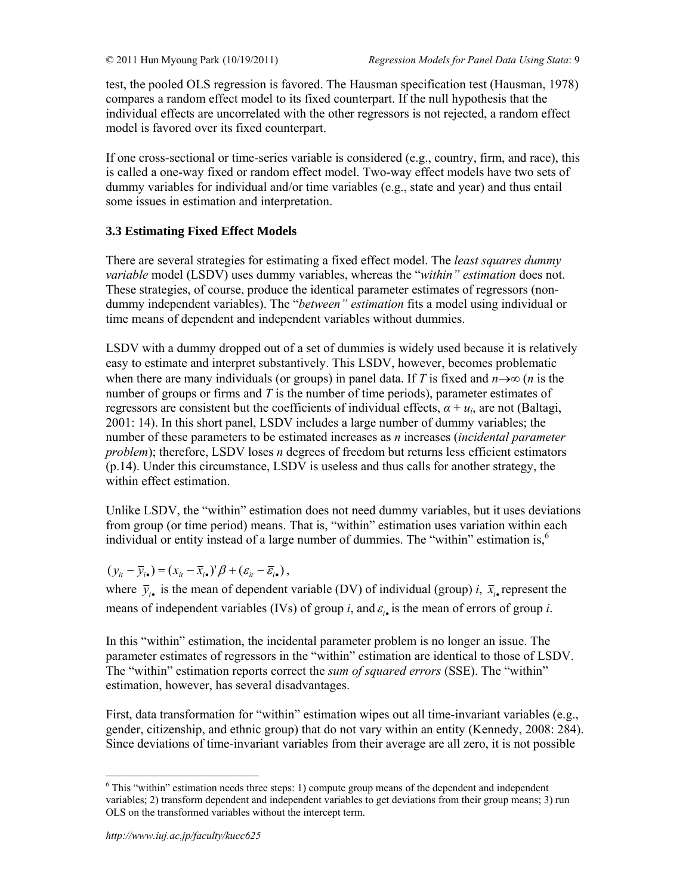test, the pooled OLS regression is favored. The Hausman specification test (Hausman, 1978) compares a random effect model to its fixed counterpart. If the null hypothesis that the individual effects are uncorrelated with the other regressors is not rejected, a random effect model is favored over its fixed counterpart.

If one cross-sectional or time-series variable is considered (e.g., country, firm, and race), this is called a one-way fixed or random effect model. Two-way effect models have two sets of dummy variables for individual and/or time variables (e.g., state and year) and thus entail some issues in estimation and interpretation.

# **3.3 Estimating Fixed Effect Models**

There are several strategies for estimating a fixed effect model. The *least squares dummy variable* model (LSDV) uses dummy variables, whereas the "*within" estimation* does not. These strategies, of course, produce the identical parameter estimates of regressors (nondummy independent variables). The "*between" estimation* fits a model using individual or time means of dependent and independent variables without dummies.

LSDV with a dummy dropped out of a set of dummies is widely used because it is relatively easy to estimate and interpret substantively. This LSDV, however, becomes problematic when there are many individuals (or groups) in panel data. If *T* is fixed and  $n \rightarrow \infty$  (*n* is the number of groups or firms and *T* is the number of time periods), parameter estimates of regressors are consistent but the coefficients of individual effects,  $\alpha + u_i$ , are not (Baltagi, 2001: 14). In this short panel, LSDV includes a large number of dummy variables; the number of these parameters to be estimated increases as *n* increases (*incidental parameter problem*); therefore, LSDV loses *n* degrees of freedom but returns less efficient estimators (p.14). Under this circumstance, LSDV is useless and thus calls for another strategy, the within effect estimation.

Unlike LSDV, the "within" estimation does not need dummy variables, but it uses deviations from group (or time period) means. That is, "within" estimation uses variation within each individual or entity instead of a large number of dummies. The "within" estimation is, $<sup>6</sup>$ </sup>

$$
(y_{it}-\overline{y}_{i\bullet})=(x_{it}-\overline{x}_{i\bullet})'\beta+(\varepsilon_{it}-\overline{\varepsilon}_{i\bullet}),
$$

where  $\bar{y}_i$  is the mean of dependent variable (DV) of individual (group) *i*,  $\bar{x}_i$  represent the means of independent variables (IVs) of group *i*, and  $\varepsilon_i$ , is the mean of errors of group *i*.

In this "within" estimation, the incidental parameter problem is no longer an issue. The parameter estimates of regressors in the "within" estimation are identical to those of LSDV. The "within" estimation reports correct the *sum of squared errors* (SSE). The "within" estimation, however, has several disadvantages.

First, data transformation for "within" estimation wipes out all time-invariant variables (e.g., gender, citizenship, and ethnic group) that do not vary within an entity (Kennedy, 2008: 284). Since deviations of time-invariant variables from their average are all zero, it is not possible

 $\overline{a}$  $6$  This "within" estimation needs three steps: 1) compute group means of the dependent and independent variables; 2) transform dependent and independent variables to get deviations from their group means; 3) run OLS on the transformed variables without the intercept term.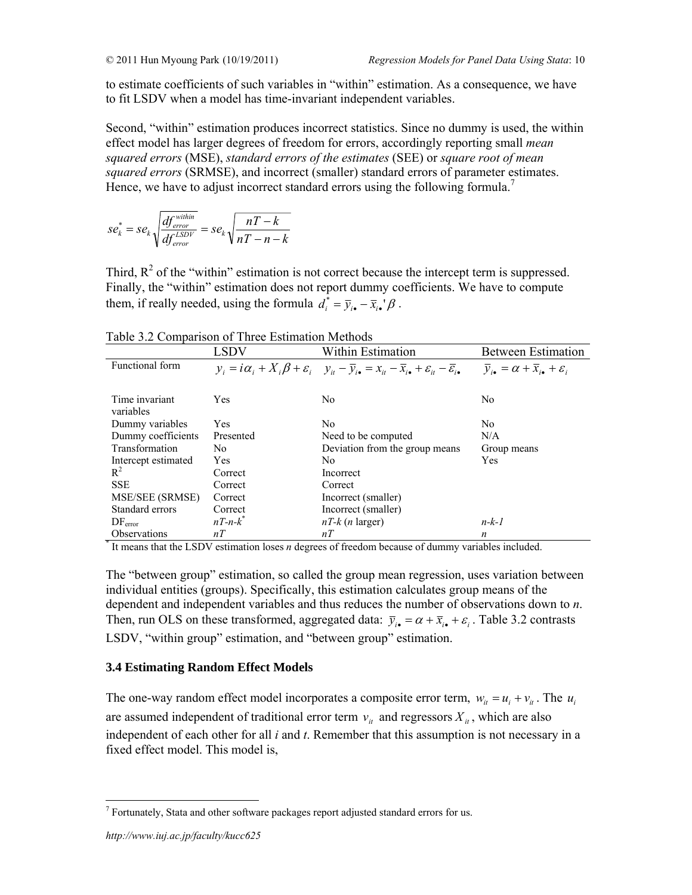to estimate coefficients of such variables in "within" estimation. As a consequence, we have to fit LSDV when a model has time-invariant independent variables.

Second, "within" estimation produces incorrect statistics. Since no dummy is used, the within effect model has larger degrees of freedom for errors, accordingly reporting small *mean squared errors* (MSE), *standard errors of the estimates* (SEE) or *square root of mean squared errors* (SRMSE), and incorrect (smaller) standard errors of parameter estimates. Hence, we have to adjust incorrect standard errors using the following formula.<sup>7</sup>

$$
se_k^* = se_k \sqrt{\frac{df_{error}^{within}}{df_{error}^{LSDV}}} = se_k \sqrt{\frac{nT - k}{nT - n - k}}
$$

Third,  $R^2$  of the "within" estimation is not correct because the intercept term is suppressed. Finally, the "within" estimation does not report dummy coefficients. We have to compute them, if really needed, using the formula  $d_i^* = \overline{y}_{i \bullet} - \overline{x}_{i \bullet}' \beta$ .

|                       | $10010$ $\mu$ $\approx$ Companion of Three Equimation means<br><b>LSDV</b> | Within Estimation                                                                                                                                                         | <b>Between Estimation</b>                                                    |
|-----------------------|----------------------------------------------------------------------------|---------------------------------------------------------------------------------------------------------------------------------------------------------------------------|------------------------------------------------------------------------------|
| Functional form       |                                                                            | $y_i = i\alpha_i + X_i\beta + \varepsilon_i$ $y_{it} - \overline{y}_{i\bullet} = x_{it} - \overline{x}_{i\bullet} + \varepsilon_{it} - \overline{\varepsilon}_{i\bullet}$ | $\overline{y}_{i\bullet} = \alpha + \overline{x}_{i\bullet} + \varepsilon_i$ |
|                       |                                                                            |                                                                                                                                                                           |                                                                              |
| Time invariant        | <b>Yes</b>                                                                 | N <sub>0</sub>                                                                                                                                                            | N <sub>0</sub>                                                               |
| variables             |                                                                            |                                                                                                                                                                           |                                                                              |
| Dummy variables       | Yes                                                                        | N <sub>0</sub>                                                                                                                                                            | N <sub>0</sub>                                                               |
| Dummy coefficients    | Presented                                                                  | Need to be computed                                                                                                                                                       | N/A                                                                          |
| <b>Transformation</b> | No.                                                                        | Deviation from the group means                                                                                                                                            | Group means                                                                  |
| Intercept estimated   | Yes.                                                                       | No.                                                                                                                                                                       | Yes                                                                          |
| $R^2$                 | Correct                                                                    | Incorrect                                                                                                                                                                 |                                                                              |
| <b>SSE</b>            | Correct                                                                    | Correct                                                                                                                                                                   |                                                                              |
| MSE/SEE (SRMSE)       | Correct                                                                    | Incorrect (smaller)                                                                                                                                                       |                                                                              |
| Standard errors       | Correct                                                                    | Incorrect (smaller)                                                                                                                                                       |                                                                              |
| $DF_{error}$          | $nT-n-k^*$                                                                 | $nT-k$ ( <i>n</i> larger)                                                                                                                                                 | $n-k-1$                                                                      |
| <b>Observations</b>   | nT                                                                         | nT                                                                                                                                                                        | $\boldsymbol{n}$                                                             |

Table 3.2 Comparison of Three Estimation Methods

\* It means that the LSDV estimation loses *n* degrees of freedom because of dummy variables included.

The "between group" estimation, so called the group mean regression, uses variation between individual entities (groups). Specifically, this estimation calculates group means of the dependent and independent variables and thus reduces the number of observations down to *n*. Then, run OLS on these transformed, aggregated data:  $\bar{y}_i = \alpha + \bar{x}_i + \varepsilon_i$ . Table 3.2 contrasts LSDV, "within group" estimation, and "between group" estimation.

# **3.4 Estimating Random Effect Models**

The one-way random effect model incorporates a composite error term,  $w_i = u_i + v_i$ . The  $u_i$ are assumed independent of traditional error term  $v_{it}$  and regressors  $X_{it}$ , which are also independent of each other for all *i* and *t*. Remember that this assumption is not necessary in a fixed effect model. This model is,

 $7$  Fortunately, Stata and other software packages report adjusted standard errors for us.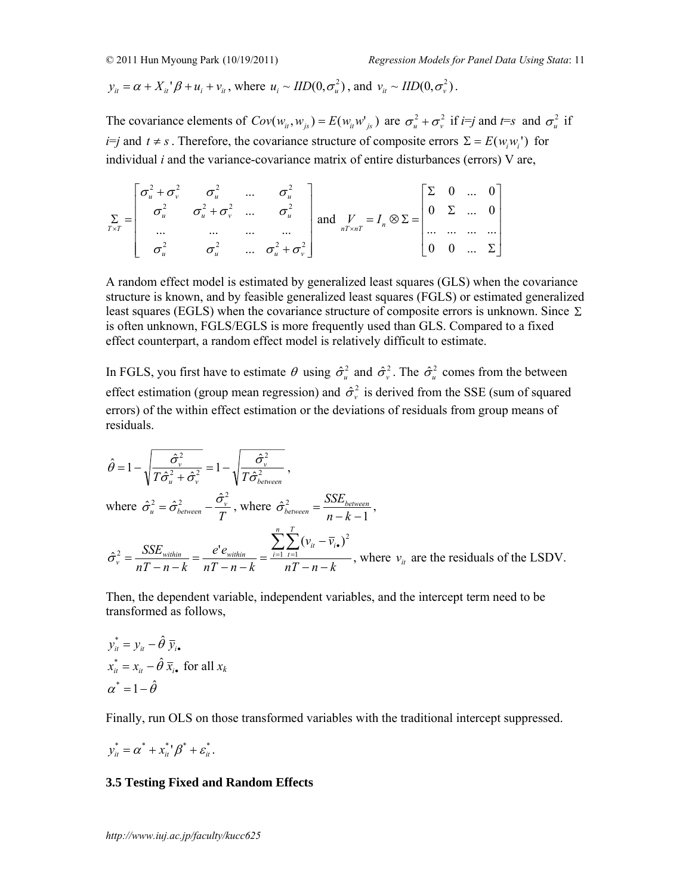$$
y_{ii} = \alpha + X_{ii}'\beta + u_i + v_{ii}
$$
, where  $u_i \sim IID(0, \sigma_u^2)$ , and  $v_{ii} \sim IID(0, \sigma_v^2)$ .

The covariance elements of  $Cov(w_{ii}, w_{js}) = E(w_{ii}w'_{js})$  are  $\sigma_u^2 + \sigma_v^2$  if *i*=*j* and  $t = s$  and  $\sigma_u^2$  if *i*=*j* and *t* ≠ *s*. Therefore, the covariance structure of composite errors  $\Sigma = E(w_i w_i')$  for individual *i* and the variance-covariance matrix of entire disturbances (errors) V are,

$$
\sum_{T \times T} = \begin{bmatrix} \sigma_u^2 + \sigma_v^2 & \sigma_u^2 & \dots & \sigma_u^2 \\ \sigma_u^2 & \sigma_u^2 + \sigma_v^2 & \dots & \sigma_u^2 \\ \dots & \dots & \dots & \dots \\ \sigma_u^2 & \sigma_u^2 & \dots & \sigma_u^2 + \sigma_v^2 \end{bmatrix} \text{ and } \sum_{nT \times nT} = I_n \otimes \Sigma = \begin{bmatrix} \Sigma & 0 & \dots & 0 \\ 0 & \Sigma & \dots & 0 \\ \dots & \dots & \dots & \dots \\ \dots & \dots & \dots & \dots \\ 0 & 0 & \dots & \Sigma \end{bmatrix}
$$

A random effect model is estimated by generalized least squares (GLS) when the covariance structure is known, and by feasible generalized least squares (FGLS) or estimated generalized least squares (EGLS) when the covariance structure of composite errors is unknown. Since  $\Sigma$ is often unknown, FGLS/EGLS is more frequently used than GLS. Compared to a fixed effect counterpart, a random effect model is relatively difficult to estimate.

In FGLS, you first have to estimate  $\theta$  using  $\hat{\sigma}_u^2$  and  $\hat{\sigma}_v^2$ . The  $\hat{\sigma}_u^2$  comes from the between effect estimation (group mean regression) and  $\hat{\sigma}_{v}^{2}$  is derived from the SSE (sum of squared errors) of the within effect estimation or the deviations of residuals from group means of residuals.

$$
\hat{\theta} = 1 - \sqrt{\frac{\hat{\sigma}_{v}^{2}}{T\hat{\sigma}_{u}^{2} + \hat{\sigma}_{v}^{2}}} = 1 - \sqrt{\frac{\hat{\sigma}_{v}^{2}}{T\hat{\sigma}_{between}^{2}}},
$$
\nwhere  $\hat{\sigma}_{u}^{2} = \hat{\sigma}_{between}^{2} - \frac{\hat{\sigma}_{v}^{2}}{T}$ , where  $\hat{\sigma}_{between}^{2} = \frac{SSE_{between}}{n - k - 1}$ ,  
\n
$$
\hat{\sigma}_{v}^{2} = \frac{SSE_{within}}{nT - n - k} = \frac{e^{i}e_{within}}{nT - n - k} = \frac{\sum_{i=1}^{n} \sum_{t=1}^{T} (v_{it} - \bar{v}_{i\bullet})^{2}}{nT - n - k}
$$
, where  $v_{it}$  are the residuals of the LSDV.

Then, the dependent variable, independent variables, and the intercept term need to be transformed as follows,

$$
y_{it}^{*} = y_{it} - \hat{\theta} \, \overline{y}_{i\bullet}
$$
  

$$
x_{it}^{*} = x_{it} - \hat{\theta} \, \overline{x}_{i\bullet} \text{ for all } x_{k}
$$
  

$$
\alpha^{*} = 1 - \hat{\theta}
$$

Finally, run OLS on those transformed variables with the traditional intercept suppressed.

$$
y_{it}^* = \alpha^* + x_{it}^* / \beta^* + \varepsilon_{it}^*.
$$

# **3.5 Testing Fixed and Random Effects**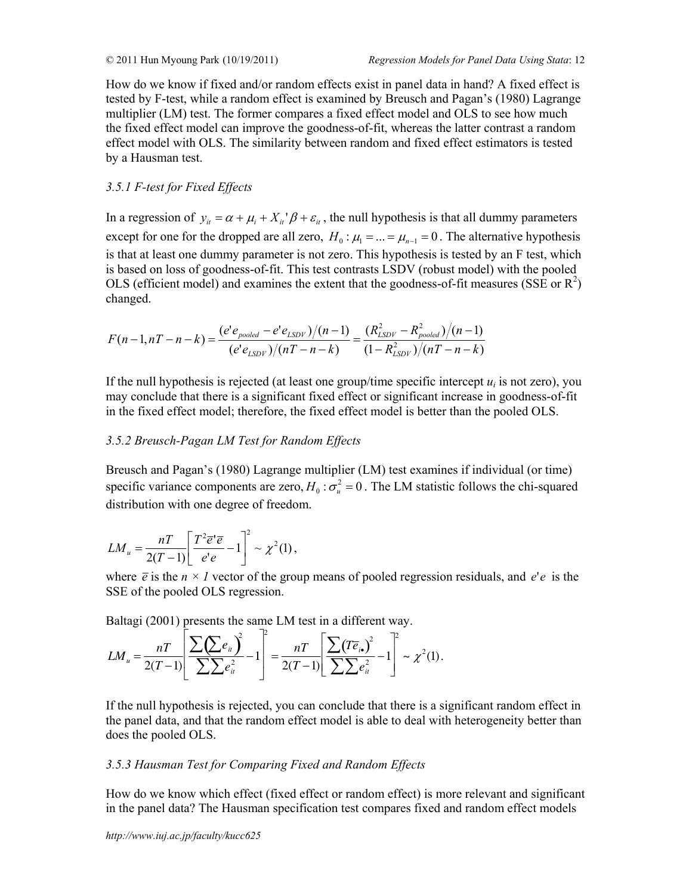How do we know if fixed and/or random effects exist in panel data in hand? A fixed effect is tested by F-test, while a random effect is examined by Breusch and Pagan's (1980) Lagrange multiplier (LM) test. The former compares a fixed effect model and OLS to see how much the fixed effect model can improve the goodness-of-fit, whereas the latter contrast a random effect model with OLS. The similarity between random and fixed effect estimators is tested by a Hausman test.

# *3.5.1 F-test for Fixed Effects*

In a regression of  $y_{it} = \alpha + \mu_i + X_{it}^{\dagger} \beta + \varepsilon_{it}$ , the null hypothesis is that all dummy parameters except for one for the dropped are all zero,  $H_0$ :  $\mu_1 = ... = \mu_{n-1} = 0$ . The alternative hypothesis is that at least one dummy parameter is not zero. This hypothesis is tested by an F test, which is based on loss of goodness-of-fit. This test contrasts LSDV (robust model) with the pooled OLS (efficient model) and examines the extent that the goodness-of-fit measures (SSE or  $\mathbb{R}^2$ ) changed.

$$
F(n-1, nT - n - k) = \frac{(e'e_{pooled} - e'e_{LSDV})/(n-1)}{(e'e_{LSDV})/(nT - n - k)} = \frac{(R_{LSDV}^2 - R_{pooled}^2)/(n-1)}{(1 - R_{LSDV}^2)/(nT - n - k)}
$$

If the null hypothesis is rejected (at least one group/time specific intercept  $u_i$  is not zero), you may conclude that there is a significant fixed effect or significant increase in goodness-of-fit in the fixed effect model; therefore, the fixed effect model is better than the pooled OLS.

# *3.5.2 Breusch-Pagan LM Test for Random Effects*

Breusch and Pagan's (1980) Lagrange multiplier (LM) test examines if individual (or time) specific variance components are zero,  $H_0: \sigma_u^2 = 0$ . The LM statistic follows the chi-squared distribution with one degree of freedom.

$$
LM_u = \frac{nT}{2(T-1)} \left[ \frac{T^2 \overline{e}^{\mathsf{T}} \overline{e}}{e^{\mathsf{T}} e} - 1 \right]^2 \sim \chi^2(1),
$$

where  $\bar{e}$  is the  $n \times l$  vector of the group means of pooled regression residuals, and *e'e* is the SSE of the pooled OLS regression.

Baltagi (2001) presents the same LM test in a different way.

$$
LM_{u} = \frac{nT}{2(T-1)} \left[ \frac{\sum (\sum e_{ii})^{2}}{\sum \sum e_{ii}^{2}} - 1 \right]^{2} = \frac{nT}{2(T-1)} \left[ \frac{\sum (T\overline{e}_{i\bullet})^{2}}{\sum \sum e_{ii}^{2}} - 1 \right]^{2} \sim \chi^{2}(1).
$$

If the null hypothesis is rejected, you can conclude that there is a significant random effect in the panel data, and that the random effect model is able to deal with heterogeneity better than does the pooled OLS.

# *3.5.3 Hausman Test for Comparing Fixed and Random Effects*

How do we know which effect (fixed effect or random effect) is more relevant and significant in the panel data? The Hausman specification test compares fixed and random effect models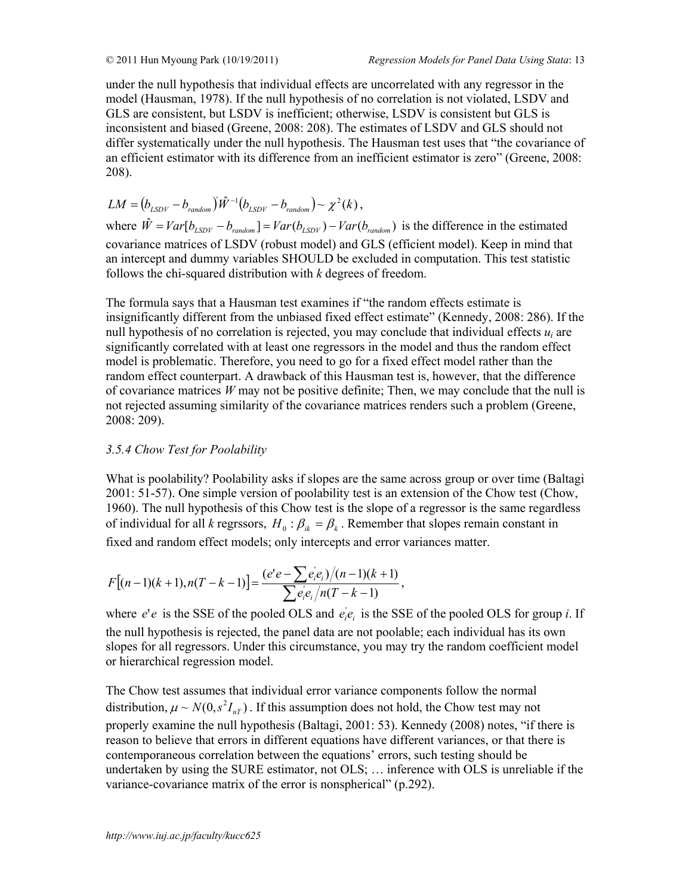under the null hypothesis that individual effects are uncorrelated with any regressor in the model (Hausman, 1978). If the null hypothesis of no correlation is not violated, LSDV and GLS are consistent, but LSDV is inefficient; otherwise, LSDV is consistent but GLS is inconsistent and biased (Greene, 2008: 208). The estimates of LSDV and GLS should not differ systematically under the null hypothesis. The Hausman test uses that "the covariance of an efficient estimator with its difference from an inefficient estimator is zero" (Greene, 2008: 208).

$$
LM = (b_{LSDV} - b_{random})\hat{W}^{-1}(b_{LSDV} - b_{random}) \sim \chi^2(k),
$$

where  $\hat{W} = Var[b_{LSDV} - b_{random}] = Var(b_{LSDV}) - Var(b_{random})$  is the difference in the estimated covariance matrices of LSDV (robust model) and GLS (efficient model). Keep in mind that an intercept and dummy variables SHOULD be excluded in computation. This test statistic follows the chi-squared distribution with *k* degrees of freedom.

The formula says that a Hausman test examines if "the random effects estimate is insignificantly different from the unbiased fixed effect estimate" (Kennedy, 2008: 286). If the null hypothesis of no correlation is rejected, you may conclude that individual effects *ui* are significantly correlated with at least one regressors in the model and thus the random effect model is problematic. Therefore, you need to go for a fixed effect model rather than the random effect counterpart. A drawback of this Hausman test is, however, that the difference of covariance matrices  $W$  may not be positive definite; Then, we may conclude that the null is not rejected assuming similarity of the covariance matrices renders such a problem (Greene, 2008: 209).

## *3.5.4 Chow Test for Poolability*

What is poolability? Poolability asks if slopes are the same across group or over time (Baltagi 2001: 51-57). One simple version of poolability test is an extension of the Chow test (Chow, 1960). The null hypothesis of this Chow test is the slope of a regressor is the same regardless of individual for all *k* regrssors,  $H_0$ :  $\beta_{ik} = \beta_k$ . Remember that slopes remain constant in fixed and random effect models; only intercepts and error variances matter.

$$
F[(n-1)(k+1), n(T-k-1)] = \frac{(e^{\prime}e - \sum e_i^{\prime}e_i)/(n-1)(k+1)}{\sum e_i^{\prime}e_i/n(T-k-1)},
$$

where  $e'e$  is the SSE of the pooled OLS and  $e_i'e_i$  is the SSE of the pooled OLS for group *i*. If the null hypothesis is rejected, the panel data are not poolable; each individual has its own slopes for all regressors. Under this circumstance, you may try the random coefficient model or hierarchical regression model.

The Chow test assumes that individual error variance components follow the normal distribution,  $\mu \sim N(0, s^2 I_{nT})$ . If this assumption does not hold, the Chow test may not properly examine the null hypothesis (Baltagi, 2001: 53). Kennedy (2008) notes, "if there is reason to believe that errors in different equations have different variances, or that there is contemporaneous correlation between the equations' errors, such testing should be undertaken by using the SURE estimator, not OLS; … inference with OLS is unreliable if the variance-covariance matrix of the error is nonspherical" (p.292).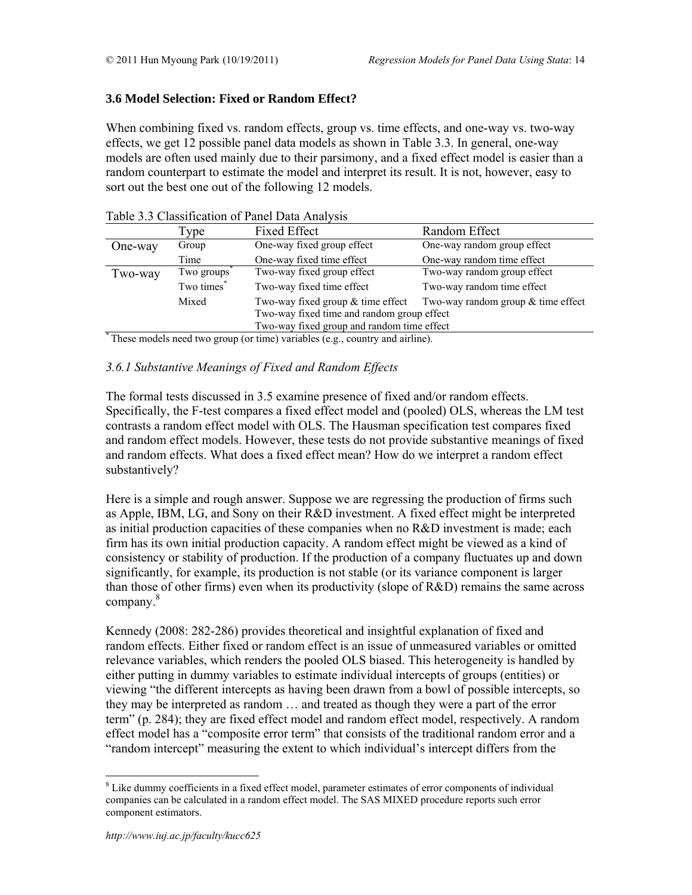# **3.6 Model Selection: Fixed or Random Effect?**

When combining fixed vs. random effects, group vs. time effects, and one-way vs. two-way effects, we get 12 possible panel data models as shown in Table 3.3. In general, one-way models are often used mainly due to their parsimony, and a fixed effect model is easier than a random counterpart to estimate the model and interpret its result. It is not, however, easy to sort out the best one out of the following 12 models.

|         | Type       | <b>Fixed Effect</b>                        | Random Effect                        |
|---------|------------|--------------------------------------------|--------------------------------------|
| One-way | Group      | One-way fixed group effect                 | One-way random group effect          |
|         | Time       | One-way fixed time effect                  | One-way random time effect           |
| Two-way | Two groups | Two-way fixed group effect                 | Two-way random group effect          |
|         | Two times* | Two-way fixed time effect                  | Two-way random time effect           |
|         | Mixed      | Two-way fixed group $&$ time effect        | Two-way random group $&$ time effect |
|         |            | Two-way fixed time and random group effect |                                      |
|         |            | Two-way fixed group and random time effect |                                      |

#### Table 3.3 Classification of Panel Data Analysis

These models need two group (or time) variables (e.g., country and airline).

# *3.6.1 Substantive Meanings of Fixed and Random Effects*

The formal tests discussed in 3.5 examine presence of fixed and/or random effects. Specifically, the F-test compares a fixed effect model and (pooled) OLS, whereas the LM test contrasts a random effect model with OLS. The Hausman specification test compares fixed and random effect models. However, these tests do not provide substantive meanings of fixed and random effects. What does a fixed effect mean? How do we interpret a random effect substantively?

Here is a simple and rough answer. Suppose we are regressing the production of firms such as Apple, IBM, LG, and Sony on their R&D investment. A fixed effect might be interpreted as initial production capacities of these companies when no R&D investment is made; each firm has its own initial production capacity. A random effect might be viewed as a kind of consistency or stability of production. If the production of a company fluctuates up and down significantly, for example, its production is not stable (or its variance component is larger than those of other firms) even when its productivity (slope of R&D) remains the same across company.<sup>8</sup>

Kennedy (2008: 282-286) provides theoretical and insightful explanation of fixed and random effects. Either fixed or random effect is an issue of unmeasured variables or omitted relevance variables, which renders the pooled OLS biased. This heterogeneity is handled by either putting in dummy variables to estimate individual intercepts of groups (entities) or viewing "the different intercepts as having been drawn from a bowl of possible intercepts, so they may be interpreted as random … and treated as though they were a part of the error term" (p. 284); they are fixed effect model and random effect model, respectively. A random effect model has a "composite error term" that consists of the traditional random error and a "random intercept" measuring the extent to which individual's intercept differs from the

 $8$  Like dummy coefficients in a fixed effect model, parameter estimates of error components of individual companies can be calculated in a random effect model. The SAS MIXED procedure reports such error component estimators.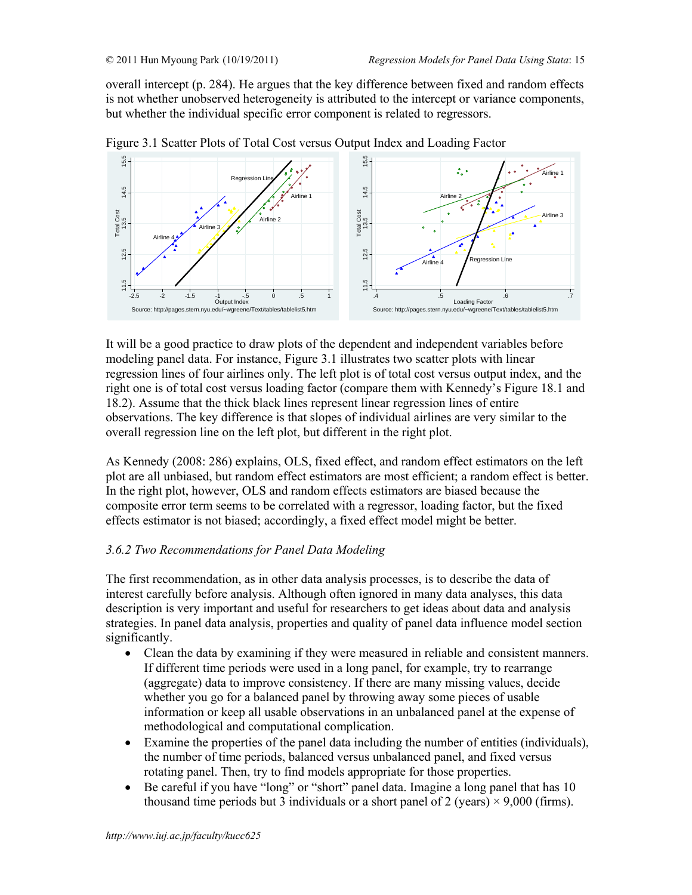overall intercept (p. 284). He argues that the key difference between fixed and random effects is not whether unobserved heterogeneity is attributed to the intercept or variance components, but whether the individual specific error component is related to regressors.



Figure 3.1 Scatter Plots of Total Cost versus Output Index and Loading Factor

It will be a good practice to draw plots of the dependent and independent variables before modeling panel data. For instance, Figure 3.1 illustrates two scatter plots with linear regression lines of four airlines only. The left plot is of total cost versus output index, and the right one is of total cost versus loading factor (compare them with Kennedy's Figure 18.1 and 18.2). Assume that the thick black lines represent linear regression lines of entire observations. The key difference is that slopes of individual airlines are very similar to the overall regression line on the left plot, but different in the right plot.

As Kennedy (2008: 286) explains, OLS, fixed effect, and random effect estimators on the left plot are all unbiased, but random effect estimators are most efficient; a random effect is better. In the right plot, however, OLS and random effects estimators are biased because the composite error term seems to be correlated with a regressor, loading factor, but the fixed effects estimator is not biased; accordingly, a fixed effect model might be better.

# *3.6.2 Two Recommendations for Panel Data Modeling*

The first recommendation, as in other data analysis processes, is to describe the data of interest carefully before analysis. Although often ignored in many data analyses, this data description is very important and useful for researchers to get ideas about data and analysis strategies. In panel data analysis, properties and quality of panel data influence model section significantly.

- Clean the data by examining if they were measured in reliable and consistent manners. If different time periods were used in a long panel, for example, try to rearrange (aggregate) data to improve consistency. If there are many missing values, decide whether you go for a balanced panel by throwing away some pieces of usable information or keep all usable observations in an unbalanced panel at the expense of methodological and computational complication.
- Examine the properties of the panel data including the number of entities (individuals), the number of time periods, balanced versus unbalanced panel, and fixed versus rotating panel. Then, try to find models appropriate for those properties.
- Be careful if you have "long" or "short" panel data. Imagine a long panel that has 10 thousand time periods but 3 individuals or a short panel of 2 (years)  $\times$  9,000 (firms).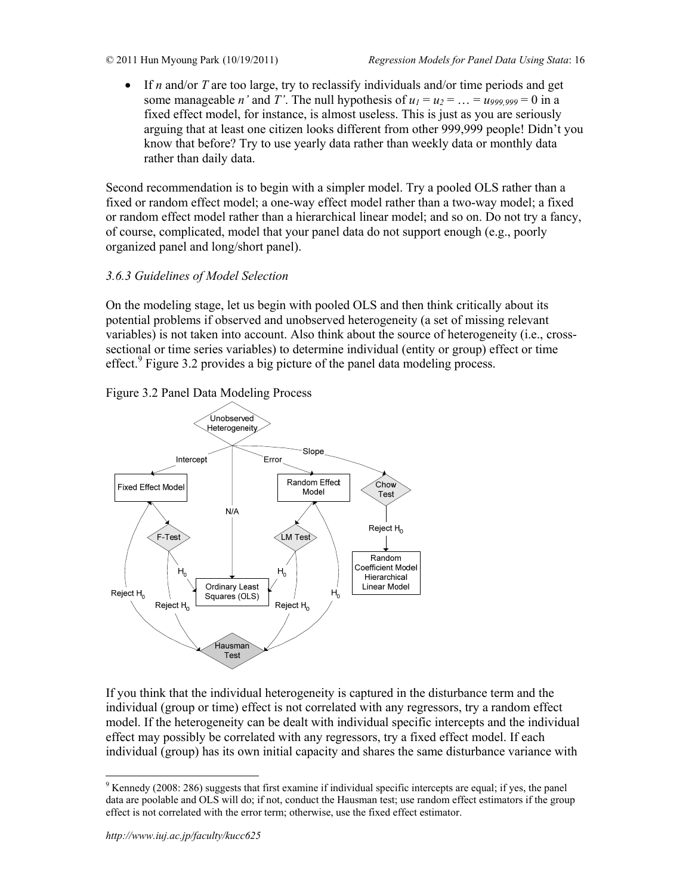• If *n* and/or *T* are too large, try to reclassify individuals and/or time periods and get some manageable *n'* and *T'*. The null hypothesis of  $u_1 = u_2 = ... = u_{999,999} = 0$  in a fixed effect model, for instance, is almost useless. This is just as you are seriously arguing that at least one citizen looks different from other 999,999 people! Didn't you know that before? Try to use yearly data rather than weekly data or monthly data rather than daily data.

Second recommendation is to begin with a simpler model. Try a pooled OLS rather than a fixed or random effect model; a one-way effect model rather than a two-way model; a fixed or random effect model rather than a hierarchical linear model; and so on. Do not try a fancy, of course, complicated, model that your panel data do not support enough (e.g., poorly organized panel and long/short panel).

# *3.6.3 Guidelines of Model Selection*

On the modeling stage, let us begin with pooled OLS and then think critically about its potential problems if observed and unobserved heterogeneity (a set of missing relevant variables) is not taken into account. Also think about the source of heterogeneity (i.e., crosssectional or time series variables) to determine individual (entity or group) effect or time effect.<sup>9</sup> Figure 3.2 provides a big picture of the panel data modeling process.





If you think that the individual heterogeneity is captured in the disturbance term and the individual (group or time) effect is not correlated with any regressors, try a random effect model. If the heterogeneity can be dealt with individual specific intercepts and the individual effect may possibly be correlated with any regressors, try a fixed effect model. If each individual (group) has its own initial capacity and shares the same disturbance variance with

 $9$  Kennedy (2008: 286) suggests that first examine if individual specific intercepts are equal; if yes, the panel data are poolable and OLS will do; if not, conduct the Hausman test; use random effect estimators if the group effect is not correlated with the error term; otherwise, use the fixed effect estimator.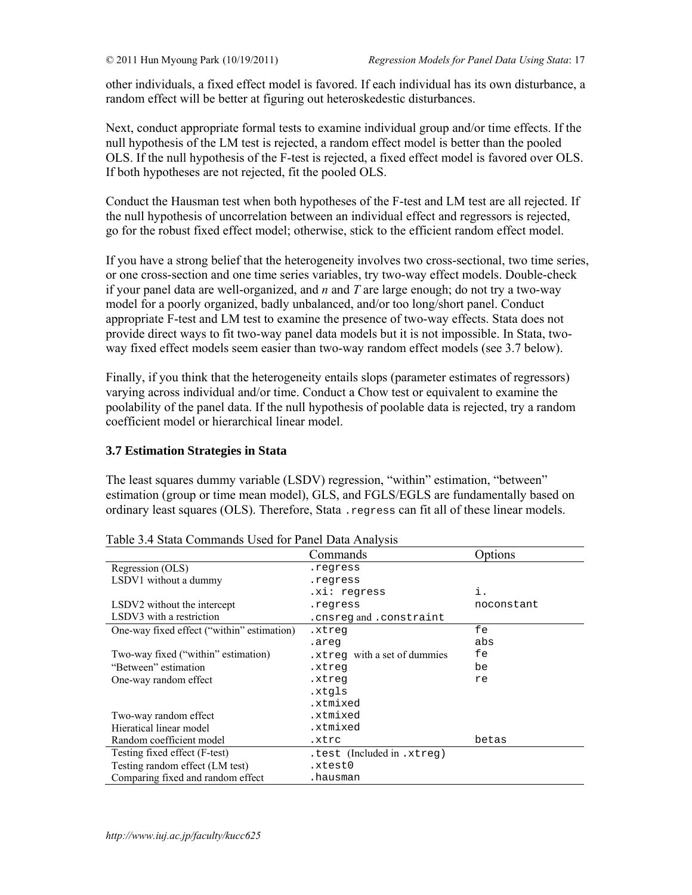other individuals, a fixed effect model is favored. If each individual has its own disturbance, a random effect will be better at figuring out heteroskedestic disturbances.

Next, conduct appropriate formal tests to examine individual group and/or time effects. If the null hypothesis of the LM test is rejected, a random effect model is better than the pooled OLS. If the null hypothesis of the F-test is rejected, a fixed effect model is favored over OLS. If both hypotheses are not rejected, fit the pooled OLS.

Conduct the Hausman test when both hypotheses of the F-test and LM test are all rejected. If the null hypothesis of uncorrelation between an individual effect and regressors is rejected, go for the robust fixed effect model; otherwise, stick to the efficient random effect model.

If you have a strong belief that the heterogeneity involves two cross-sectional, two time series, or one cross-section and one time series variables, try two-way effect models. Double-check if your panel data are well-organized, and *n* and *T* are large enough; do not try a two-way model for a poorly organized, badly unbalanced, and/or too long/short panel. Conduct appropriate F-test and LM test to examine the presence of two-way effects. Stata does not provide direct ways to fit two-way panel data models but it is not impossible. In Stata, twoway fixed effect models seem easier than two-way random effect models (see 3.7 below).

Finally, if you think that the heterogeneity entails slops (parameter estimates of regressors) varying across individual and/or time. Conduct a Chow test or equivalent to examine the poolability of the panel data. If the null hypothesis of poolable data is rejected, try a random coefficient model or hierarchical linear model.

## **3.7 Estimation Strategies in Stata**

The least squares dummy variable (LSDV) regression, "within" estimation, "between" estimation (group or time mean model), GLS, and FGLS/EGLS are fundamentally based on ordinary least squares (OLS). Therefore, Stata .regress can fit all of these linear models.

| Tuble 5. Tomm communities obey for I and Dam Time (515 |                             |            |
|--------------------------------------------------------|-----------------------------|------------|
|                                                        | Commands                    | Options    |
| Regression (OLS)                                       | .regress                    |            |
| LSDV1 without a dummy                                  | .regress                    |            |
|                                                        | .xi: reqress                | i.         |
| LSDV2 without the intercept                            | .regress                    | noconstant |
| LSDV3 with a restriction                               | .cnsregand.constraint       |            |
| One-way fixed effect ("within" estimation)             | .xtreq                      | fe         |
|                                                        | .areq                       | abs        |
| Two-way fixed ("within" estimation)                    | xtreg with a set of dummies | fe         |
| "Between" estimation                                   | .xtreq                      | be         |
| One-way random effect                                  | xtreg.                      | re         |
|                                                        | .xtqls                      |            |
|                                                        | .xtmixed                    |            |
| Two-way random effect                                  | .xtmixed                    |            |
| Hieratical linear model                                | .xtmixed                    |            |
| Random coefficient model                               | .xtrc                       | betas      |
| Testing fixed effect (F-test)                          | .test (Included in .xtreg)  |            |
| Testing random effect (LM test)                        | .xtest0                     |            |
| Comparing fixed and random effect                      | .hausman                    |            |

Table 3.4 Stata Commands Used for Panel Data Analysis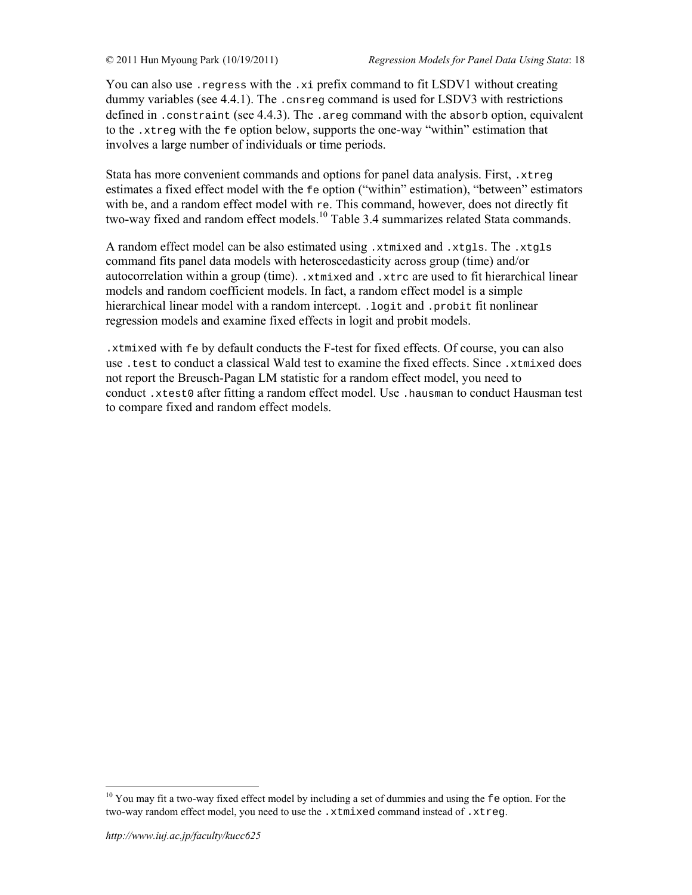You can also use .regress with the .xi prefix command to fit LSDV1 without creating dummy variables (see 4.4.1). The .cnsreg command is used for LSDV3 with restrictions defined in . constraint (see 4.4.3). The . areg command with the absorb option, equivalent to the .xtreg with the fe option below, supports the one-way "within" estimation that involves a large number of individuals or time periods.

Stata has more convenient commands and options for panel data analysis. First, .xtreg estimates a fixed effect model with the fe option ("within" estimation), "between" estimators with be, and a random effect model with re. This command, however, does not directly fit two-way fixed and random effect models.<sup>10</sup> Table 3.4 summarizes related Stata commands.

A random effect model can be also estimated using .xtmixed and .xtgls. The .xtgls command fits panel data models with heteroscedasticity across group (time) and/or autocorrelation within a group (time). .xtmixed and .xtrc are used to fit hierarchical linear models and random coefficient models. In fact, a random effect model is a simple hierarchical linear model with a random intercept. .logit and .probit fit nonlinear regression models and examine fixed effects in logit and probit models.

.xtmixed with fe by default conducts the F-test for fixed effects. Of course, you can also use .test to conduct a classical Wald test to examine the fixed effects. Since .xtmixed does not report the Breusch-Pagan LM statistic for a random effect model, you need to conduct .xtest0 after fitting a random effect model. Use .hausman to conduct Hausman test to compare fixed and random effect models.

<sup>&</sup>lt;sup>10</sup> You may fit a two-way fixed effect model by including a set of dummies and using the fe option. For the two-way random effect model, you need to use the .xtmixed command instead of .xtreg.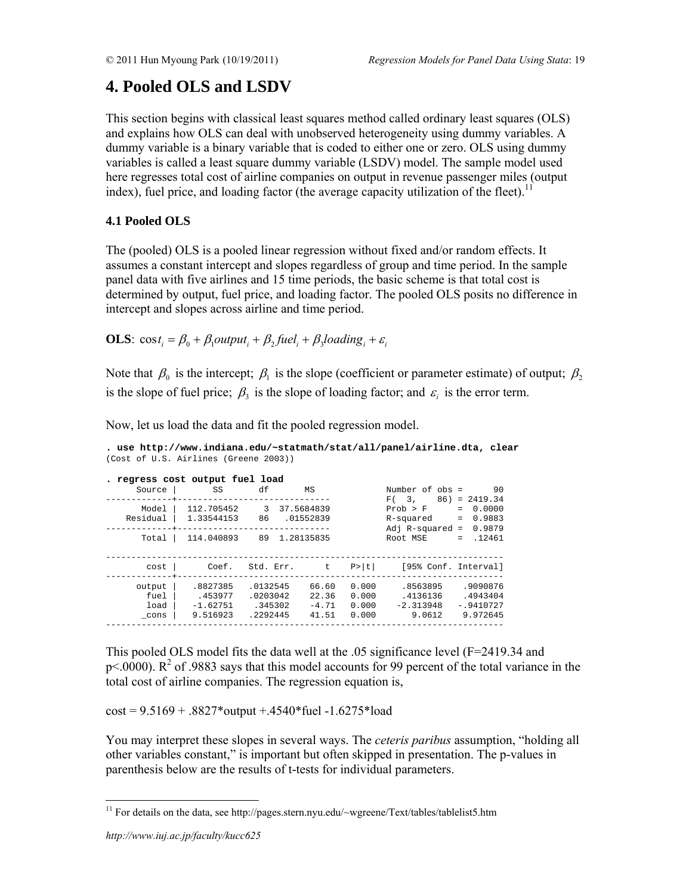# **4. Pooled OLS and LSDV**

This section begins with classical least squares method called ordinary least squares (OLS) and explains how OLS can deal with unobserved heterogeneity using dummy variables. A dummy variable is a binary variable that is coded to either one or zero. OLS using dummy variables is called a least square dummy variable (LSDV) model. The sample model used here regresses total cost of airline companies on output in revenue passenger miles (output index), fuel price, and loading factor (the average capacity utilization of the fleet).<sup>1</sup>

# **4.1 Pooled OLS**

The (pooled) OLS is a pooled linear regression without fixed and/or random effects. It assumes a constant intercept and slopes regardless of group and time period. In the sample panel data with five airlines and 15 time periods, the basic scheme is that total cost is determined by output, fuel price, and loading factor. The pooled OLS posits no difference in intercept and slopes across airline and time period.

**OLS**:  $\cos t_i = \beta_0 + \beta_1$ *output*<sub>i</sub> +  $\beta_2$ *fuel*<sub>i</sub> +  $\beta_3$ *loading*<sub>i</sub> +  $\varepsilon_i$ 

Note that  $\beta_0$  is the intercept;  $\beta_1$  is the slope (coefficient or parameter estimate) of output;  $\beta_2$ is the slope of fuel price;  $\beta_3$  is the slope of loading factor; and  $\varepsilon_i$  is the error term.

Now, let us load the data and fit the pooled regression model.

| Source                 | . regress cost output fuel load<br>SS | df                              | MS                        |                         | Number of obs =<br>F(3, 3)                  | 90<br>$86) = 2419.34$                    |
|------------------------|---------------------------------------|---------------------------------|---------------------------|-------------------------|---------------------------------------------|------------------------------------------|
| Model<br>Residual      | 112.705452<br>1.33544153              | 3<br>86                         | 37.5684839<br>01552839    |                         | Prob > F<br>R-squared<br>Adj $R$ -squared = | 0.0000<br>$=$<br>0.9883<br>$=$<br>0.9879 |
| Total                  | 114.040893                            | 89 1.28135835                   |                           |                         | Root MSE                                    | .12461<br>$=$                            |
| cost                   | Coef.                                 | Std. Err.                       | t to be                   | P >  t                  | [95% Conf. Interval]                        |                                          |
| output<br>fuel<br>load | .8827385<br>.453977<br>$-1.62751$     | .0132545<br>.0203042<br>.345302 | 66.60<br>22.36<br>$-4.71$ | 0.000<br>0.000<br>0.000 | .8563895<br>.4136136<br>$-2.313948$         | .9090876<br>.4943404<br>$-.9410727$      |
| cons                   | 9.516923                              | .2292445                        | 41.51                     | 0.000                   | 9.0612                                      | 9.972645                                 |

**. use http://www.indiana.edu/~statmath/stat/all/panel/airline.dta, clear**  (Cost of U.S. Airlines (Greene 2003))

This pooled OLS model fits the data well at the .05 significance level (F=2419.34 and  $p$ <.0000). R<sup>2</sup> of .9883 says that this model accounts for 99 percent of the total variance in the total cost of airline companies. The regression equation is,

 $cost = 9.5169 + .8827*output + .4540*fuel -1.6275*load$ 

You may interpret these slopes in several ways. The *ceteris paribus* assumption, "holding all other variables constant," is important but often skipped in presentation. The p-values in parenthesis below are the results of t-tests for individual parameters.

<sup>&</sup>lt;sup>11</sup> For details on the data, see http://pages.stern.nyu.edu/~wgreene/Text/tables/tablelist5.htm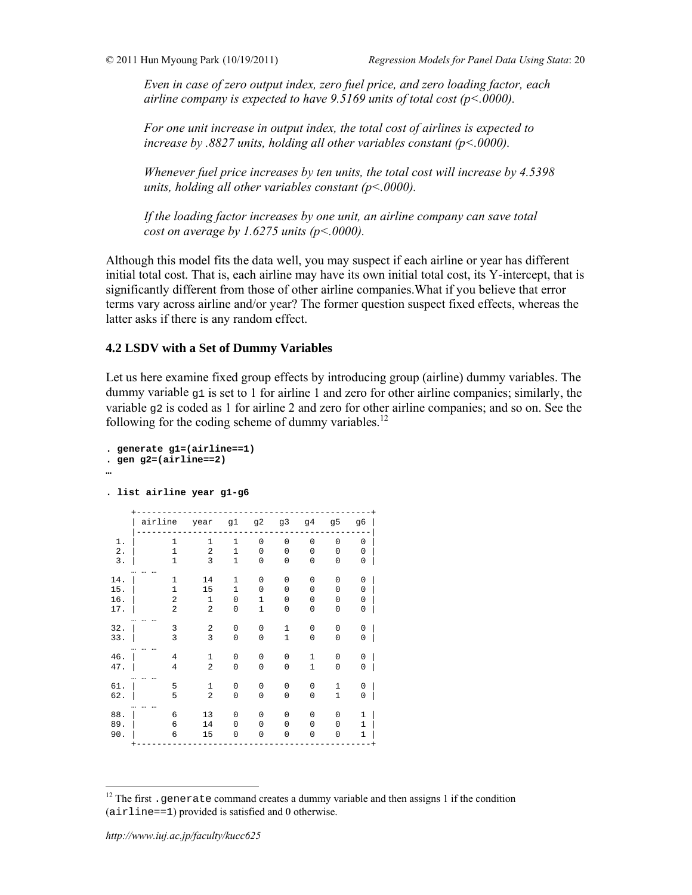*Even in case of zero output index, zero fuel price, and zero loading factor, each airline company is expected to have 9.5169 units of total cost (p<.0000).* 

*For one unit increase in output index, the total cost of airlines is expected to increase by .8827 units, holding all other variables constant (p<.0000).* 

*Whenever fuel price increases by ten units, the total cost will increase by 4.5398 units, holding all other variables constant (p<.0000).* 

*If the loading factor increases by one unit, an airline company can save total cost on average by 1.6275 units (p<.0000).* 

Although this model fits the data well, you may suspect if each airline or year has different initial total cost. That is, each airline may have its own initial total cost, its Y-intercept, that is significantly different from those of other airline companies.What if you believe that error terms vary across airline and/or year? The former question suspect fixed effects, whereas the latter asks if there is any random effect.

# **4.2 LSDV with a Set of Dummy Variables**

Let us here examine fixed group effects by introducing group (airline) dummy variables. The dummy variable  $q1$  is set to 1 for airline 1 and zero for other airline companies; similarly, the variable  $q2$  is coded as 1 for airline 2 and zero for other airline companies; and so on. See the following for the coding scheme of dummy variables.<sup>12</sup>

```
. generate g1=(airline==1) 
. gen g2=(airline==2) 
…
```
**. list airline year g1-g6** 

|             | airline                      | year                           | g1                           | g2                          | g3                         | 94           | 95                           | g6                |
|-------------|------------------------------|--------------------------------|------------------------------|-----------------------------|----------------------------|--------------|------------------------------|-------------------|
| 1.          | $\mathbf{1}$                 | $\mathbf{1}$                   | $\mathbf 1$                  | 0                           | $\mathbf 0$                | $\mathbf 0$  | $\mathbf 0$                  | 0                 |
| $2$ .<br>3. | $\mathbf{1}$<br>$\mathbf{1}$ | $\overline{a}$<br>3            | $\mathbf{1}$<br>$\mathbf{1}$ | 0<br>0                      | $\mathbf 0$<br>$\mathbf 0$ | 0<br>0       | $\Omega$<br>0                | 0<br>0            |
| 14.         | $\mathbf{1}$                 | 14                             | $\mathbf 1$                  | 0                           | $\mathbf 0$                | 0            | 0                            | 0                 |
| 15.         | $\mathbf{1}$                 | 15                             | $\mathbf{1}$                 | 0                           | $\mathbf 0$                | 0            | $\Omega$                     | 0                 |
| 16.<br>17.  | 2<br>$\overline{a}$          | $\mathbf{1}$<br>$\overline{2}$ | 0<br>0                       | $\mathbf{1}$<br>$\mathbf 1$ | 0<br>0                     | 0<br>0       | 0<br>0                       | 0<br>0            |
| 32.         | 3                            | $\overline{a}$                 | 0                            | 0                           | $\mathbf{1}$               | 0            | $\Omega$                     | 0                 |
| 33.         | 3                            | 3                              | 0                            | 0                           | $\mathbf{1}$               | 0            | 0                            | 0                 |
| 46.         | $\overline{4}$               | $\mathbf{1}$                   | 0                            | 0                           | $\mathbf 0$                | $\mathbf{1}$ | 0                            | 0                 |
| 47.         | 4                            | $\overline{a}$                 | 0                            | 0                           | $\mathbf 0$                | $1\,$        | 0                            | 0                 |
| 61.<br>62.  | 5<br>5                       | $\mathbf{1}$<br>$\overline{a}$ | 0<br>0                       | 0<br>0                      | $\mathbf 0$<br>$\mathbf 0$ | 0<br>0       | $\mathbf{1}$<br>$\mathbf{1}$ | 0<br>0            |
|             |                              |                                |                              |                             |                            |              |                              |                   |
| 88.<br>89.  | 6<br>6                       | 13<br>14                       | $\Omega$<br>$\Omega$         | 0<br>0                      | $\Omega$<br>0              | 0<br>0       | $\Omega$<br>0                | 1<br>$\mathbf{1}$ |
| 90.         | 6                            | 15                             | $\Omega$                     | 0                           | 0                          | 0            | $\Omega$                     | $\mathbf{1}$      |

 $12$  The first .generate command creates a dummy variable and then assigns 1 if the condition (airline==1) provided is satisfied and 0 otherwise.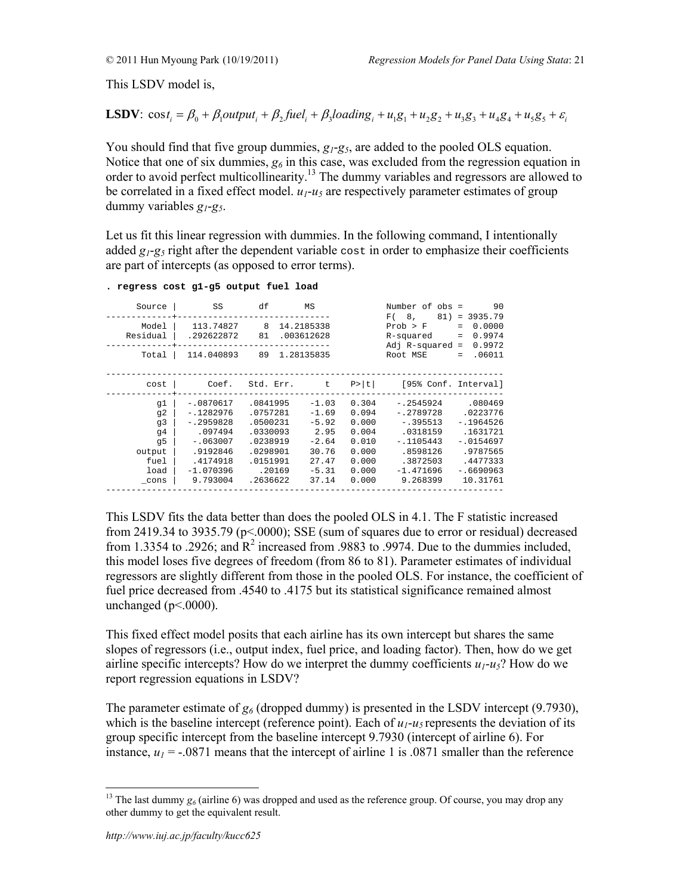This LSDV model is,

**LSDV**: 
$$
\cos t_i = \beta_0 + \beta_1 output_i + \beta_2 fuel_i + \beta_3 loading_i + u_i g_1 + u_2 g_2 + u_3 g_3 + u_4 g_4 + u_5 g_5 + \varepsilon_i
$$

You should find that five group dummies,  $g_1$ - $g_5$ , are added to the pooled OLS equation. Notice that one of six dummies,  $g_6$  in this case, was excluded from the regression equation in order to avoid perfect multicollinearity.13 The dummy variables and regressors are allowed to be correlated in a fixed effect model.  $u_1 - u_5$  are respectively parameter estimates of group dummy variables *g1*-*g5*.

Let us fit this linear regression with dummies. In the following command, I intentionally added  $g_1$ - $g_5$  right after the dependent variable cost in order to emphasize their coefficients are part of intercepts (as opposed to error terms).

| Source<br>Model<br>Residual                                  | SS<br>113.74827<br>.292622872                                                                                         | df<br>8<br>81                                                                                          | MS<br>14.2185338<br>.003612628                                                         |                                                                               | Number of obs =<br>F(8,<br>81)<br>Prob > F<br>R-squared<br>Adj $R$ -squared =                                          | 90<br>$= 3935.79$<br>0.0000<br>$=$<br>0.9974<br>$=$<br>0.9972                                                   |
|--------------------------------------------------------------|-----------------------------------------------------------------------------------------------------------------------|--------------------------------------------------------------------------------------------------------|----------------------------------------------------------------------------------------|-------------------------------------------------------------------------------|------------------------------------------------------------------------------------------------------------------------|-----------------------------------------------------------------------------------------------------------------|
| Total                                                        | 114.040893                                                                                                            | 89                                                                                                     | 1.28135835                                                                             |                                                                               | Root MSE                                                                                                               | .06011<br>$=$                                                                                                   |
| cost                                                         | Coef.                                                                                                                 | Std. Err.                                                                                              | t                                                                                      | P >  t                                                                        | [95% Conf. Interval]                                                                                                   |                                                                                                                 |
| q1<br>q2<br>q3<br>q4<br>q5<br>output<br>fuel<br>load<br>cons | $-.0870617$<br>$-.1282976$<br>$-12959828$<br>.097494<br>$-.063007$<br>.9192846<br>.4174918<br>$-1.070396$<br>9.793004 | .0841995<br>.0757281<br>.0500231<br>.0330093<br>.0238919<br>.0298901<br>.0151991<br>.20169<br>.2636622 | $-1.03$<br>$-1.69$<br>$-5.92$<br>2.95<br>$-2.64$<br>30.76<br>27.47<br>$-5.31$<br>37.14 | 0.304<br>0.094<br>0.000<br>0.004<br>0.010<br>0.000<br>0.000<br>0.000<br>0.000 | $-12545924$<br>$-.2789728$<br>$-1395513$<br>.0318159<br>$-.1105443$<br>.8598126<br>.3872503<br>$-1.471696$<br>9.268399 | .080469<br>.0223776<br>$-1964526$<br>.1631721<br>$-.0154697$<br>.9787565<br>.4477333<br>$-16690963$<br>10.31761 |

**. regress cost g1-g5 output fuel load** 

This LSDV fits the data better than does the pooled OLS in 4.1. The F statistic increased from 2419.34 to 3935.79 (p<.0000); SSE (sum of squares due to error or residual) decreased from 1.3354 to .2926; and  $\mathbb{R}^2$  increased from .9883 to .9974. Due to the dummies included, this model loses five degrees of freedom (from 86 to 81). Parameter estimates of individual regressors are slightly different from those in the pooled OLS. For instance, the coefficient of fuel price decreased from .4540 to .4175 but its statistical significance remained almost unchanged ( $p<0000$ ).

This fixed effect model posits that each airline has its own intercept but shares the same slopes of regressors (i.e., output index, fuel price, and loading factor). Then, how do we get airline specific intercepts? How do we interpret the dummy coefficients  $u_1 - u_5$ ? How do we report regression equations in LSDV?

The parameter estimate of  $g_6$  (dropped dummy) is presented in the LSDV intercept (9.7930), which is the baseline intercept (reference point). Each of  $u_1$ - $u_5$  represents the deviation of its group specific intercept from the baseline intercept 9.7930 (intercept of airline 6). For instance,  $u_1 = -0.0871$  means that the intercept of airline 1 is .0871 smaller than the reference

 $\overline{a}$ <sup>13</sup> The last dummy  $g_6$  (airline 6) was dropped and used as the reference group. Of course, you may drop any other dummy to get the equivalent result.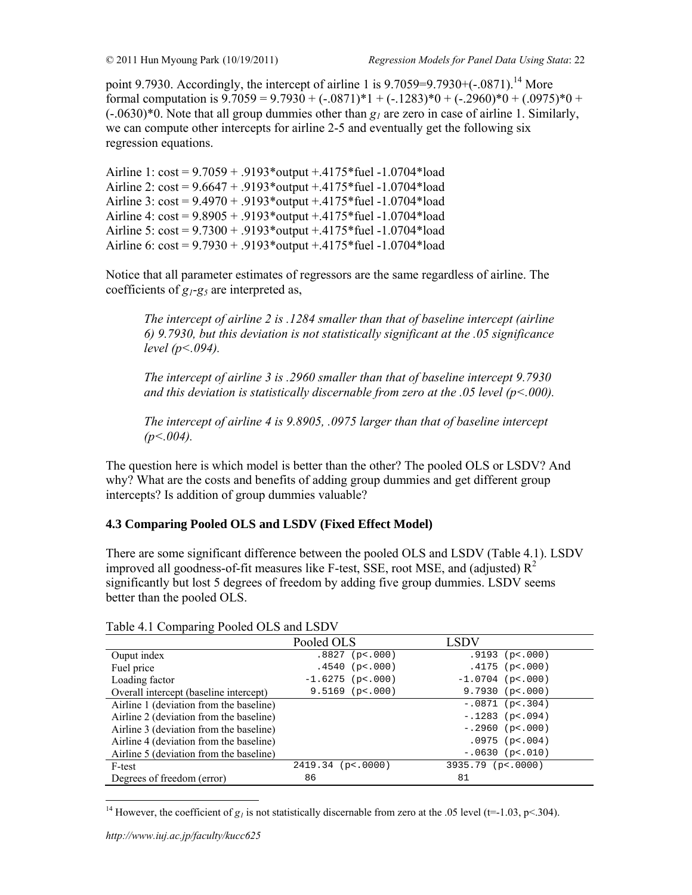point 9.7930. Accordingly, the intercept of airline 1 is  $9.7059=9.7930+(-0.0871).$ <sup>14</sup> More formal computation is  $9.7059 = 9.7930 + (-0.0871)^*1 + (-0.1283)^*0 + (-0.2960)^*0 + (0.0975)^*0 +$ (-.0630)\*0. Note that all group dummies other than *g1* are zero in case of airline 1. Similarly, we can compute other intercepts for airline 2-5 and eventually get the following six regression equations.

Airline 1: cost = 9.7059 + .9193\*output +.4175\*fuel -1.0704\*load Airline 2:  $cost = 9.6647 + .9193 * output + .4175 * fuel -1.0704 * load$ Airline 3: cost = 9.4970 + .9193\*output +.4175\*fuel -1.0704\*load Airline 4: cost = 9.8905 + .9193\*output +.4175\*fuel -1.0704\*load Airline 5: cost = 9.7300 + .9193\*output +.4175\*fuel -1.0704\*load Airline 6: cost = 9.7930 + .9193\*output +.4175\*fuel -1.0704\*load

Notice that all parameter estimates of regressors are the same regardless of airline. The coefficients of *g1*-*g5* are interpreted as,

*The intercept of airline 2 is .1284 smaller than that of baseline intercept (airline 6) 9.7930, but this deviation is not statistically significant at the .05 significance level (p<.094).* 

*The intercept of airline 3 is .2960 smaller than that of baseline intercept 9.7930 and this deviation is statistically discernable from zero at the .05 level (p<.000).* 

*The intercept of airline 4 is 9.8905, .0975 larger than that of baseline intercept*   $(p<.004)$ .

The question here is which model is better than the other? The pooled OLS or LSDV? And why? What are the costs and benefits of adding group dummies and get different group intercepts? Is addition of group dummies valuable?

# **4.3 Comparing Pooled OLS and LSDV (Fixed Effect Model)**

There are some significant difference between the pooled OLS and LSDV (Table 4.1). LSDV improved all goodness-of-fit measures like F-test, SSE, root MSE, and (adjusted)  $R^2$ significantly but lost 5 degrees of freedom by adding five group dummies. LSDV seems better than the pooled OLS.

|                                         | Pooled OLS          | LSDV                |
|-----------------------------------------|---------------------|---------------------|
| Ouput index                             | $.8827$ (p < . 000) | $.9193$ (p<.000)    |
| Fuel price                              | $.4540$ (p<.000)    | $.4175$ (p<.000)    |
| Loading factor                          | $-1.6275$ (p<.000)  | $-1.0704$ (p<.000)  |
| Overall intercept (baseline intercept)  | $9.5169$ (p<.000)   | $9.7930$ (p<.000)   |
| Airline 1 (deviation from the baseline) |                     | $-.0871$ (p<.304)   |
| Airline 2 (deviation from the baseline) |                     | $-.1283$ (p<.094)   |
| Airline 3 (deviation from the baseline) |                     | $-.2960$ (p<.000)   |
| Airline 4 (deviation from the baseline) |                     | $.0975$ (p<.004)    |
| Airline 5 (deviation from the baseline) |                     | $-.0630$ (p<.010)   |
| F-test                                  | $2419.34$ (p<.0000) | $3935.79$ (p<.0000) |
| Degrees of freedom (error)              | 86                  | 81                  |

Table 4.1 Comparing Pooled OLS and LSDV

<sup>&</sup>lt;sup>14</sup> However, the coefficient of  $g_1$  is not statistically discernable from zero at the .05 level (t=-1.03, p<.304).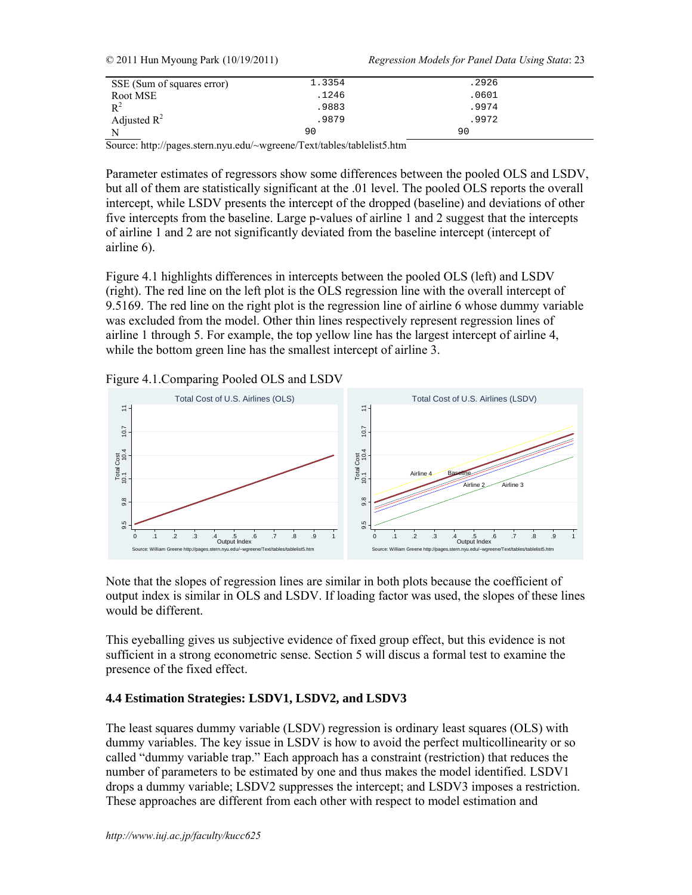| SSE (Sum of squares error) | 1.3354 | .2926 |  |
|----------------------------|--------|-------|--|
| Root MSE                   | .1246  | .0601 |  |
| $R^2$                      | .9883  | .9974 |  |
| Adjusted $R^2$             | .9879  | .9972 |  |
|                            | 90     | 90    |  |

© 2011 Hun Myoung Park (10/19/2011) *Regression Models for Panel Data Using Stata*: 23

Source: http://pages.stern.nyu.edu/~wgreene/Text/tables/tablelist5.htm

Parameter estimates of regressors show some differences between the pooled OLS and LSDV, but all of them are statistically significant at the .01 level. The pooled OLS reports the overall intercept, while LSDV presents the intercept of the dropped (baseline) and deviations of other five intercepts from the baseline. Large p-values of airline 1 and 2 suggest that the intercepts of airline 1 and 2 are not significantly deviated from the baseline intercept (intercept of airline 6).

Figure 4.1 highlights differences in intercepts between the pooled OLS (left) and LSDV (right). The red line on the left plot is the OLS regression line with the overall intercept of 9.5169. The red line on the right plot is the regression line of airline 6 whose dummy variable was excluded from the model. Other thin lines respectively represent regression lines of airline 1 through 5. For example, the top yellow line has the largest intercept of airline 4, while the bottom green line has the smallest intercept of airline 3.





Note that the slopes of regression lines are similar in both plots because the coefficient of output index is similar in OLS and LSDV. If loading factor was used, the slopes of these lines would be different.

This eyeballing gives us subjective evidence of fixed group effect, but this evidence is not sufficient in a strong econometric sense. Section 5 will discus a formal test to examine the presence of the fixed effect.

# **4.4 Estimation Strategies: LSDV1, LSDV2, and LSDV3**

The least squares dummy variable (LSDV) regression is ordinary least squares (OLS) with dummy variables. The key issue in LSDV is how to avoid the perfect multicollinearity or so called "dummy variable trap." Each approach has a constraint (restriction) that reduces the number of parameters to be estimated by one and thus makes the model identified. LSDV1 drops a dummy variable; LSDV2 suppresses the intercept; and LSDV3 imposes a restriction. These approaches are different from each other with respect to model estimation and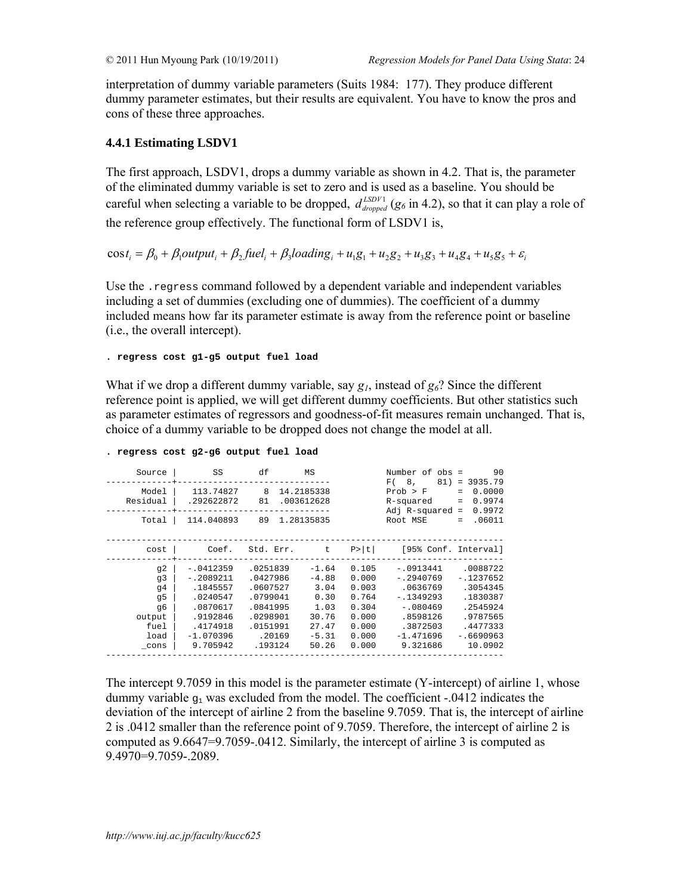interpretation of dummy variable parameters (Suits 1984: 177). They produce different dummy parameter estimates, but their results are equivalent. You have to know the pros and cons of these three approaches.

# **4.4.1 Estimating LSDV1**

The first approach, LSDV1, drops a dummy variable as shown in 4.2. That is, the parameter of the eliminated dummy variable is set to zero and is used as a baseline. You should be careful when selecting a variable to be dropped,  $d_{\text{dropped}}^{LSDV1}$  ( $g_6$  in 4.2), so that it can play a role of the reference group effectively. The functional form of LSDV1 is,

 $\cos t_i = \beta_0 + \beta_1$ output<sub>i</sub> +  $\beta_2$ fuel<sub>i</sub> +  $\beta_3$ loading<sub>i</sub> +  $u_1g_1 + u_2g_2 + u_3g_3 + u_4g_4 + u_5g_5 + \varepsilon_i$ 

Use the .regress command followed by a dependent variable and independent variables including a set of dummies (excluding one of dummies). The coefficient of a dummy included means how far its parameter estimate is away from the reference point or baseline (i.e., the overall intercept).

**. regress cost g1-g5 output fuel load** 

What if we drop a different dummy variable, say *g1*, instead of *g6*? Since the different reference point is applied, we will get different dummy coefficients. But other statistics such as parameter estimates of regressors and goodness-of-fit measures remain unchanged. That is, choice of a dummy variable to be dropped does not change the model at all.

| Source                                                           | SS                                                                                                                | df                                                                                                    | MS                                                                               |                                                                               | Number of obs =<br>F(8,                                                                                             | 90<br>$81$ = 3935.79                                                                                          |
|------------------------------------------------------------------|-------------------------------------------------------------------------------------------------------------------|-------------------------------------------------------------------------------------------------------|----------------------------------------------------------------------------------|-------------------------------------------------------------------------------|---------------------------------------------------------------------------------------------------------------------|---------------------------------------------------------------------------------------------------------------|
| Model<br>Residual                                                | 113.74827<br>.292622872                                                                                           | 8<br>81                                                                                               | 14.2185338<br>.003612628                                                         |                                                                               | Prob > F<br>R-squared<br>Adj R-squared =                                                                            | 0.0000<br>$=$<br>0.9974<br>$\equiv$<br>0.9972                                                                 |
| Total                                                            | 114.040893                                                                                                        | 89 1.28135835                                                                                         |                                                                                  |                                                                               | Root MSE                                                                                                            | .06011<br>$=$                                                                                                 |
| cost                                                             | Coef.                                                                                                             | Std. Err. t                                                                                           |                                                                                  |                                                                               | $P> t $ [95% Conf. Interval]                                                                                        |                                                                                                               |
| q2<br>q3<br>q4<br>q5<br>q6<br>output<br>fuel<br>load<br>$\_cons$ | $-.0412359$<br>$-.2089211$<br>.1845557<br>.0240547<br>.0870617<br>.9192846<br>.4174918<br>$-1.070396$<br>9.705942 | .0251839<br>.0427986<br>.0607527<br>.0799041<br>.0841995<br>.0298901<br>.0151991<br>.20169<br>.193124 | $-1.64$<br>$-4.88$<br>3.04<br>0.30<br>1.03<br>30.76<br>27.47<br>$-5.31$<br>50.26 | 0.105<br>0.000<br>0.003<br>0.764<br>0.304<br>0.000<br>0.000<br>0.000<br>0.000 | -.0913441<br>$-.2940769$<br>.0636769<br>$-1349293$<br>$-.080469$<br>.8598126<br>.3872503<br>$-1.471696$<br>9.321686 | .0088722<br>$-.1237652$<br>.3054345<br>.1830387<br>.2545924<br>.9787565<br>.4477333<br>$-16690963$<br>10.0902 |

```
. regress cost g2-g6 output fuel load
```
The intercept 9.7059 in this model is the parameter estimate (Y-intercept) of airline 1, whose dummy variable  $q_1$  was excluded from the model. The coefficient -.0412 indicates the deviation of the intercept of airline 2 from the baseline 9.7059. That is, the intercept of airline 2 is .0412 smaller than the reference point of 9.7059. Therefore, the intercept of airline 2 is computed as 9.6647=9.7059-.0412. Similarly, the intercept of airline 3 is computed as 9.4970=9.7059-.2089.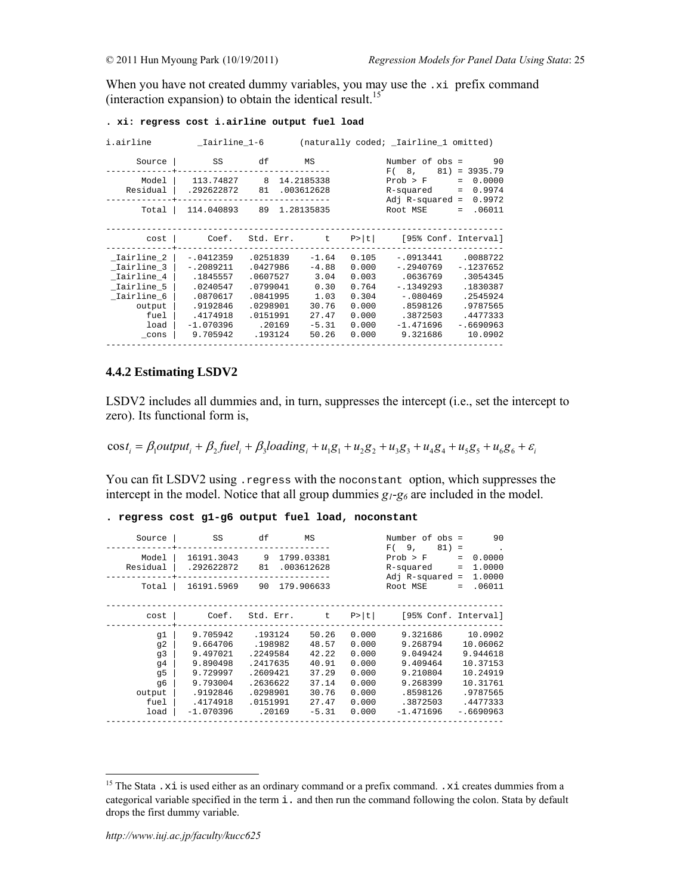When you have not created dummy variables, you may use the .xi prefix command (interaction expansion) to obtain the identical result.<sup>15</sup>

| i.airline                                                                                                | _Iairline_1-6                                                                                                     |                                                                                                       |                                                                                  |                                                                               | (naturally coded; _Iairline_1 omitted)                                                                             |                                                                                                              |
|----------------------------------------------------------------------------------------------------------|-------------------------------------------------------------------------------------------------------------------|-------------------------------------------------------------------------------------------------------|----------------------------------------------------------------------------------|-------------------------------------------------------------------------------|--------------------------------------------------------------------------------------------------------------------|--------------------------------------------------------------------------------------------------------------|
| Source                                                                                                   | SS                                                                                                                | df                                                                                                    | MS                                                                               |                                                                               | Number of obs =<br>F(8,<br>81)                                                                                     | 90<br>$= 3935.79$                                                                                            |
| Model<br>Residual                                                                                        | 113.74827 8<br>.292622872                                                                                         | 81                                                                                                    | 14.2185338<br>.003612628                                                         |                                                                               | Prob > F<br>R-squared<br>Adj $R$ -squared =                                                                        | $\equiv$<br>0.0000<br>0.9974<br>$\equiv$<br>0.9972                                                           |
| Total                                                                                                    | 114.040893                                                                                                        | 89                                                                                                    | 1.28135835                                                                       |                                                                               | Root MSE                                                                                                           | .06011<br>$=$                                                                                                |
| cost                                                                                                     | Coef.                                                                                                             | Std. Err.                                                                                             | $-t$                                                                             | P >  t                                                                        | [95% Conf. Interval]                                                                                               |                                                                                                              |
| _Iairline_2<br>Iairline 3  <br>_Iairline_4<br>Iairline 5<br>Iairline 6<br>output<br>fuel<br>load<br>cons | $-.0412359$<br>$-12089211$<br>.1845557<br>.0240547<br>.0870617<br>.9192846<br>.4174918<br>$-1.070396$<br>9.705942 | .0251839<br>.0427986<br>.0607527<br>.0799041<br>.0841995<br>.0298901<br>.0151991<br>.20169<br>.193124 | $-1.64$<br>$-4.88$<br>3.04<br>0.30<br>1.03<br>30.76<br>27.47<br>$-5.31$<br>50.26 | 0.105<br>0.000<br>0.003<br>0.764<br>0.304<br>0.000<br>0.000<br>0.000<br>0.000 | -.0913441<br>$-.2940769$<br>.0636769<br>$-1349293$<br>$-080469$<br>.8598126<br>.3872503<br>$-1.471696$<br>9.321686 | .0088722<br>$-1237652$<br>.3054345<br>.1830387<br>.2545924<br>.9787565<br>.4477333<br>$-.6690963$<br>10.0902 |

#### **. xi: regress cost i.airline output fuel load**

### **4.4.2 Estimating LSDV2**

LSDV2 includes all dummies and, in turn, suppresses the intercept (i.e., set the intercept to zero). Its functional form is,

 $\cos t_i = \beta_1$ output<sub>i</sub> +  $\beta_2$ fuel<sub>i</sub> +  $\beta_3$ loading<sub>i</sub> +  $u_1g_1 + u_2g_2 + u_3g_3 + u_4g_4 + u_5g_5 + u_6g_6 + \varepsilon_i$ 

You can fit LSDV2 using . regress with the noconstant option, which suppresses the intercept in the model. Notice that all group dummies  $g_1-g_6$  are included in the model.

|  |  |  |  |  |  |  | . regress cost g1-g6 output fuel load, noconstant |
|--|--|--|--|--|--|--|---------------------------------------------------|
|--|--|--|--|--|--|--|---------------------------------------------------|

| Source                                                     | SS                                                                                                          | df                                                                                                   | MS                                                                              |                                                                               | Number of obs =<br>F(9,<br>$81) =$                                                                          | 90                                                                                                         |
|------------------------------------------------------------|-------------------------------------------------------------------------------------------------------------|------------------------------------------------------------------------------------------------------|---------------------------------------------------------------------------------|-------------------------------------------------------------------------------|-------------------------------------------------------------------------------------------------------------|------------------------------------------------------------------------------------------------------------|
| Model<br>Residual                                          | 16191.3043<br>.292622872                                                                                    | 9<br>81                                                                                              | 1799.03381<br>.003612628                                                        |                                                                               | Prob > F<br>R-squared<br>Adj $R$ -squared =                                                                 | 0.0000<br>$=$<br>1,0000<br>$\equiv$<br>1,0000                                                              |
| Total                                                      | 16191.5969                                                                                                  | 90 179.906633                                                                                        |                                                                                 |                                                                               | Root MSE                                                                                                    | .06011<br>$\equiv$                                                                                         |
| cost                                                       |                                                                                                             | Coef. Std. Err. t                                                                                    |                                                                                 | P >  t                                                                        | [95% Conf. Interval]                                                                                        |                                                                                                            |
| g1<br>q2<br>q3<br>q4<br>q5<br>q6<br>output<br>fuel<br>load | 9.705942<br>9.664706<br>9.497021<br>9.890498<br>9.729997<br>9.793004<br>.9192846<br>.4174918<br>$-1.070396$ | .193124<br>.198982<br>.2249584<br>.2417635<br>.2609421<br>.2636622<br>.0298901<br>.0151991<br>.20169 | 50.26<br>48.57<br>42.22<br>40.91<br>37.29<br>37.14<br>30.76<br>27.47<br>$-5.31$ | 0.000<br>0.000<br>0.000<br>0.000<br>0.000<br>0.000<br>0.000<br>0.000<br>0.000 | 9.321686<br>9.268794<br>9.049424<br>9.409464<br>9.210804<br>9.268399<br>.8598126<br>.3872503<br>$-1.471696$ | 10.0902<br>10.06062<br>9.944618<br>10.37153<br>10.24919<br>10.31761<br>.9787565<br>.4477333<br>$-.6690963$ |
|                                                            |                                                                                                             |                                                                                                      |                                                                                 |                                                                               |                                                                                                             |                                                                                                            |

<sup>&</sup>lt;sup>15</sup> The Stata .xi is used either as an ordinary command or a prefix command. .xi creates dummies from a categorical variable specified in the term i. and then run the command following the colon. Stata by default drops the first dummy variable.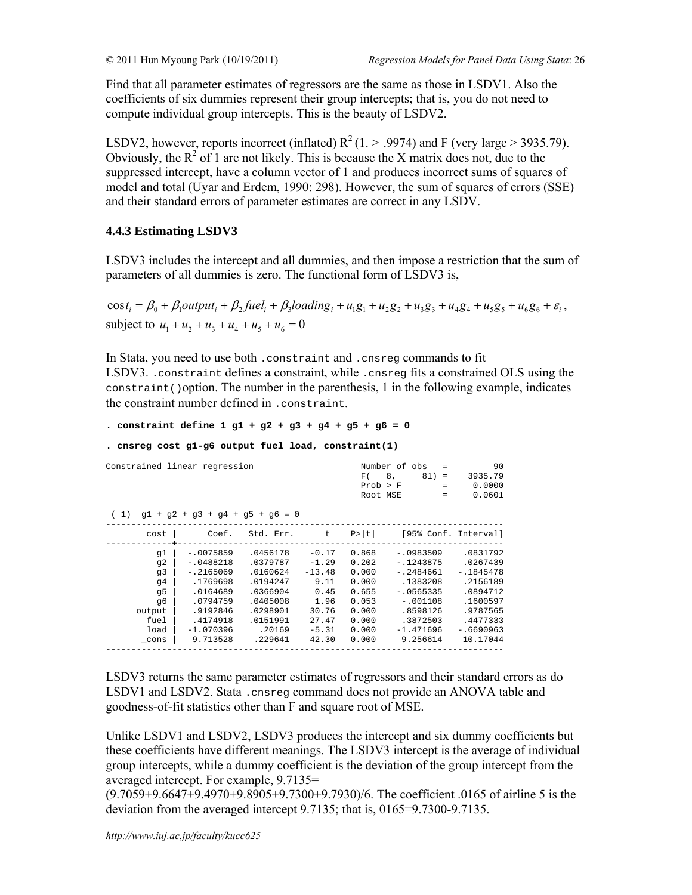Find that all parameter estimates of regressors are the same as those in LSDV1. Also the coefficients of six dummies represent their group intercepts; that is, you do not need to compute individual group intercepts. This is the beauty of LSDV2.

LSDV2, however, reports incorrect (inflated)  $R^2(1. > .9974)$  and F (very large  $> 3935.79$ ). Obviously, the  $R^2$  of 1 are not likely. This is because the X matrix does not, due to the suppressed intercept, have a column vector of 1 and produces incorrect sums of squares of model and total (Uyar and Erdem, 1990: 298). However, the sum of squares of errors (SSE) and their standard errors of parameter estimates are correct in any LSDV.

# **4.4.3 Estimating LSDV3**

LSDV3 includes the intercept and all dummies, and then impose a restriction that the sum of parameters of all dummies is zero. The functional form of LSDV3 is,

 $\cos t_i = \beta_0 + \beta_1$ output, +  $\beta_2$  fuel, +  $\beta_3$ loading, +  $u_1g_1 + u_2g_2 + u_3g_3 + u_4g_4 + u_5g_5 + u_6g_6 + \varepsilon_i$ subject to  $u_1 + u_2 + u_3 + u_4 + u_5 + u_6 = 0$ 

In Stata, you need to use both .constraint and .cnsreg commands to fit LSDV3. .constraint defines a constraint, while .cnsreg fits a constrained OLS using the  $constant$ () option. The number in the parenthesis, 1 in the following example, indicates the constraint number defined in .constraint.

```
. constraint define 1 g1 + g2 + g3 + g4 + g5 + g6 = 0
```

```
. cnsreg cost g1-g6 output fuel load, constraint(1)
```

| Constrained linear regression                                      | $(1)$ q1 + q2 + q3 + q4 + q5 + q6 = 0                                                                                            | F(<br>Prob > F<br>Root MSE                                                                                        | Number of obs<br>$=$<br>8,<br>$81) =$<br>$=$<br>$\qquad \qquad =$                            | 90<br>3935.79<br>0.0000<br>0.0601                                                      |                                                                                                                                      |                                                                                                                           |
|--------------------------------------------------------------------|----------------------------------------------------------------------------------------------------------------------------------|-------------------------------------------------------------------------------------------------------------------|----------------------------------------------------------------------------------------------|----------------------------------------------------------------------------------------|--------------------------------------------------------------------------------------------------------------------------------------|---------------------------------------------------------------------------------------------------------------------------|
| cost                                                               | Coef.                                                                                                                            | Std. Err.                                                                                                         | t                                                                                            | P>  t                                                                                  | [95% Conf. Interval]                                                                                                                 |                                                                                                                           |
| q1<br>q2<br>q3<br>q4<br>q5<br>q6<br>output<br>fuel<br>load<br>cons | $-.0075859$<br>$-.0488218$<br>$-.2165069$<br>.1769698<br>.0164689<br>.0794759<br>.9192846<br>.4174918<br>$-1.070396$<br>9.713528 | .0456178<br>.0379787<br>.0160624<br>.0194247<br>.0366904<br>.0405008<br>.0298901<br>.0151991<br>.20169<br>.229641 | $-0.17$<br>$-1.29$<br>$-13.48$<br>9.11<br>0.45<br>1.96<br>30.76<br>27.47<br>$-5.31$<br>42.30 | 0.868<br>0.202<br>0.000<br>0.000<br>0.655<br>0.053<br>0.000<br>0.000<br>0.000<br>0.000 | $-10983509$<br>$-1243875$<br>$-.2484661$<br>.1383208<br>$-10565335$<br>$-.001108$<br>.8598126<br>.3872503<br>$-1.471696$<br>9.256614 | .0831792<br>.0267439<br>$-1845478$<br>.2156189<br>.0894712<br>.1600597<br>.9787565<br>.4477333<br>$-16690963$<br>10.17044 |

LSDV3 returns the same parameter estimates of regressors and their standard errors as do LSDV1 and LSDV2. Stata .cnsreq command does not provide an ANOVA table and goodness-of-fit statistics other than F and square root of MSE.

Unlike LSDV1 and LSDV2, LSDV3 produces the intercept and six dummy coefficients but these coefficients have different meanings. The LSDV3 intercept is the average of individual group intercepts, while a dummy coefficient is the deviation of the group intercept from the averaged intercept. For example, 9.7135=

(9.7059+9.6647+9.4970+9.8905+9.7300+9.7930)/6. The coefficient .0165 of airline 5 is the deviation from the averaged intercept 9.7135; that is, 0165=9.7300-9.7135.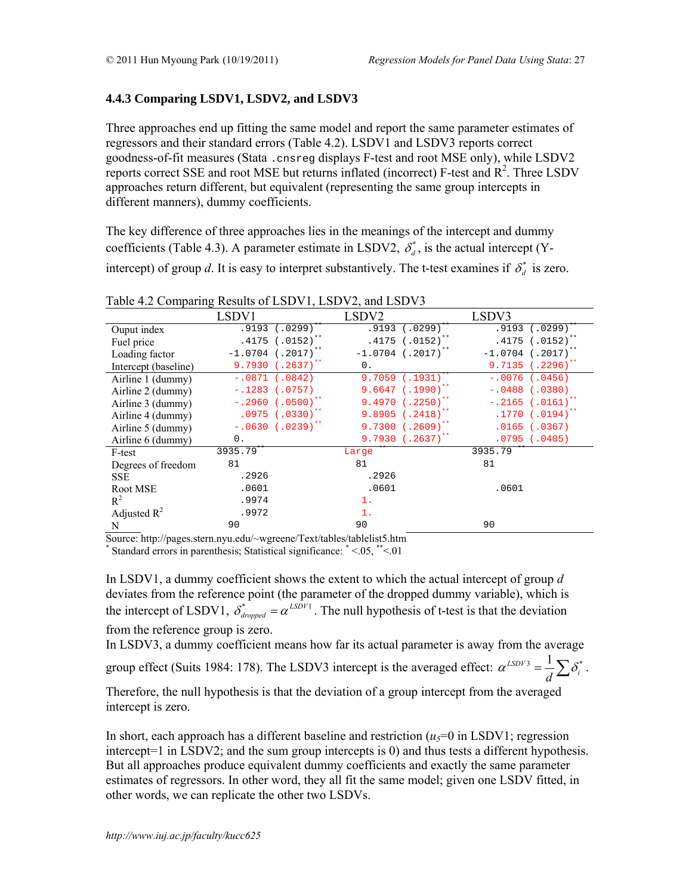*d*

# **4.4.3 Comparing LSDV1, LSDV2, and LSDV3**

Three approaches end up fitting the same model and report the same parameter estimates of regressors and their standard errors (Table 4.2). LSDV1 and LSDV3 reports correct goodness-of-fit measures (Stata .cnsreg displays F-test and root MSE only), while LSDV2 reports correct SSE and root MSE but returns inflated (incorrect) F-test and  $\mathbb{R}^2$ . Three LSDV approaches return different, but equivalent (representing the same group intercepts in different manners), dummy coefficients.

The key difference of three approaches lies in the meanings of the intercept and dummy coefficients (Table 4.3). A parameter estimate in LSDV2,  $\delta_d^*$ , is the actual intercept (Yintercept) of group *d*. It is easy to interpret substantively. The t-test examines if  $\delta_d^*$  is zero.

|                      | LSDV1                           | LSDV <sub>2</sub>               | LSDV3                           |
|----------------------|---------------------------------|---------------------------------|---------------------------------|
| Ouput index          | $.9193 \t (.0299)^{**}$         | $.9193(.0299)^{**}$             | $.9193 \overline{(.0299)^{**}}$ |
| Fuel price           | $.4175$ (.0152) <sup>**</sup>   | $.4175$ (.0152) <sup>**</sup>   | $.4175$ (.0152) <sup>**</sup>   |
| Loading factor       | $-1.0704$ (.2017) <sup>**</sup> | $-1.0704$ (.2017) <sup>**</sup> | $-1.0704$ (.2017) <sup>**</sup> |
| Intercept (baseline) | 9.7930 (.2637)**                | 0.                              | $9.7135$ (.2296) <sup>**</sup>  |
| Airline 1 (dummy)    | $-.0871$ (.0842)                | $9.7059$ $(.1931)^{**}$         | $-.0076(.0456)$                 |
| Airline 2 (dummy)    | $-.1283$ $(.0757)$              | $9.6647$ (.1990) <sup>**</sup>  | $-.0488$ (.0380)                |
| Airline 3 (dummy)    | $-.2960(.0500)^{**}$            | $9.4970(.2250)^{**}$            | $-.2165$ (.0161) <sup>**</sup>  |
| Airline 4 (dummy)    | $.0975$ $(.0330)^{**}$          | $9.8905$ $(.2418)^{**}$         | $.1770$ (.0194) <sup>**</sup>   |
| Airline 5 (dummy)    | $-.0630(.0239)^{**}$            | $9.7300(.2609)^{**}$            | $.0165$ $(.0367)$               |
| Airline 6 (dummy)    | 0.                              | $9.7930(0.2637)^{**}$           | $.0795$ $(.0405)$               |
| F-test               | 3935.79**                       | Large <sup>**</sup>             | $3935.79$ **                    |
| Degrees of freedom   | 81                              | 81                              | 81                              |
| <b>SSE</b>           | .2926                           | .2926                           |                                 |
| Root MSE             | .0601                           | .0601                           | .0601                           |
| $R^2$                | .9974                           | $1$ .                           |                                 |
| Adjusted $R^2$       | .9972                           | $1$ .                           |                                 |
| N                    | 90                              | 90                              | 90                              |

Table 4.2 Comparing Results of LSDV1, LSDV2, and LSDV3

Source: http://pages.stern.nyu.edu/~wgreene/Text/tables/tablelist5.htm \* Standard errors in parenthesis; Statistical significance: \* <.05, \*\*<.01

In LSDV1, a dummy coefficient shows the extent to which the actual intercept of group *d* deviates from the reference point (the parameter of the dropped dummy variable), which is the intercept of LSDV1,  $\delta_{dropped}^* = \alpha^{LSDV1}$ . The null hypothesis of t-test is that the deviation from the reference group is zero.

In LSDV3, a dummy coefficient means how far its actual parameter is away from the average

group effect (Suits 1984: 178). The LSDV3 intercept is the averaged effect:  $\alpha^{LSDV3} = \frac{1}{d} \sum \delta_i^*$  $\alpha^{LSDV3} = \frac{1}{N} \sum_i \delta_i^*$ .

Therefore, the null hypothesis is that the deviation of a group intercept from the averaged intercept is zero.

In short, each approach has a different baseline and restriction  $(u_5=0$  in LSDV1; regression intercept=1 in LSDV2; and the sum group intercepts is 0) and thus tests a different hypothesis. But all approaches produce equivalent dummy coefficients and exactly the same parameter estimates of regressors. In other word, they all fit the same model; given one LSDV fitted, in other words, we can replicate the other two LSDVs.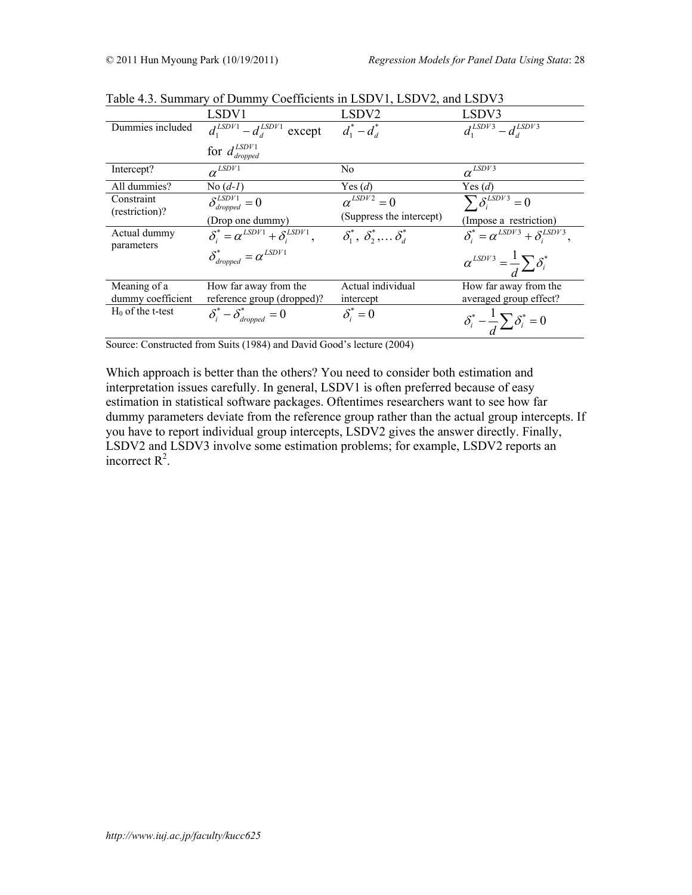|                     | LSDV1                                               | LSDV <sub>2</sub>                             | LSDV3                                            |
|---------------------|-----------------------------------------------------|-----------------------------------------------|--------------------------------------------------|
| Dummies included    | $d_1^{LSDV1} - d_4^{LSDV1}$<br>except               | $d_1^* - d_3^*$                               | $d_1^{LSDV3} - d_4^{LSDV3}$                      |
|                     | for $d_{dropped}^{LSDV1}$                           |                                               |                                                  |
| Intercept?          | $\alpha^{LSDV1}$                                    | No                                            | $\alpha^{LSDV3}$                                 |
| All dummies?        | No $(d-1)$                                          | Yes $(d)$                                     | Yes $(d)$                                        |
| Constraint          | $\delta_{dropped}^{LSDV1} = 0$                      | $\alpha^{LSDV2} = 0$                          | $\sum \delta_i^{LSDV3} = 0$                      |
| (restriction)?      | (Drop one dummy)                                    | (Suppress the intercept)                      | (Impose a restriction)                           |
| Actual dummy        | $\delta_i^* = \alpha^{LSDV1} + \delta_i^{LSDV1},$   | $\delta_1^*, \ \delta_2^*, \ldots \delta_d^*$ | $\delta_i^* = \alpha^{LSDV3} + \delta_i^{LSDV3}$ |
| parameters          | $\delta_{\text{dropped}}^* = \alpha^{\text{LSDV1}}$ |                                               | $\alpha^{LSDV3} = \frac{1}{d} \sum \delta_i^*$   |
| Meaning of a        | How far away from the                               | Actual individual                             | How far away from the                            |
| dummy coefficient   | reference group (dropped)?                          | intercept                                     | averaged group effect?                           |
| $H_0$ of the t-test | $\delta_i^* - \delta_{\text{dropped}}^* = 0$        | $\delta_i^* = 0$                              | $\delta_i^* - \frac{1}{d} \sum \delta_i^* = 0$   |

Table 4.3. Summary of Dummy Coefficients in LSDV1, LSDV2, and LSDV3

Source: Constructed from Suits (1984) and David Good's lecture (2004)

Which approach is better than the others? You need to consider both estimation and interpretation issues carefully. In general, LSDV1 is often preferred because of easy estimation in statistical software packages. Oftentimes researchers want to see how far dummy parameters deviate from the reference group rather than the actual group intercepts. If you have to report individual group intercepts, LSDV2 gives the answer directly. Finally, LSDV2 and LSDV3 involve some estimation problems; for example, LSDV2 reports an incorrect  $R^2$ .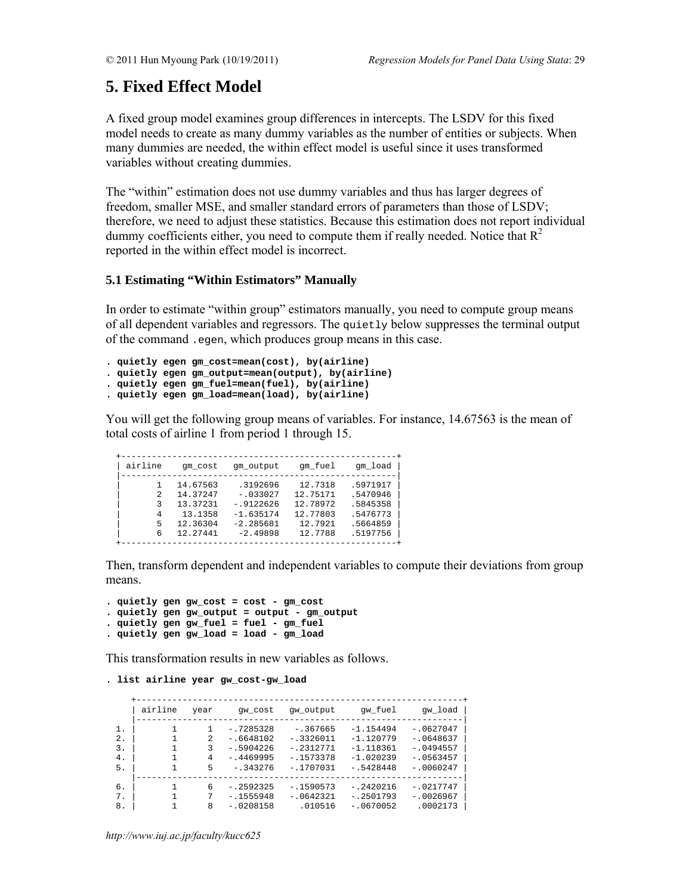# **5. Fixed Effect Model**

A fixed group model examines group differences in intercepts. The LSDV for this fixed model needs to create as many dummy variables as the number of entities or subjects. When many dummies are needed, the within effect model is useful since it uses transformed variables without creating dummies.

The "within" estimation does not use dummy variables and thus has larger degrees of freedom, smaller MSE, and smaller standard errors of parameters than those of LSDV; therefore, we need to adjust these statistics. Because this estimation does not report individual dummy coefficients either, you need to compute them if really needed. Notice that  $R^2$ reported in the within effect model is incorrect.

# **5.1 Estimating "Within Estimators" Manually**

In order to estimate "within group" estimators manually, you need to compute group means of all dependent variables and regressors. The quietly below suppresses the terminal output of the command .egen, which produces group means in this case.

```
. quietly egen gm_cost=mean(cost), by(airline)
```
- **. quietly egen gm\_output=mean(output), by(airline)**
- **. quietly egen gm\_fuel=mean(fuel), by(airline)**
- **. quietly egen gm\_load=mean(load), by(airline)**

You will get the following group means of variables. For instance, 14.67563 is the mean of total costs of airline 1 from period 1 through 15.

| airline | qm cost  | qm output    | qm fuel  | qm load  |
|---------|----------|--------------|----------|----------|
|         | 14.67563 | .3192696     | 12.7318  | .5971917 |
|         |          |              |          |          |
| 2       | 14.37247 | $-.033027$   | 12.75171 | .5470946 |
| ર       | 13.37231 | $-0.9122626$ | 12.78972 | .5845358 |
| 4       | 13.1358  | $-1.635174$  | 12.77803 | .5476773 |
| 5       | 12.36304 | $-2.285681$  | 12.7921  | .5664859 |
| 6       | 12.27441 | $-2.49898$   | 12.7788  | .5197756 |

Then, transform dependent and independent variables to compute their deviations from group means.

```
. quietly gen gw_cost = cost - gm_cost 
. quietly gen gw_output = output - gm_output 
. quietly gen gw_fuel = fuel - gm_fuel 
. quietly gen gw_load = load - gm_load
```
This transformation results in new variables as follows.

```
. list airline year gw_cost-gw_load
```

|       | airline | year | qw cost     | qw output   | qw fuel     | qw load     |
|-------|---------|------|-------------|-------------|-------------|-------------|
| 1.    |         |      | $-.7285328$ | $-0.367665$ | $-1.154494$ | $-10627047$ |
| $2$ . |         | 2    | $-.6648102$ | $-.3326011$ | $-1.120779$ | $-.0648637$ |
| 3.    |         | 3    | $-.5904226$ | $-.2312771$ | $-1.118361$ | $-10494557$ |
| 4.    |         | 4    | $-14469995$ | $-1573378$  | $-1.020239$ | $-0.563457$ |
| 5.    |         | 5    | $-.343276$  | $-1707031$  | $-.5428448$ | $-10060247$ |
|       |         |      |             |             |             |             |
| б.    |         | 6    | $-.2592325$ | $-1590573$  | $-.2420216$ | $-.0217747$ |
| 7.    |         | 7    | $-1555948$  | $-.0642321$ | $-.2501793$ | $-10026967$ |
| 8.    |         | 8    | $-.0208158$ | .010516     | $-.0670052$ | .0002173    |

*http://www.iuj.ac.jp/faculty/kucc625*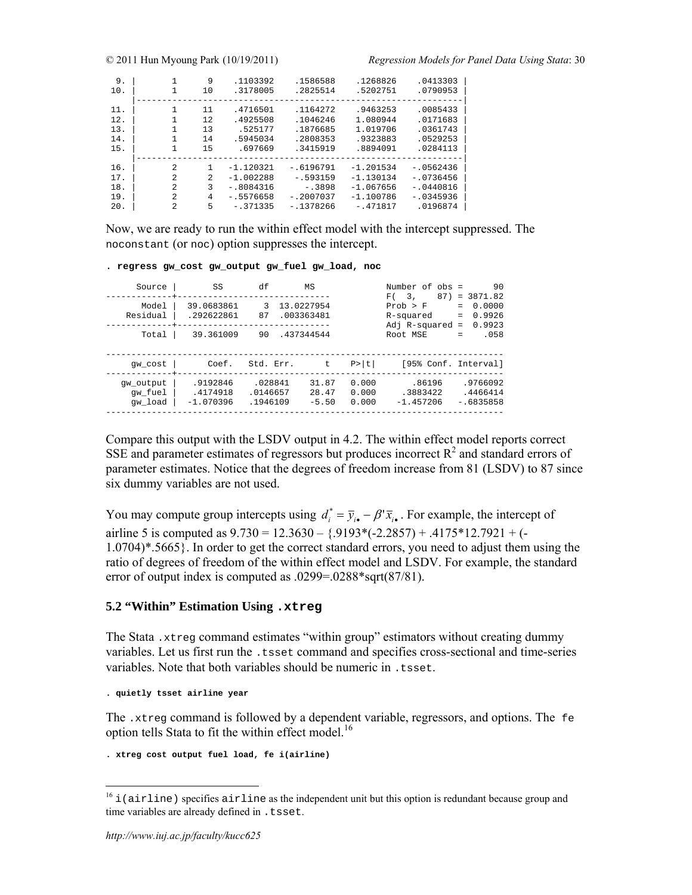© 2011 Hun Myoung Park (10/19/2011) *Regression Models for Panel Data Using Stata*: 30

| 9.                              | 1              | 9                           | .1103392                                               | .1586588                                                 | .1268826                                                 | .0413303                                                 |
|---------------------------------|----------------|-----------------------------|--------------------------------------------------------|----------------------------------------------------------|----------------------------------------------------------|----------------------------------------------------------|
| 10.                             |                | 10                          | .3178005                                               | .2825514                                                 | .5202751                                                 | .0790953                                                 |
| 11.<br>12.<br>13.<br>14.<br>15. | 1.<br>1<br>1   | 11<br>12.<br>13<br>14<br>15 | .4716501<br>.4925508<br>.525177<br>.5945034<br>.697669 | .1164272<br>.1046246<br>.1876685<br>.2808353<br>.3415919 | .9463253<br>1.080944<br>1.019706<br>.9323883<br>.8894091 | .0085433<br>.0171683<br>.0361743<br>.0529253<br>.0284113 |
| 16.                             | $\mathfrak{D}$ | 1                           | $-1.120321$                                            | $-.6196791$                                              | $-1.201534$                                              | $-.0562436$                                              |
| 17.                             | $\mathfrak{D}$ | $\mathfrak{D}$              | $-1.002288$                                            | $-0.593159$                                              | $-1.130134$                                              | $-0736456$                                               |
| 18.                             | $\mathfrak{D}$ | 3                           | $-.8084316$                                            | $-.3898$                                                 | $-1.067656$                                              | $-.0440816$                                              |
| 19.                             | $\mathfrak{D}$ | 4                           | $-15576658$                                            | $-.2007037$                                              | $-1.100786$                                              | $-.0345936$                                              |
| 20.                             | 2              | 5                           | $-.371335$                                             | $-1378266$                                               | $-.471817$                                               | .0196874                                                 |

Now, we are ready to run the within effect model with the intercept suppressed. The noconstant (or noc) option suppresses the intercept.

# **. regress gw\_cost gw\_output gw\_fuel gw\_load, noc**

| Source                          | SS                                    | df                              | MS                                     |                         | 90<br>Number of $obs =$<br>87)<br>$= 3871.82$<br>F(3)                                                              |
|---------------------------------|---------------------------------------|---------------------------------|----------------------------------------|-------------------------|--------------------------------------------------------------------------------------------------------------------|
| Model<br>Residual<br>Total      | 39.0683861<br>.292622861<br>39.361009 | 3<br>87<br>90                   | 13.0227954<br>.003363481<br>.437344544 |                         | 0.0000<br>Prob > F<br>$=$<br>0.9926<br>R-squared<br>$=$<br>0.9923<br>Adj $R$ -squared =<br>.058<br>Root MSE<br>$=$ |
| qw cost                         | Coef.                                 | Std. Err.                       | t.                                     | P>  t                   | [95% Conf. Interval]                                                                                               |
| qw output<br>qw fuel<br>qw load | .9192846<br>.4174918<br>$-1.070396$   | .028841<br>.0146657<br>.1946109 | 31.87<br>28.47<br>$-5.50$              | 0.000<br>0.000<br>0.000 | .86196<br>.9766092<br>.3883422<br>.4466414<br>$-1.457206$<br>$-.6835858$                                           |

Compare this output with the LSDV output in 4.2. The within effect model reports correct SSE and parameter estimates of regressors but produces incorrect  $R<sup>2</sup>$  and standard errors of parameter estimates. Notice that the degrees of freedom increase from 81 (LSDV) to 87 since six dummy variables are not used.

You may compute group intercepts using  $d_i^* = \overline{y}_{i\bullet} - \beta' \overline{x}_{i\bullet}$ . For example, the intercept of airline 5 is computed as  $9.730 = 12.3630 - \{.9193*(-2.2857) + .4175*12.7921 + (-$ 1.0704)\*.5665}. In order to get the correct standard errors, you need to adjust them using the ratio of degrees of freedom of the within effect model and LSDV. For example, the standard error of output index is computed as .0299=.0288\*sqrt(87/81).

### **5.2 "Within" Estimation Using .xtreg**

The Stata .xtreg command estimates "within group" estimators without creating dummy variables. Let us first run the .tsset command and specifies cross-sectional and time-series variables. Note that both variables should be numeric in . tsset.

**. quietly tsset airline year** 

The .xtreg command is followed by a dependent variable, regressors, and options. The fe option tells Stata to fit the within effect model.<sup>16</sup>

```
. xtreg cost output fuel load, fe i(airline)
```
 $16$  i(airline) specifies airline as the independent unit but this option is redundant because group and time variables are already defined in . tsset.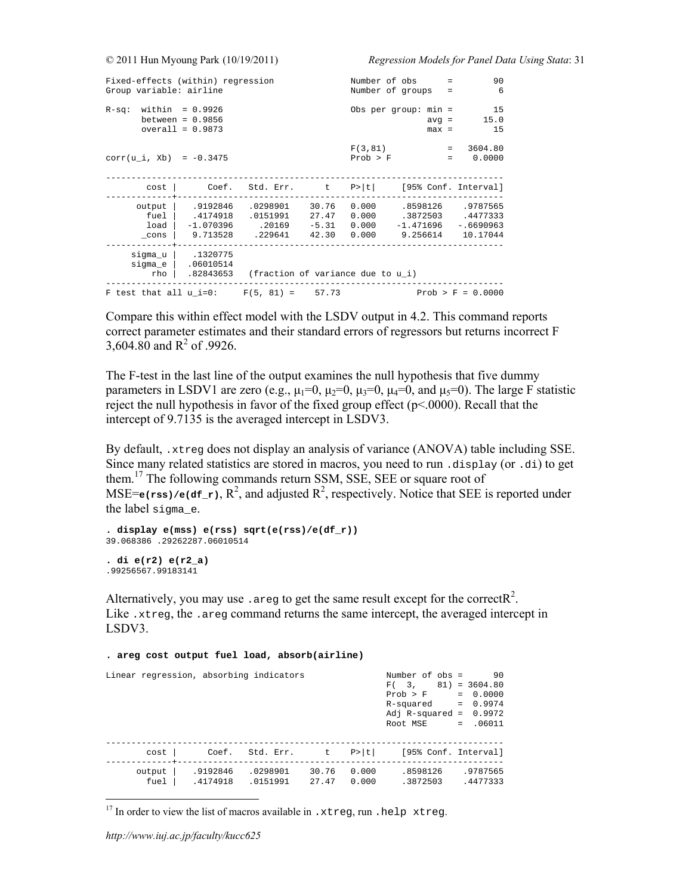| Fixed-effects (within) regression<br>Group variable: airline | Number of obs<br>Number of groups                           |                                                       | $=$<br>$=$                    | 90<br>6                         |                                                 |                    |                                                 |
|--------------------------------------------------------------|-------------------------------------------------------------|-------------------------------------------------------|-------------------------------|---------------------------------|-------------------------------------------------|--------------------|-------------------------------------------------|
| $R-Sq:$                                                      | within = 0.9926<br>between = $0.9856$<br>$overall = 0.9873$ |                                                       |                               | Obs per group: $min =$          |                                                 | $avg =$<br>$max =$ | 15<br>15.0<br>15                                |
| $corr(u_i, xb) = -0.3475$                                    |                                                             |                                                       |                               | F(3, 81)<br>Prob > F            |                                                 | $=$                | $= 3604.80$<br>0.0000                           |
| cost                                                         | Coef.                                                       | Std. Err. t                                           |                               |                                 |                                                 |                    | $P> t $ [95% Conf. Interval]                    |
| output<br>fuel<br>load<br>$\_cons$                           | .9192846<br>.4174918<br>9.713528                            | .0298901<br>.0151991<br>$-1.070396$ .20169<br>.229641 | 30.76<br>27.47<br>42.30 0.000 | 0.000<br>0.000<br>$-5.31$ 0.000 | .8598126<br>.3872503<br>$-1.471696$<br>9.256614 |                    | .9787565<br>.4477333<br>$-.6690963$<br>10.17044 |
| sigma_u<br>sigma e<br>rho                                    | .1320775<br>.06010514                                       | .82843653 (fraction of variance due to u i)           |                               |                                 |                                                 |                    |                                                 |
| F test that all $u$ i=0: $F(5, 81) = 57.73$                  |                                                             |                                                       |                               |                                 |                                                 |                    | $Prob > F = 0.0000$                             |

Compare this within effect model with the LSDV output in 4.2. This command reports correct parameter estimates and their standard errors of regressors but returns incorrect F 3,604.80 and  $R^2$  of .9926.

The F-test in the last line of the output examines the null hypothesis that five dummy parameters in LSDV1 are zero (e.g.,  $\mu_1=0$ ,  $\mu_2=0$ ,  $\mu_3=0$ ,  $\mu_4=0$ , and  $\mu_5=0$ ). The large F statistic reject the null hypothesis in favor of the fixed group effect (p<.0000). Recall that the intercept of 9.7135 is the averaged intercept in LSDV3.

By default, .xtreg does not display an analysis of variance (ANOVA) table including SSE. Since many related statistics are stored in macros, you need to run .display (or .di) to get them.17 The following commands return SSM, SSE, SEE or square root of MSE= $\epsilon$ (rss)/ $\epsilon$ (df\_r),  $R^2$ , and adjusted  $R^2$ , respectively. Notice that SEE is reported under the label sigma\_e.

```
. display e(mss) e(rss) sqrt(e(rss)/e(df_r)) 
39.068386 .29262287.06010514
```
**. di e(r2) e(r2\_a)**  .99256567.99183141

Alternatively, you may use . areg to get the same result except for the correct  $R^2$ . Like .xtreg, the .areg command returns the same intercept, the averaged intercept in LSDV3.

| Linear regression, absorbing indicators |                      |                      |                |                | Number of $obs =$<br>$F(3, 81) = 3604.80$<br>Prob > F<br>R-squared<br>Adj R-squared = $0.9972$<br>Root MSE | 90<br>$= 0.0000$<br>$= 0.9974$<br>$= .06011$ |
|-----------------------------------------|----------------------|----------------------|----------------|----------------|------------------------------------------------------------------------------------------------------------|----------------------------------------------|
| cost                                    |                      | Coef. Std. Err. t    |                | P >  t         | [95% Conf. Interval]                                                                                       |                                              |
| output<br>fuel                          | .9192846<br>.4174918 | .0298901<br>.0151991 | 30.76<br>27.47 | 0.000<br>0.000 | .8598126<br>.3872503                                                                                       | .9787565<br>.4477333                         |

**. areg cost output fuel load, absorb(airline)** 

<sup>&</sup>lt;sup>17</sup> In order to view the list of macros available in .xtreg, run .help xtreg.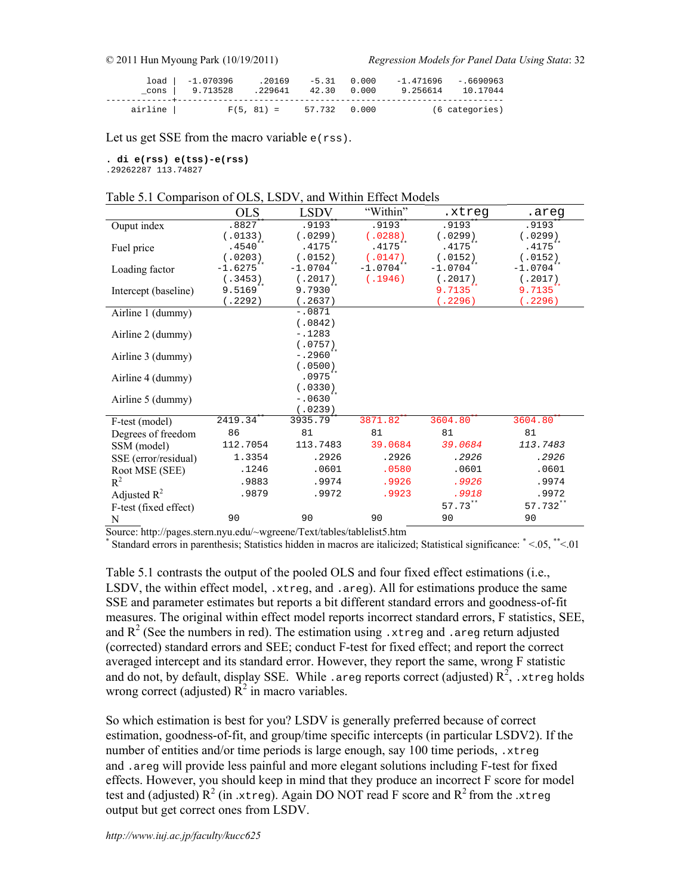|           | $load   -1.070396$<br>cons   9.713528 .229641 42.30 0.000 | .20169                    | $-5.31$ 0.000 | $-1.471696 - 6690963$ | 9.256614 10.17044 |
|-----------|-----------------------------------------------------------|---------------------------|---------------|-----------------------|-------------------|
| airline l |                                                           | $F(5, 81) = 57.732 0.000$ |               |                       | (6 categories)    |

Let us get SSE from the macro variable  $e$ ( $rss$ ).

**. di e(rss) e(tss)-e(rss)** 

.29262287 113.74827

Table 5.1 Comparison of OLS, LSDV, and Within Effect Models

|                       | <b>OLS</b>   | <b>LSDV</b>           | "Within"     | .xtreq                 | .areq        |
|-----------------------|--------------|-----------------------|--------------|------------------------|--------------|
| Ouput index           | $.8827**$    | $.9193**$             | $.9193$ **   | $.9193*$               | .9193**      |
|                       | (.0133)      | (.0299)               | (.0288)      | (.0299)                | (.0299)      |
| Fuel price            | $.4540**$    | $.4175***$            | $.4175***$   | $.4175***$             | $.4175***$   |
|                       | (.0203)      | (.0152)               | (.0147)      | (.0152)                | (.0152)      |
| Loading factor        | $-1.6275***$ | $-1.0704$ **          | $-1.0704$ ** | $-1.0704$ **           | $-1.0704$ ** |
|                       | (.3453)      | (.2017)               | (.1946)      | (.2017)                | (.2017)      |
| Intercept (baseline)  | $9.5169***$  | $9.7930**$            |              | $9.7135$ **            | 9.7135**     |
|                       | (.2292)      | (.2637)               |              | (.2296)                | (.2296)      |
| Airline 1 (dummy)     |              | $-.0871$              |              |                        |              |
|                       |              | (.0842)               |              |                        |              |
| Airline 2 (dummy)     |              | $-.1283$              |              |                        |              |
|                       |              | (.0757)               |              |                        |              |
| Airline 3 (dummy)     |              | $-.2960$ **           |              |                        |              |
|                       |              | (.0500)<br>$.0975$ ** |              |                        |              |
| Airline 4 (dummy)     |              |                       |              |                        |              |
|                       |              | (.0330)<br>$-.0630**$ |              |                        |              |
| Airline 5 (dummy)     |              | (.0239)               |              |                        |              |
| F-test (model)        | 2419.34      | 3935.79**             | 3871.82      | $3604.80$ <sup>*</sup> | 3604.80      |
|                       | 86           | 81                    | 81           | 81                     | 81           |
| Degrees of freedom    |              |                       |              |                        |              |
| SSM (model)           | 112.7054     | 113.7483              | 39.0684      | 39.0684                | 113.7483     |
| SSE (error/residual)  | 1.3354       | .2926                 | .2926        | .2926                  | .2926        |
| Root MSE (SEE)        | .1246        | .0601                 | .0580        | .0601                  | .0601        |
| $R^2$                 | .9883        | .9974                 | .9926        | .9926                  | .9974        |
| Adjusted $R^2$        | .9879        | .9972                 | .9923        | .9918                  | .9972        |
| F-test (fixed effect) |              |                       |              | $57.73***$             | 57.732**     |
| N                     | 90           | 90                    | 90           | 90                     | 90           |
|                       |              |                       |              |                        |              |

Source: http://pages.stern.nyu.edu/~wgreene/Text/tables/tablelist5.htm

\* Standard errors in parenthesis; Statistics hidden in macros are italicized; Statistical significance: \* <.05, \*\*<.01

Table 5.1 contrasts the output of the pooled OLS and four fixed effect estimations (i.e., LSDV, the within effect model,  $x$ treg, and  $a$ reg). All for estimations produce the same SSE and parameter estimates but reports a bit different standard errors and goodness-of-fit measures. The original within effect model reports incorrect standard errors, F statistics, SEE, and  $R^2$  (See the numbers in red). The estimation using .xtreg and .areg return adjusted (corrected) standard errors and SEE; conduct F-test for fixed effect; and report the correct averaged intercept and its standard error. However, they report the same, wrong F statistic and do not, by default, display SSE. While . areg reports correct (adjusted)  $R^2$ , xtreg holds wrong correct (adjusted)  $\mathbb{R}^2$  in macro variables.

So which estimation is best for you? LSDV is generally preferred because of correct estimation, goodness-of-fit, and group/time specific intercepts (in particular LSDV2). If the number of entities and/or time periods is large enough, say 100 time periods, .xtreg and .areg will provide less painful and more elegant solutions including F-test for fixed effects. However, you should keep in mind that they produce an incorrect F score for model test and (adjusted)  $R^2$  (in .xtreg). Again DO NOT read F score and  $R^2$  from the .xtreg output but get correct ones from LSDV.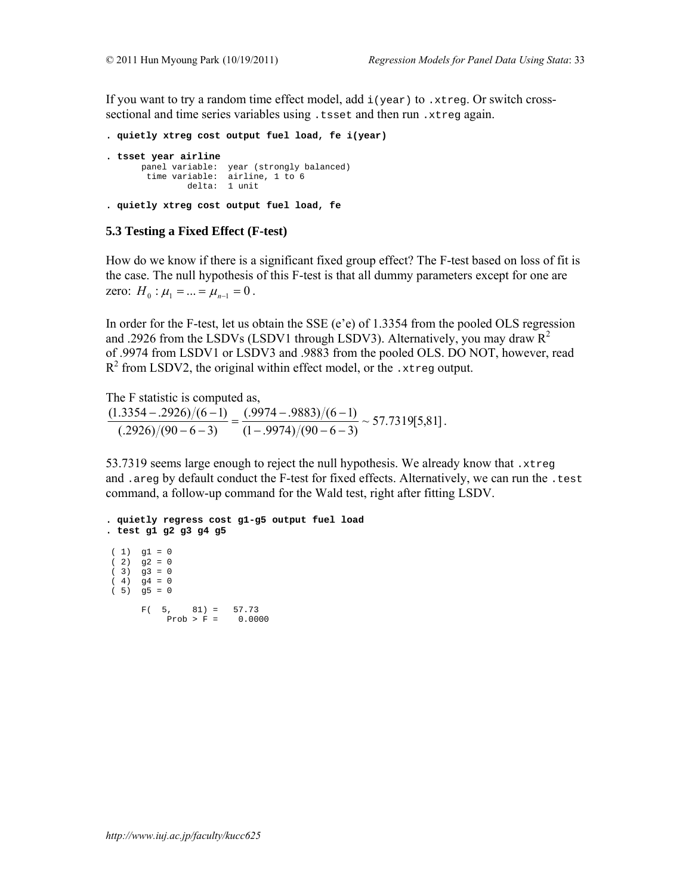If you want to try a random time effect model, add  $i$  (year) to .xtreg. Or switch crosssectional and time series variables using .tsset and then run .xtreg again.

```
. quietly xtreg cost output fuel load, fe i(year) 
. tsset year airline 
 panel variable: year (strongly balanced) 
 time variable: airline, 1 to 6 
              delta: 1 unit
```

```
. quietly xtreg cost output fuel load, fe
```
#### **5.3 Testing a Fixed Effect (F-test)**

How do we know if there is a significant fixed group effect? The F-test based on loss of fit is the case. The null hypothesis of this F-test is that all dummy parameters except for one are zero:  $H_0: \mu_1 = ... = \mu_{n-1} = 0$ .

In order for the F-test, let us obtain the SSE (e'e) of 1.3354 from the pooled OLS regression and .2926 from the LSDVs (LSDV1 through LSDV3). Alternatively, you may draw  $R^2$ of .9974 from LSDV1 or LSDV3 and .9883 from the pooled OLS. DO NOT, however, read  $R<sup>2</sup>$  from LSDV2, the original within effect model, or the .xtreg output.

The F statistic is computed as,

 $\frac{(0.9974 - 0.9883)}{(1 - 0.9974)}$   $\frac{(0.6674 - 0.9974)}{(0.9974)}$   $\approx$  57.7319[5,81]  $(.2926)/(90-6-3)$  $(1.3354 - .2926) / (6 - 1)$  $\frac{(-0.2926)/(6-1)}{(-0.9974)/(90-6-3)} = \frac{(-0.9974)(90-6-3)}{(-0.9974)/(90-6-3)} \approx 57.7319[5,81].$ 

53.7319 seems large enough to reject the null hypothesis. We already know that .xtreg and .areg by default conduct the F-test for fixed effects. Alternatively, we can run the .test command, a follow-up command for the Wald test, right after fitting LSDV.

```
. quietly regress cost g1-g5 output fuel load 
. test g1 g2 g3 g4 g5 
(1) g1 = 0
(2) g2 = 0
(3) g3 = 0
(4) g4 = 0
(5) g5 = 0
F( 5, 81) = 57.73Prob > F = 0.0000
```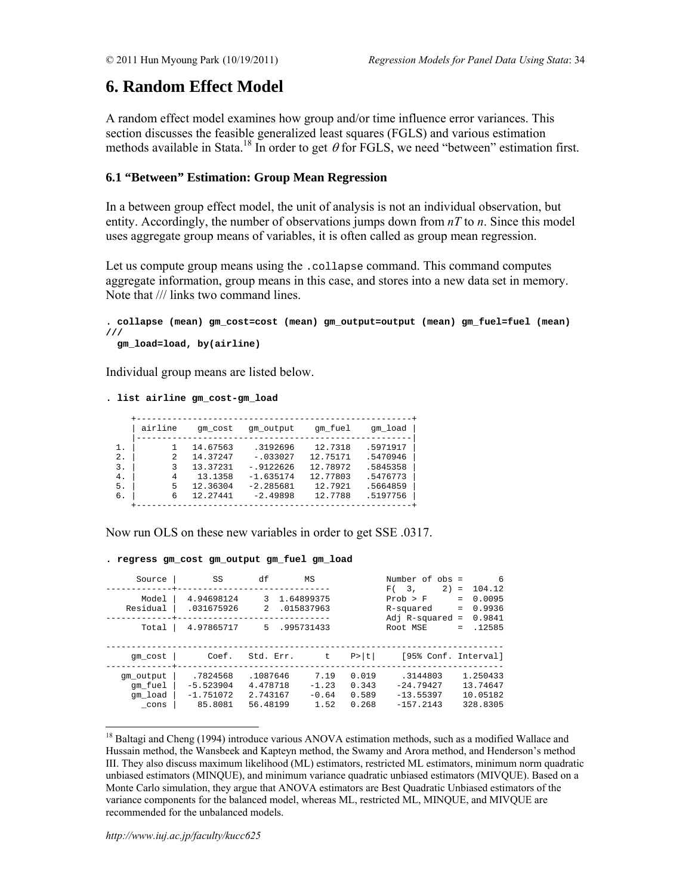# **6. Random Effect Model**

A random effect model examines how group and/or time influence error variances. This section discusses the feasible generalized least squares (FGLS) and various estimation methods available in Stata.<sup>18</sup> In order to get  $\theta$  for FGLS, we need "between" estimation first.

# **6.1 "Between" Estimation: Group Mean Regression**

In a between group effect model, the unit of analysis is not an individual observation, but entity. Accordingly, the number of observations jumps down from  $nT$  to  $n$ . Since this model uses aggregate group means of variables, it is often called as group mean regression.

Let us compute group means using the .collapse command. This command computes aggregate information, group means in this case, and stores into a new data set in memory. Note that /// links two command lines.

```
. collapse (mean) gm_cost=cost (mean) gm_output=output (mean) gm_fuel=fuel (mean) 
/// 
  gm_load=load, by(airline)
```
Individual group means are listed below.

#### **. list airline gm\_cost-gm\_load**

|              | airline | am cost  | qm output    | qm fuel  | qm load  |
|--------------|---------|----------|--------------|----------|----------|
| $\mathbf{1}$ |         | 14.67563 | .3192696     | 12.7318  | .5971917 |
| 2.           | 2       | 14.37247 | $-.033027$   | 12.75171 | .5470946 |
| 3.           | 3       | 13.37231 | $-0.9122626$ | 12.78972 | .5845358 |
| 4.           | 4       | 13.1358  | $-1.635174$  | 12.77803 | .5476773 |
| 5.           | 5       | 12.36304 | $-2.285681$  | 12.7921  | .5664859 |
| б.           | 6       | 12.27441 | $-2.49898$   | 12.7788  | .5197756 |
|              |         |          |              |          |          |

Now run OLS on these new variables in order to get SSE .0317.

#### **. regress gm\_cost gm\_output gm\_fuel gm\_load**

| Source                                  | SS                                                | df                                           | MS                                     |                                  | Number of obs =<br>2)<br>F(3)                           | 6<br>104.12<br>$\equiv$                                   |
|-----------------------------------------|---------------------------------------------------|----------------------------------------------|----------------------------------------|----------------------------------|---------------------------------------------------------|-----------------------------------------------------------|
| Model<br>Residual<br>Total              | 4.94698124<br>.031675926<br>4.97865717            | 3<br>$\overline{2}$<br>5.                    | 1.64899375<br>.015837963<br>.995731433 |                                  | Prob > F<br>R-squared<br>Adj $R$ -squared =<br>Root MSE | 0.0095<br>$=$<br>0.9936<br>$=$<br>0.9841<br>.12585<br>$=$ |
| qm cost                                 | Coef.                                             | Std. Err.                                    | t                                      | P>  t                            | [95% Conf. Interval]                                    |                                                           |
| qm output<br>qm fuel<br>qm load<br>cons | .7824568<br>$-5.523904$<br>$-1.751072$<br>85.8081 | .1087646<br>4.478718<br>2.743167<br>56.48199 | 7.19<br>$-1.23$<br>$-0.64$<br>1.52     | 0.019<br>0.343<br>0.589<br>0.268 | .3144803<br>$-24.79427$<br>$-13.55397$<br>$-157.2143$   | 1.250433<br>13.74647<br>10.05182<br>328.8305              |

<sup>18</sup> Baltagi and Cheng (1994) introduce various ANOVA estimation methods, such as a modified Wallace and Hussain method, the Wansbeek and Kapteyn method, the Swamy and Arora method, and Henderson's method III. They also discuss maximum likelihood (ML) estimators, restricted ML estimators, minimum norm quadratic unbiased estimators (MINQUE), and minimum variance quadratic unbiased estimators (MIVQUE). Based on a Monte Carlo simulation, they argue that ANOVA estimators are Best Quadratic Unbiased estimators of the variance components for the balanced model, whereas ML, restricted ML, MINQUE, and MIVQUE are recommended for the unbalanced models.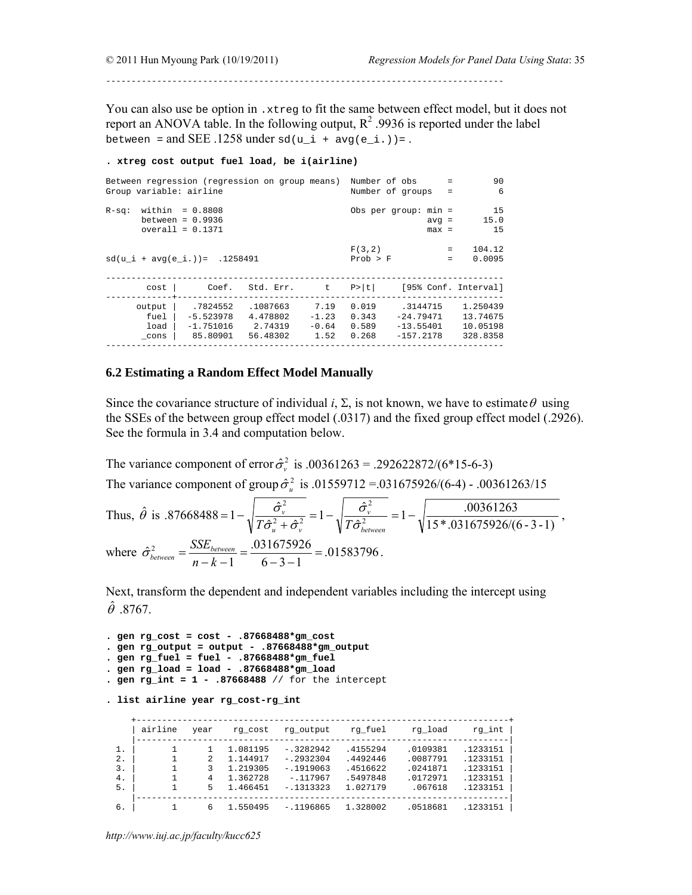------------------------------------------------------------------------------

You can also use be option in .xtreg to fit the same between effect model, but it does not report an ANOVA table. In the following output,  $R^2$  .9936 is reported under the label between = and SEE .1258 under sd(u i + avg(e i.))=.

#### **. xtreg cost output fuel load, be i(airline)**

| Between regression (regression on group means) |                    |                    |         |                 | Number of obs<br>$\equiv$ | 90                |
|------------------------------------------------|--------------------|--------------------|---------|-----------------|---------------------------|-------------------|
| Group variable: airline                        |                    | Number of groups = | 6       |                 |                           |                   |
| $R-Sq:$                                        | within $= 0.8808$  |                    |         |                 | Obs per group: $min =$    | 15                |
|                                                | between = $0.9936$ |                    |         |                 | $avg =$                   | 15.0              |
|                                                | $overall = 0.1371$ |                    |         |                 | $max =$                   | 15                |
|                                                |                    |                    |         | F(3,2)          |                           | 104.12<br>$=$ $-$ |
| $sd(u i + avg(e i.)) = .1258491$               |                    |                    |         | Prob > F        | $=$                       | 0.0095            |
|                                                |                    |                    |         |                 |                           |                   |
| cost                                           |                    | Coef. Std. Err. t  |         | P >  t          | [95% Conf. Interval]      |                   |
| output                                         | .7824552           | .1087663           | 7.19    | 0.019           | .3144715                  | 1.250439          |
| fuel                                           | $-5.523978$        | 4.478802           | $-1.23$ | 0.343           | -24.79471                 | 13.74675          |
| load                                           | $-1.751016$        | 2.74319            |         | $-0.64$ $0.589$ | $-13.55401$               | 10.05198          |
| cons                                           | 85.80901           | 56.48302           | 1.52    | 0.268           | $-157.2178$               | 328.8358          |
|                                                |                    |                    |         |                 |                           |                   |

# **6.2 Estimating a Random Effect Model Manually**

Since the covariance structure of individual  $i$ ,  $\Sigma$ , is not known, we have to estimate  $\theta$  using the SSEs of the between group effect model (.0317) and the fixed group effect model (.2926). See the formula in 3.4 and computation below.

The variance component of error  $\hat{\sigma}_{v}^{2}$  is .00361263 = .292622872/(6\*15-6-3) The variance component of group  $\hat{\sigma}_u^2$  is .01559712 = .031675926/(6-4) - .00361263/15  $\overline{\phantom{a}}$ 

Thus, 
$$
\hat{\theta}
$$
 is .87668488 =  $1 - \sqrt{\frac{\hat{\sigma}_{v}^2}{T\hat{\sigma}_{u}^2 + \hat{\sigma}_{v}^2}} = 1 - \sqrt{\frac{\hat{\sigma}_{v}^2}{T\hat{\sigma}_{between}^2}} = 1 - \sqrt{\frac{.00361263}{15 * .031675926/(6-3-1)}};$   
where  $\hat{\sigma}_{between}^2 = \frac{SSE_{between}}{n-k-1} = \frac{.031675926}{6-3-1} = .01583796.$ 

Next, transform the dependent and independent variables including the intercept using  $\hat{\theta}$  .8767.

```
. gen rg_cost = cost - .87668488*gm_cost 
. gen rg_output = output - .87668488*gm_output 
. gen rg_fuel = fuel - .87668488*gm_fuel 
. gen rg_load = load - .87668488*gm_load 
. gen rg_int = 1 - .87668488 // for the intercept
```

```
. list airline year rg_cost-rg_int
```

|       | airline | year | rg cost  | rg output   | rg fuel  | rg load  | rg int   |
|-------|---------|------|----------|-------------|----------|----------|----------|
| 1.    |         |      | 1.081195 | $-.3282942$ | .4155294 | .0109381 | .1233151 |
| $2$ . |         |      | 1.144917 | $-.2932304$ | .4492446 | .0087791 | .1233151 |
| 3.    |         | 3    | 1.219305 | $-1919063$  | .4516622 | .0241871 | .1233151 |
| 4.    |         | 4    | 1.362728 | $-.117967$  | .5497848 | .0172971 | .1233151 |
| 5.    |         | 5    | 1.466451 | $-.1313323$ | 1.027179 | .067618  | .1233151 |
|       |         |      |          |             |          |          |          |
| б.    |         | 6    | 1.550495 | $-1196865$  | 1.328002 | .0518681 | .1233151 |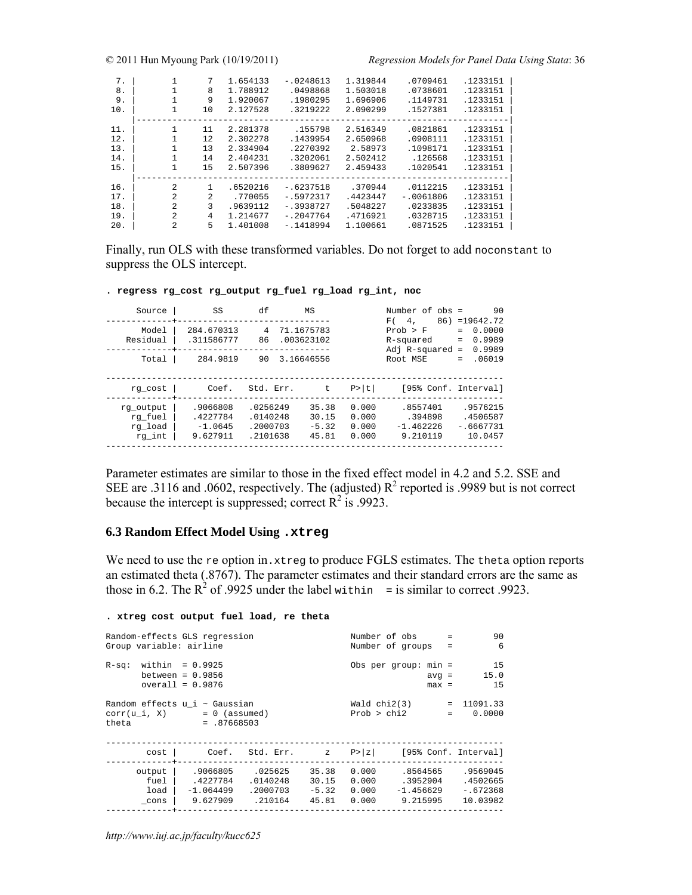| 7.<br>8.<br>9.<br>10. | $\mathbf{1}$ | 7<br>8<br>9<br>10 | 1.654133<br>1.788912<br>1.920067<br>2.127528 | $-.0248613$<br>.0498868<br>.1980295<br>.3219222 | 1.319844<br>1.503018<br>1.696906<br>2.090299 | .0709461<br>.0738601<br>.1149731<br>.1527381 | .1233151<br>.1233151<br>.1233151<br>.1233151 |
|-----------------------|--------------|-------------------|----------------------------------------------|-------------------------------------------------|----------------------------------------------|----------------------------------------------|----------------------------------------------|
| 11.                   |              | 11                | 2.281378                                     | .155798                                         | 2.516349                                     | .0821861                                     | .1233151                                     |
| 12.                   | 1            | 12                | 2.302278                                     | .1439954                                        | 2.650968                                     | .0908111                                     | .1233151                                     |
| 13.                   | 1            | 13                | 2.334904                                     | .2270392                                        | 2.58973                                      | .1098171                                     | .1233151                                     |
| 14.                   | $\mathbf{1}$ | 14                | 2.404231                                     | .3202061                                        | 2.502412                                     | .126568                                      | .1233151                                     |
| 15.                   | 1            | 15                | 2.507396                                     | .3809627                                        | 2.459433                                     | .1020541                                     | .1233151                                     |
|                       | 2            |                   |                                              |                                                 |                                              |                                              |                                              |
| 16.                   |              |                   | .6520216                                     | $-16237518$                                     | .370944                                      | .0112215                                     | .1233151                                     |
| 17.                   | 2            | $\mathfrak{D}$    | .770055                                      | $-15972317$                                     | .4423447                                     | $-10061806$                                  | .1233151                                     |
| 18.                   | 2            | 3                 | .9639112                                     | $-.3938727$                                     | .5048227                                     | .0233835                                     | .1233151                                     |
| 19.                   | 2            | 4                 | 1.214677                                     | $-.2047764$                                     | .4716921                                     | .0328715                                     | .1233151                                     |
| 20.                   | 2            | 5                 | 1.401008                                     | $-1418994$                                      | 1.100661                                     | .0871525                                     | .1233151                                     |

Finally, run OLS with these transformed variables. Do not forget to add noconstant to suppress the OLS intercept.

**. regress rg\_cost rg\_output rg\_fuel rg\_load rg\_int, noc** 

| Source                                    | SS                                            | df                                           | ΜS                                 |                                  | Number of obs =<br>F(4)                       | 90<br>$86) = 19642.72$                         |
|-------------------------------------------|-----------------------------------------------|----------------------------------------------|------------------------------------|----------------------------------|-----------------------------------------------|------------------------------------------------|
| Model<br>Residual                         | 284.670313<br>.311586777                      | 4<br>86                                      | 71.1675783<br>.003623102           |                                  | Prob > F<br>R-squared<br>$Adi$ R-squared =    | 0.0000<br>0.9989<br>$=$<br>0.9989              |
| Total                                     | 284.9819                                      | 90                                           | 3.16646556                         |                                  | Root MSE                                      | .06019<br>$=$                                  |
| rg cost                                   | Coef.                                         | Std. Err.                                    | t.                                 | P >  t                           | [95% Conf. Interval]                          |                                                |
| rg output<br>rg fuel<br>rg load<br>rg int | .9066808<br>.4227784<br>$-1.0645$<br>9.627911 | .0256249<br>.0140248<br>.2000703<br>.2101638 | 35.38<br>30.15<br>$-5.32$<br>45.81 | 0.000<br>0.000<br>0.000<br>0.000 | .8557401<br>394898<br>$-1.462226$<br>9.210119 | .9576215<br>.4506587<br>$-.6667731$<br>10.0457 |

Parameter estimates are similar to those in the fixed effect model in 4.2 and 5.2. SSE and SEE are .3116 and .0602, respectively. The (adjusted)  $R^2$  reported is .9989 but is not correct because the intercept is suppressed; correct  $\mathbb{R}^2$  is .9923.

## **6.3 Random Effect Model Using .xtreg**

We need to use the re option in.xtreg to produce FGLS estimates. The theta option reports an estimated theta (.8767). The parameter estimates and their standard errors are the same as those in 6.2. The  $R^2$  of .9925 under the label within = is similar to correct .9923.

#### **. xtreg cost output fuel load, re theta**

| Random-effects GLS regression<br>Group variable: airline                      |                                                             |                                            |                                        |                                          | Number of obs<br>$=$<br>Number of groups =    |                                                |  |
|-------------------------------------------------------------------------------|-------------------------------------------------------------|--------------------------------------------|----------------------------------------|------------------------------------------|-----------------------------------------------|------------------------------------------------|--|
| $R-Sq:$                                                                       | within = 0.9925<br>between = $0.9856$<br>$overall = 0.9876$ |                                            |                                        |                                          | Obs per group: $min =$<br>$avg =$<br>$max =$  | 15<br>15.0<br>15                               |  |
| Random effects $u$ i $\sim$ Gaussian<br>$corr(u i, X) = 0$ (assumed)<br>theta | Wald $chi2(3)$<br>Prob > chi2                               |                                            | $= 11091.33$<br>0.0000<br>$\mathbf{r}$ |                                          |                                               |                                                |  |
| cost                                                                          | Coef.                                                       | Std. Err. z                                |                                        | P >  z                                   |                                               | [95% Conf. Interval]                           |  |
| output<br>fuel<br>load  <br>cons                                              | .9066805<br>.4227784<br>$-1.064499$<br>9.627909             | .025625<br>.0140248<br>.2000703<br>.210164 | 35.38<br>30.15<br>45.81                | 0.000<br>0.000<br>$-5.32$ 0.000<br>0.000 | .8564565<br>.3952904<br>-1.456629<br>9.215995 | .9569045<br>.4502665<br>$-.672368$<br>10.03982 |  |

*http://www.iuj.ac.jp/faculty/kucc625*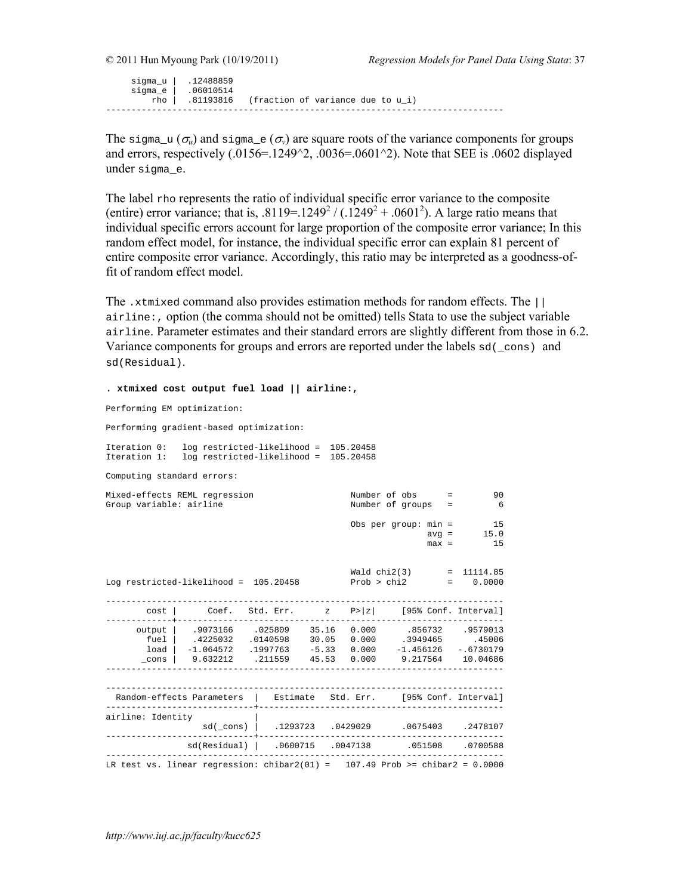sigma\_u | .12488859 sigma\_e | .06010514 rho | .81193816 (fraction of variance due to u\_i) ------------------------------------------------------------------------------

The sigma<sub>r</sub>u ( $\sigma_u$ ) and sigma<sub>re</sub> ( $\sigma_v$ ) are square roots of the variance components for groups and errors, respectively  $(.0156=.1249^2).0036=.0601^2).$  Note that SEE is .0602 displayed under sigma\_e.

The label rho represents the ratio of individual specific error variance to the composite (entire) error variance; that is,  $.8119 = .1249^2 / (.1249^2 + .0601^2)$ . A large ratio means that individual specific errors account for large proportion of the composite error variance; In this random effect model, for instance, the individual specific error can explain 81 percent of entire composite error variance. Accordingly, this ratio may be interpreted as a goodness-offit of random effect model.

The .xtmixed command also provides estimation methods for random effects. The || airline:, option (the comma should not be omitted) tells Stata to use the subject variable airline. Parameter estimates and their standard errors are slightly different from those in 6.2. Variance components for groups and errors are reported under the labels  $sd(\text{cons})$  and sd(Residual).

**. xtmixed cost output fuel load || airline:,**  Performing EM optimization: Performing gradient-based optimization: Iteration 0: log restricted-likelihood = 105.20458 Iteration 1: log restricted-likelihood = 105.20458 Computing standard errors: Mixed-effects REML regression Number of obs = 90<br>Group variable: airline 1999 Number of groups = 90 Frammer of groups = 6 Obs per group: min = 15  $\text{avg} = 15.0$  $max = 15$  Wald chi2(3) = 11114.85 Log restricted-likelihood =  $105.20458$ ----------------------------------------------------------------------------- cost | Coef. Std. Err. z P>|z| [95% Conf. Interval] -------------+--------------------------------------------------------------- output | .9073166 .025809 35.16 0.000 .856732 .9579013 fuel | .4225032 .0140598 30.05 0.000 .3949465 .45006 load | -1.064572 .1997763 -5.33 0.000 -1.456126 -.6730179 \_cons | 9.632212 .211559 45.53 0.000 9.217564 10.04686 ------------------------------------------------------------------------------ ------------------------------------------------------------------------------ Random-effects Parameters | Estimate Std. Err. [95% Conf. Interval] -----------------------------+----------------------------------------------- airline: Identity | sd(\_cons) | .1293723 .0429029 .0675403 .2478107 -----------------------------+----------------------------------------------- sd(Residual) | .0600715 .0047138 .051508 .0700588 ------------------------------------------------------------------------------ LR test vs. linear regression: chibar2(01) =  $107.49$  Prob >= chibar2 = 0.0000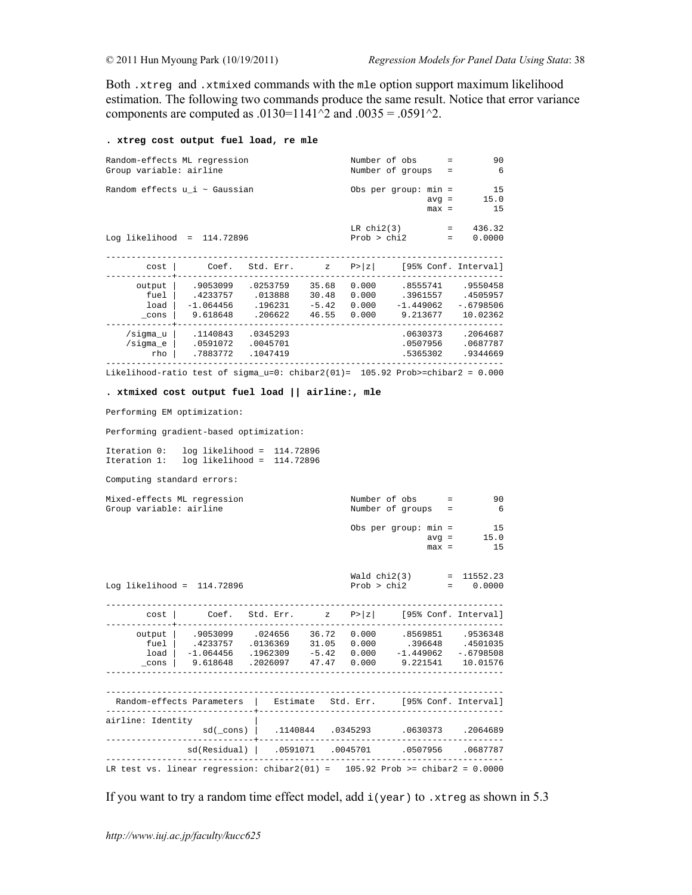Both .xtreg and .xtmixed commands with the mle option support maximum likelihood estimation. The following two commands produce the same result. Notice that error variance components are computed as .0130=1141^2 and .0035 = .0591^2.

#### **. xtreg cost output fuel load, re mle**

| Random-effects ML regression<br>Group variable: airline     |                                                                                  |                                           |                                    |                         | Number of obs<br>Number of groups                | $=$<br>$=$ | 90<br>6                                      |  |
|-------------------------------------------------------------|----------------------------------------------------------------------------------|-------------------------------------------|------------------------------------|-------------------------|--------------------------------------------------|------------|----------------------------------------------|--|
| Random effects u_i ~ Gaussian                               |                                                                                  |                                           |                                    |                         | Obs per group: $min =$<br>$avg =$<br>$max =$     |            | 15<br>15.0<br>15                             |  |
| LR $chi2(3)$<br>Prob > chi2<br>Log likelihood = $114.72896$ |                                                                                  |                                           |                                    |                         |                                                  | $=$        | 436.32<br>$\equiv$ 100 $\pm$<br>0.0000       |  |
| cost                                                        |                                                                                  | Coef. Std. Err. z                         |                                    |                         | $P >  z $ [95% Conf. Interval]                   |            |                                              |  |
| output<br>fuel<br>load<br>$\_cons$                          | .9053099<br>.4233757<br>$-1.064456$<br>9.618648                                  | .0253759<br>.013888<br>.196231<br>.206622 | 35.68<br>30.48<br>$-5.42$<br>46.55 | 0.000<br>0.000<br>0.000 | 0.000 .3961557 .4505957<br>-1.449062<br>9.213677 |            | .8555741 .9550458<br>$-.6798506$<br>10.02362 |  |
| /sigma_u  <br>$/s$ iqma e<br>rho                            | .1140843<br>.0591072<br>.7883772                                                 | .0345293<br>.0045701<br>.1047419          |                                    |                         | .0630373<br>.0507956<br>.5365302                 |            | .2064687<br>.0687787<br>.9344669             |  |
|                                                             | Likelihood-ratio test of sigma $u=0$ : chibar2(01)= 105.92 Prob>=chibar2 = 0.000 |                                           |                                    |                         |                                                  |            |                                              |  |

#### **. xtmixed cost output fuel load || airline:, mle**

Performing EM optimization:

Performing gradient-based optimization:

Iteration 0: log likelihood = 114.72896 Iteration 1: log likelihood = 114.72896

Computing standard errors:

| Mixed-effects ML regression<br>Group variable: airline |                                                                                                                                                                                                                                         |                                                 |  | Number of obs =<br>Number of groups =               |                            | 90<br>- 6 |
|--------------------------------------------------------|-----------------------------------------------------------------------------------------------------------------------------------------------------------------------------------------------------------------------------------------|-------------------------------------------------|--|-----------------------------------------------------|----------------------------|-----------|
|                                                        |                                                                                                                                                                                                                                         |                                                 |  | Obs per group: $min = 15$                           | $avg = 15.0$<br>$max = 15$ |           |
| Log likelihood = $114.72896$                           |                                                                                                                                                                                                                                         |                                                 |  | Wald $chi2(3)$ = 11552.23<br>$Prob > chi2$ = 0.0000 |                            |           |
| -----------+---                                        | cost   Coef. Std. Err. z P> z  [95% Conf. Interval]                                                                                                                                                                                     |                                                 |  |                                                     |                            |           |
|                                                        | output   .9053099 .024656 36.72 0.000 .8569851 .9536348<br>fuel   .4233757 .0136369 31.05 0.000 .396648 .4501035<br>load   -1.064456 .1962309 -5.42 0.000 -1.449062 -.6798508<br>cons   9.618648 .2026097 47.47 0.000 9.221541 10.01576 |                                                 |  |                                                     |                            |           |
|                                                        | Random-effects Parameters   Estimate Std. Err. [95% Conf. Interval]                                                                                                                                                                     |                                                 |  |                                                     |                            |           |
| airline: Identity                                      |                                                                                                                                                                                                                                         | sd(_cons)   .1140844 .0345293 .0630373 .2064689 |  |                                                     |                            |           |
|                                                        | sd(Residual)   .0591071 .0045701 .0507956 .0687787                                                                                                                                                                                      |                                                 |  |                                                     |                            |           |
|                                                        | LR test vs. linear regression: chibar2(01) = $105.92$ Prob >= chibar2 = 0.0000                                                                                                                                                          |                                                 |  |                                                     |                            |           |

If you want to try a random time effect model, add  $i(year)$  to .xtreg as shown in 5.3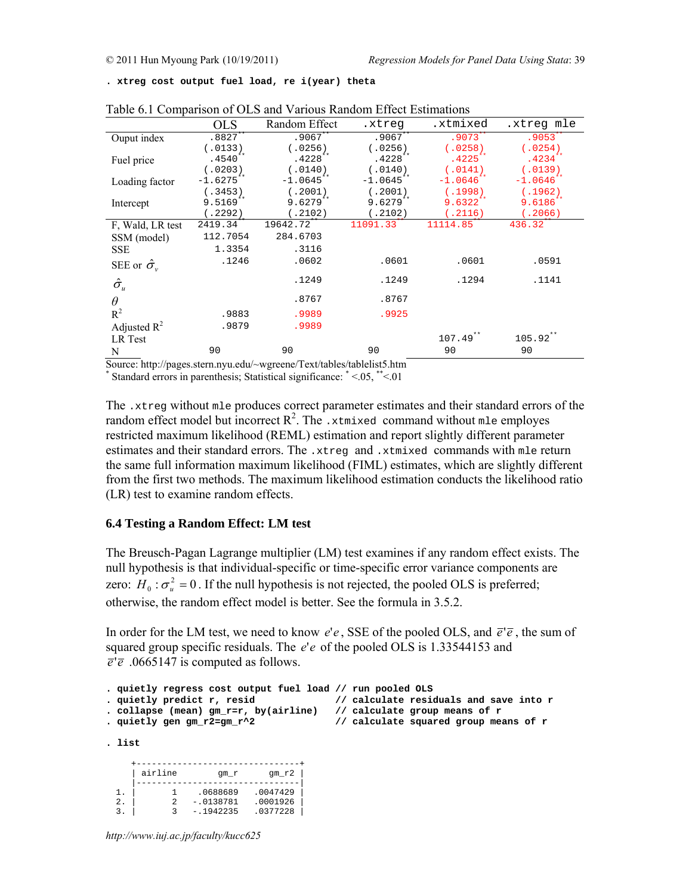**. xtreg cost output fuel load, re i(year) theta** 

|                                       | <b>OLS</b>   | Random Effect | .xtreq       | .xtmixed     | .xtreg mle            |
|---------------------------------------|--------------|---------------|--------------|--------------|-----------------------|
| Ouput index                           | $.8827***$   | $.9067**$     | $.9067***$   | $.9073$ **   | $.9053$ <sup>**</sup> |
|                                       | (.0133)      | (.0256)       | (.0256)      | (.0258)      | (.0254)               |
| Fuel price                            | $.4540**$    | $.4228***$    | $.4228***$   | $.4225***$   | $.4234***$            |
|                                       | (.0203)      | (.0140)       | (.0140)      | (.0141)      | (.0139)               |
| Loading factor                        | $-1.6275***$ | $-1.0645$ **  | $-1.0645$ ** | $-1.0646$ ** | $-1.0646"$            |
|                                       | (.3453)      | (.2001)       | (.2001)      | (.1998)      | (.1962)               |
| Intercept                             | $9.5169$ **  | $9.6279***$   | $9.6279***$  | $9.6322$ **  | $9.6186**$            |
|                                       | (.2292)      | (.2102)       | (.2102)      | (.2116)      | (.2066)               |
| F. Wald, LR test                      | $2419.34$ ** | 19642.72**    | 11091.33**   | 11114.85**   | $436.32$ **           |
| SSM (model)                           | 112.7054     | 284.6703      |              |              |                       |
| <b>SSE</b>                            | 1.3354       | .3116         |              |              |                       |
| SEE or $\hat{\sigma}_v$               | .1246        | .0602         | .0601        | .0601        | .0591                 |
| $\hat{\sigma}_{\scriptscriptstyle u}$ |              | .1249         | .1249        | .1294        | .1141                 |
| $\theta$                              |              | .8767         | .8767        |              |                       |
| $R^2$                                 | .9883        | .9989         | .9925        |              |                       |
| Adjusted $R^2$                        | .9879        | .9989         |              |              |                       |
| LR Test                               |              |               |              | $107.49***$  | $105.92$ **           |
| N                                     | 90           | 90            | 90           | 90           | 90                    |

Table 6.1 Comparison of OLS and Various Random Effect Estimations

Source: http://pages.stern.nyu.edu/~wgreene/Text/tables/tablelist5.htm

\* Standard errors in parenthesis; Statistical significance: \* <.05, \*\*<.01

The  $xtxreq$  without  $mle$  produces correct parameter estimates and their standard errors of the random effect model but incorrect  $R^2$ . The .xtmixed command without mle employes restricted maximum likelihood (REML) estimation and report slightly different parameter estimates and their standard errors. The . $x$ treg and . $x$ tmixed commands with mle return the same full information maximum likelihood (FIML) estimates, which are slightly different from the first two methods. The maximum likelihood estimation conducts the likelihood ratio (LR) test to examine random effects.

### **6.4 Testing a Random Effect: LM test**

The Breusch-Pagan Lagrange multiplier (LM) test examines if any random effect exists. The null hypothesis is that individual-specific or time-specific error variance components are zero:  $H_0 : \sigma_u^2 = 0$ . If the null hypothesis is not rejected, the pooled OLS is preferred; otherwise, the random effect model is better. See the formula in 3.5.2.

In order for the LM test, we need to know  $e'e$ , SSE of the pooled OLS, and  $\bar{e}'\bar{e}$ , the sum of squared group specific residuals. The *e*'*e* of the pooled OLS is 1.33544153 and  $\overline{e}$ ' $\overline{e}$  .0665147 is computed as follows.

```
. quietly regress cost output fuel load // run pooled OLS 
. quietly predict r, resid // calculate residuals and save into r 
. collapse (mean) gm_r=r, by(airline) // calculate group means of r 
. quietly gen gm_r2=gm_r^2 // calculate squared group means of r 
. list 
 +--------------------------------+ 
     | airline gm_r gm_r2 | 
 |--------------------------------|
```
*http://www.iuj.ac.jp/faculty/kucc625*

 1. | 1 .0688689 .0047429 | 2. | 2 -.0138781 .0001926 | 3. | 3 -.1942235 .0377228 |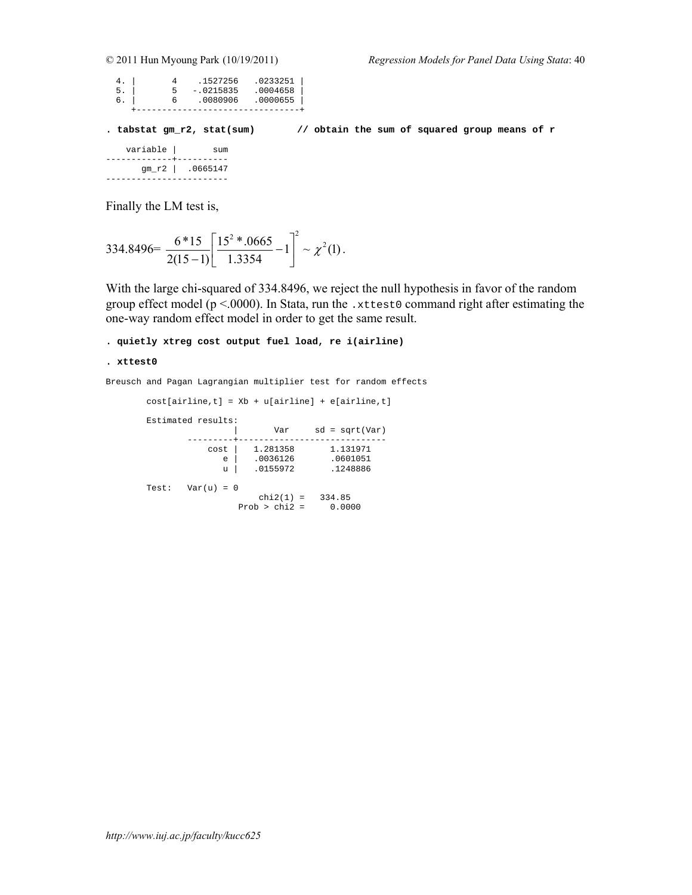| 4. | .1527256    | .0233251 |
|----|-------------|----------|
| 5. | $-.0215835$ | .0004658 |
| 6. | .0080906    | .0000655 |
|    |             |          |

**. tabstat gm\_r2, stat(sum) // obtain the sum of squared group means of r** 

| variable                             | 511m             |
|--------------------------------------|------------------|
| ------------ <del>-</del> ---------- | gm_r2   .0665147 |

Finally the LM test is,

$$
334.8496 = \frac{6*15}{2(15-1)} \left[ \frac{15^2 * .0665}{1.3354} - 1 \right]^2 \sim \chi^2(1).
$$

With the large chi-squared of 334.8496, we reject the null hypothesis in favor of the random group effect model ( $p < 0000$ ). In Stata, run the .xttest0 command right after estimating the one-way random effect model in order to get the same result.

**. quietly xtreg cost output fuel load, re i(airline)** 

```
. xttest0
```
Breusch and Pagan Lagrangian multiplier test for random effects

```
cost[airline, t] = Xb + u[airline] + e[airline, t] Estimated results: 
 | Var sd = sqrt(Var) 
 ---------+----------------------------- 
cost | 1.281358 1.131971
e | .0036126 .0601051
\begin{array}{|c|c|c|c|c|}\hline \text{u} & \text{.0155972} & \text{.1248886} \ \hline \end{array}Test: Var(u) = 0chi2(1) = 334.85 Prob > chi2 = 0.0000
```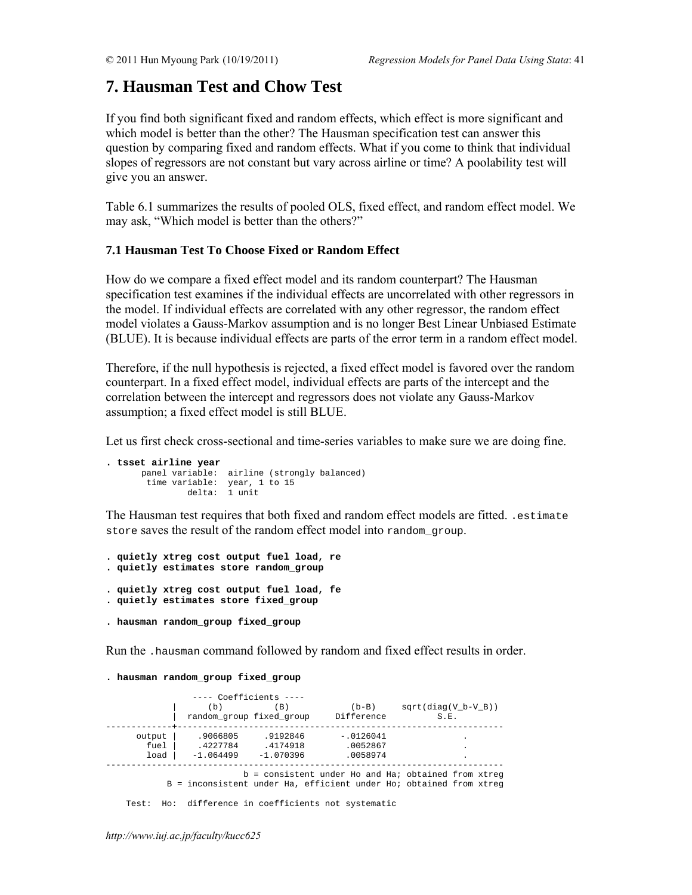# **7. Hausman Test and Chow Test**

If you find both significant fixed and random effects, which effect is more significant and which model is better than the other? The Hausman specification test can answer this question by comparing fixed and random effects. What if you come to think that individual slopes of regressors are not constant but vary across airline or time? A poolability test will give you an answer.

Table 6.1 summarizes the results of pooled OLS, fixed effect, and random effect model. We may ask, "Which model is better than the others?"

# **7.1 Hausman Test To Choose Fixed or Random Effect**

How do we compare a fixed effect model and its random counterpart? The Hausman specification test examines if the individual effects are uncorrelated with other regressors in the model. If individual effects are correlated with any other regressor, the random effect model violates a Gauss-Markov assumption and is no longer Best Linear Unbiased Estimate (BLUE). It is because individual effects are parts of the error term in a random effect model.

Therefore, if the null hypothesis is rejected, a fixed effect model is favored over the random counterpart. In a fixed effect model, individual effects are parts of the intercept and the correlation between the intercept and regressors does not violate any Gauss-Markov assumption; a fixed effect model is still BLUE.

Let us first check cross-sectional and time-series variables to make sure we are doing fine.

```
. tsset airline year 
 panel variable: airline (strongly balanced) 
 time variable: year, 1 to 15 
 delta: 1 unit
```
The Hausman test requires that both fixed and random effect models are fitted. .estimate store saves the result of the random effect model into random group.

```
. quietly xtreg cost output fuel load, re 
. quietly estimates store random_group
```
- **. quietly xtreg cost output fuel load, fe . quietly estimates store fixed\_group**
- **. hausman random\_group fixed\_group**

Run the .hausman command followed by random and fixed effect results in order.

**. hausman random\_group fixed\_group** 

|        | ---- Coefficients ----   |             |             |                                                                    |
|--------|--------------------------|-------------|-------------|--------------------------------------------------------------------|
|        | b)                       | (B)         | $(b-B)$     | $sqrt(diaq(V b-V B))$                                              |
|        | random_group fixed group |             | Difference  | S.E.                                                               |
|        |                          |             |             |                                                                    |
| output | .9066805                 | .9192846    | $-.0126041$ |                                                                    |
| fuel   | .4227784                 | .4174918    | .0052867    |                                                                    |
| load   | $-1.064499$              | $-1.070396$ | .0058974    |                                                                    |
|        |                          |             |             |                                                                    |
|        |                          |             |             | $b =$ consistent under Ho and Ha; obtained from xtreq              |
|        |                          |             |             | B = inconsistent under Ha, efficient under Ho; obtained from xtreq |

Test: Ho: difference in coefficients not systematic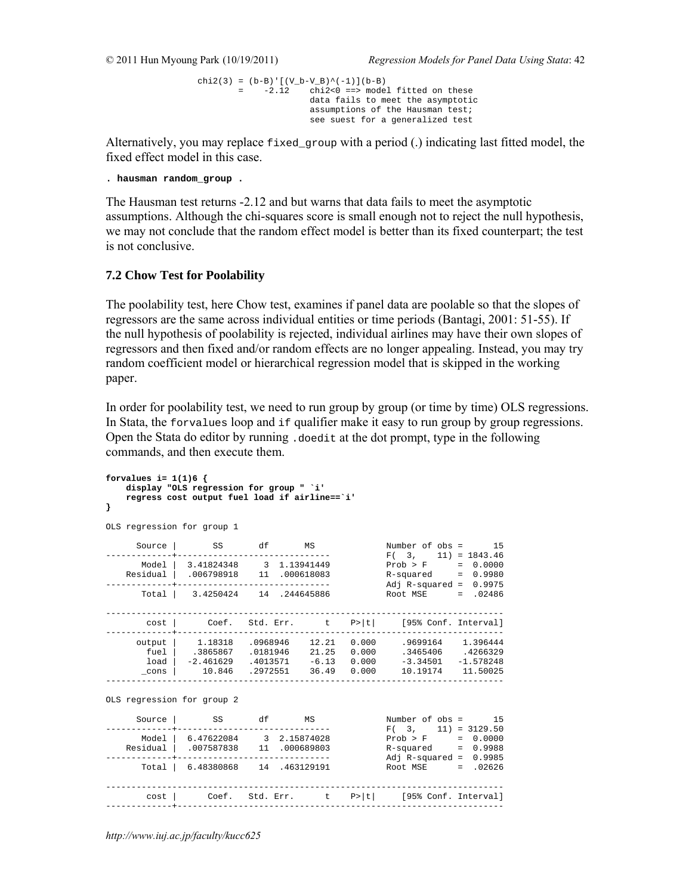```
chi2(3) = (b-B)'[(V_b-V_B)^(-1)](b-B)
        = -2.12 chi2<0 ==> model fitted on these 
                      data fails to meet the asymptotic 
                      assumptions of the Hausman test; 
                      see suest for a generalized test
```
Alternatively, you may replace  $f$  ixed\_group with a period (.) indicating last fitted model, the fixed effect model in this case.

```
. hausman random_group .
```
The Hausman test returns -2.12 and but warns that data fails to meet the asymptotic assumptions. Although the chi-squares score is small enough not to reject the null hypothesis, we may not conclude that the random effect model is better than its fixed counterpart; the test is not conclusive.

## **7.2 Chow Test for Poolability**

The poolability test, here Chow test, examines if panel data are poolable so that the slopes of regressors are the same across individual entities or time periods (Bantagi, 2001: 51-55). If the null hypothesis of poolability is rejected, individual airlines may have their own slopes of regressors and then fixed and/or random effects are no longer appealing. Instead, you may try random coefficient model or hierarchical regression model that is skipped in the working paper.

In order for poolability test, we need to run group by group (or time by time) OLS regressions. In Stata, the forvalues loop and if qualifier make it easy to run group by group regressions. Open the Stata do editor by running .doedit at the dot prompt, type in the following commands, and then execute them.

```
forvalues i= 1(1)6 { 
   display "OLS regression for group " `i' 
    regress cost output fuel load if airline==`i' 
} 
OLS regression for group 1 
Source | SS df MS Number of obs = 15
-------------+------------------------------ F( 3, 11) = 1843.46 
 Model | 3.41824348 3 1.13941449 Prob > F = 0.0000 
 Residual | .006798918 11 .000618083 R-squared = 0.9980 
-------------+------------------------------ Adj R-squared = 0.9975 
 Total | 3.4250424 14 .244645886 Root MSE = .02486 
------------------------------------------------------------------------------ 
  cost | Coef. Std. Err. t P>|t| [95% Conf. Interval] 
-------------+---------------------------------------------------------------- 
 output | 1.18318 .0968946 12.21 0.000 .9699164 1.396444 
 fuel | .3865867 .0181946 21.25 0.000 .3465406 .4266329 
 load | -2.461629 .4013571 -6.13 0.000 -3.34501 -1.578248 
 _cons | 10.846 .2972551 36.49 0.000 10.19174 11.50025 
           ------------------------------------------------------------------------------ 
OLS regression for group 2 
 Source | SS df MS Number of obs = 15 
-------------+------------------------------ F( 3, 11) = 3129.50 
 Model | 6.47622084 3 2.15874028 Prob > F = 0.0000 
 Residual | .007587838 11 .000689803 R-squared = 0.9988 
-------------+------------------------------ Adj R-squared = 0.9985 
 Total | 6.48380868 14 .463129191 Root MSE = .02626 
------------------------------------------------------------------------------ 
      cost | Coef. Std. Err. t P>|t| [95% Conf. Interval] 
-------------+----------------------------------------------------------------
```
*http://www.iuj.ac.jp/faculty/kucc625*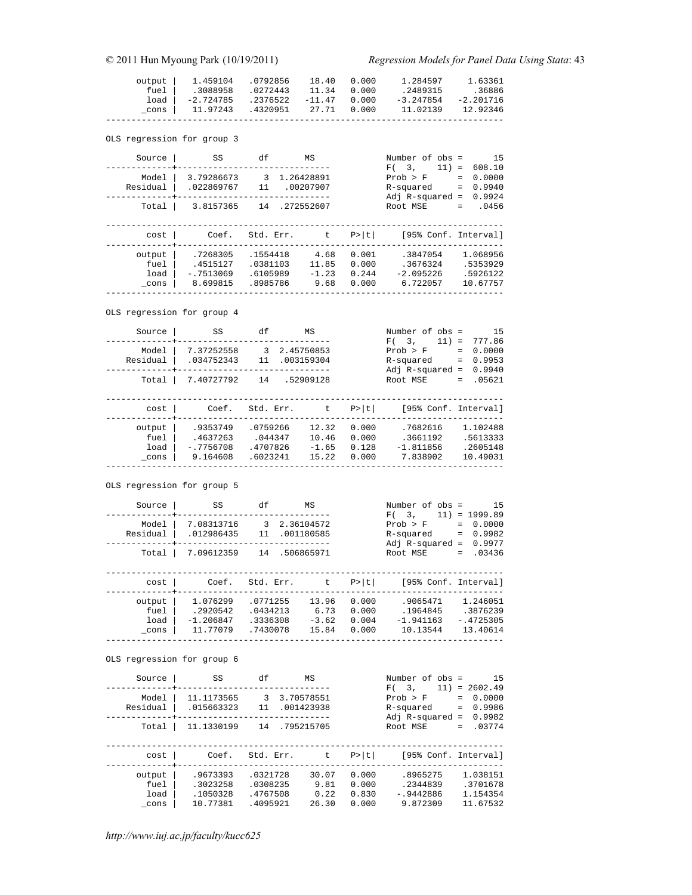| output   1.459104 .0792856             | 18.40 0.000 | 1.284597    | 1.63361           |
|----------------------------------------|-------------|-------------|-------------------|
| fuel 1.3088958 .0272443                | 11.34 0.000 | .2489315    | .36886            |
| $load$ -2.724785 .2376522 -11.47 0.000 |             | $-3.247854$ | $-2.201716$       |
| cons   11.97243 .4320951 27.71 0.000   |             |             | 11.02139 12.92346 |
|                                        |             |             |                   |

OLS regression for group 3

| Source                     | SS          | df        | MS         |       | Number of obs =      | 15                 |
|----------------------------|-------------|-----------|------------|-------|----------------------|--------------------|
|                            |             |           |            |       | $11) =$<br>F(3,      | 608.10             |
| Model                      | 3.79286673  | 3         | 1.26428891 |       | Prob > F             | 0.0000<br>$=$      |
| Residual                   | .022869767  | 11        | .00207907  |       | R-squared            | 0.9940<br>$\equiv$ |
|                            |             |           |            |       | Adj $R$ -squared =   | 0.9924             |
| Total                      | 3.8157365   | 14        | .272552607 |       | Root MSE             | .0456<br>$=$ $-$   |
|                            |             |           |            |       |                      |                    |
|                            |             |           |            |       |                      |                    |
| cost                       | Coef.       | Std. Err. | t          | P>  t | [95% Conf. Interval] |                    |
|                            |             |           |            |       |                      |                    |
| output                     | .7268305    | .1554418  | 4.68       | 0.001 | .3847054             | 1.068956           |
| fuel                       | .4515127    | .0381103  | 11.85      | 0.000 | .3676324             | .5353929           |
| load                       | $-17513069$ | .6105989  | $-1.23$    | 0.244 | $-2.095226$          | .5926122           |
|                            | 8.699815    | .8985786  | 9.68       | 0.000 | 6.722057             | 10.67757           |
| cons                       |             |           |            |       |                      |                    |
|                            |             |           |            |       |                      |                    |
|                            |             |           |            |       |                      |                    |
| OLS regression for group 4 |             |           |            |       |                      |                    |

 Source | SS df MS Number of obs = 15 -------------+------------------------------ F( 3, 11) = 777.86 Model | 7.37252558 3 2.45750853 Prob > F = 0.0000 Residual | .034752343 11 .003159304 R-squared = 0.9953 -------------+------------------------------ Adj R-squared = 0.9940 Total | 7.40727792 14 .52909128 Root MSE = .05621 ----------------------------------------------------------------------------- cost | Coef. Std. Err. t P>|t| [95% Conf. Interval] -------------+--------------------------------------------------------------- output | .9353749 .0759266 12.32 0.000 .7682616 1.102488 fuel | .4637263 .044347 10.46 0.000 .3661192 .5613333 load | -.7756708 .4707826 -1.65 0.128 -1.811856 .2605148 \_cons | 9.164608 .6023241 15.22 0.000 7.838902 10.49031 ------------------------------------------------------------------------------

OLS regression for group 5

| Source                         | SS                                              | df                                           | ΜS                                     |                                  | Number of obs =<br>3.<br>F(                             | 15<br>$11) = 1999.89$                                     |
|--------------------------------|-------------------------------------------------|----------------------------------------------|----------------------------------------|----------------------------------|---------------------------------------------------------|-----------------------------------------------------------|
| Model<br>Residual<br>Total     | 7.08313716<br>.012986435<br>7.09612359          | 3<br>11<br>14                                | 2.36104572<br>.001180585<br>.506865971 |                                  | Prob > F<br>R-squared<br>Adj $R$ -squared =<br>Root MSE | 0.0000<br>$=$<br>0.9982<br>$=$<br>0.9977<br>.03436<br>$=$ |
| cost                           | Coef.                                           | Std. Err.                                    | $\mathsf{t}$ .                         | P>  t                            | [95% Conf. Interval]                                    |                                                           |
| output<br>fuel<br>load<br>cons | 1.076299<br>.2920542<br>$-1.206847$<br>11.77079 | .0771255<br>.0434213<br>.3336308<br>.7430078 | 13.96<br>6.73<br>$-3.62$<br>15.84      | 0.000<br>0.000<br>0.004<br>0.000 | .9065471<br>.1964845<br>$-1.941163$<br>10.13544         | 1.246051<br>.3876239<br>$-.4725305$<br>13.40614           |

------------------------------------------------------------------------------

OLS regression for group 6

| Source                         | SS                                           | df                                           | ΜS                                     |                                  | Number of obs =<br>11)<br>3.<br>F(                      | 15<br>$= 2602.49$                                         |
|--------------------------------|----------------------------------------------|----------------------------------------------|----------------------------------------|----------------------------------|---------------------------------------------------------|-----------------------------------------------------------|
| Model<br>Residual<br>Total     | 11.1173565<br>.015663323<br>11.1330199       | 3<br>11<br>14                                | 3.70578551<br>.001423938<br>.795215705 |                                  | Prob > F<br>R-squared<br>Adj $R$ -squared =<br>Root MSE | 0.0000<br>$=$<br>0.9986<br>$=$<br>0.9982<br>.03774<br>$=$ |
| cost                           | Coef.                                        | Std. Err.                                    | t.                                     | P >  t                           | [95% Conf. Interval]                                    |                                                           |
| output<br>fuel<br>load<br>cons | .9673393<br>.3023258<br>.1050328<br>10.77381 | .0321728<br>.0308235<br>.4767508<br>.4095921 | 30.07<br>9.81<br>0.22<br>26.30         | 0.000<br>0.000<br>0.830<br>0.000 | .8965275<br>.2344839<br>$-0.9442886$<br>9.872309        | 1.038151<br>.3701678<br>1.154354<br>11.67532              |

*http://www.iuj.ac.jp/faculty/kucc625*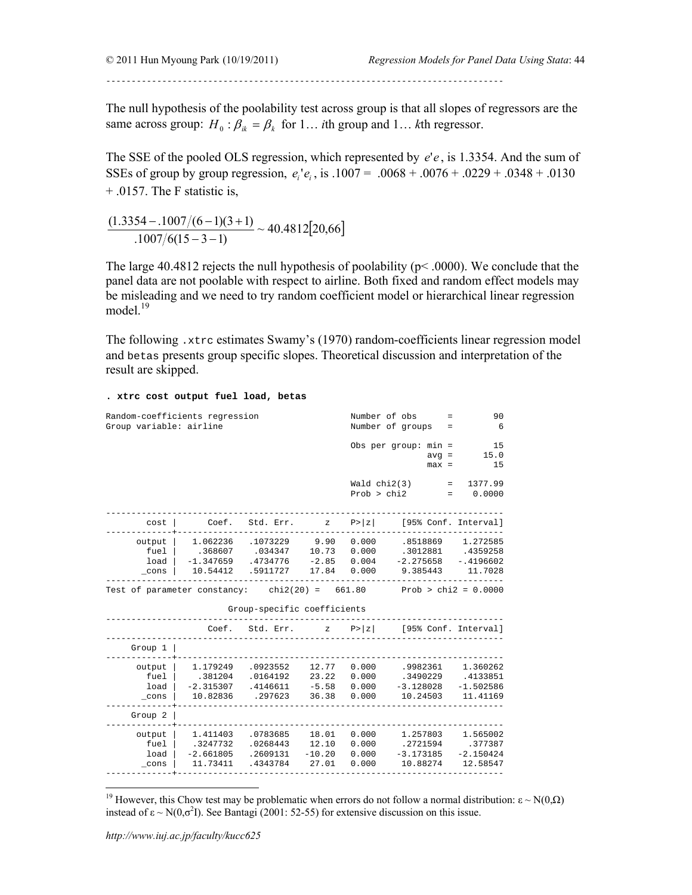------------------------------------------------------------------------------

The null hypothesis of the poolability test across group is that all slopes of regressors are the same across group:  $H_0: \beta_{ik} = \beta_k$  for 1... *i*th group and 1... *k*th regressor.

The SSE of the pooled OLS regression, which represented by *e*'*e* , is 1.3354. And the sum of SSEs of group by group regression,  $e_i^1 e_i$ , is  $.1007 = .0068 + .0076 + .0229 + .0348 + .0130$ + .0157. The F statistic is,

 $\frac{(1.3354 - 0.1007/(6-1)(3+1))}{0.1007/6(15-3-1)} \sim 40.4812[20,66]$  $-3 -1007/(6-1)(3 +$ 

The large  $40.4812$  rejects the null hypothesis of poolability ( $p<0.000$ ). We conclude that the panel data are not poolable with respect to airline. Both fixed and random effect models may be misleading and we need to try random coefficient model or hierarchical linear regression model. $19$ 

The following .xtrc estimates Swamy's (1970) random-coefficients linear regression model and betas presents group specific slopes. Theoretical discussion and interpretation of the result are skipped.

**. xtrc cost output fuel load, betas** 

| Random-coefficients regression<br>Group variable: airline             |                                                 |                                                                             |                                                | Number of obs                 | $=$<br>Number of groups<br>$=$                  | 90<br>6                                         |
|-----------------------------------------------------------------------|-------------------------------------------------|-----------------------------------------------------------------------------|------------------------------------------------|-------------------------------|-------------------------------------------------|-------------------------------------------------|
|                                                                       |                                                 |                                                                             |                                                |                               | Obs per $qroup: min =$<br>$avg =$<br>$max =$    | 15<br>15.0<br>15                                |
|                                                                       |                                                 |                                                                             |                                                | Wald $chi2(3)$<br>Prob > chi2 | $=$                                             | $\mathbf{r}$<br>1377.99<br>0.0000               |
| cost                                                                  | Coef.                                           | Std. Err.                                                                   | $\mathbf{Z}$                                   | P >  z                        | [95% Conf. Interval]                            |                                                 |
| output  <br>fuel<br>load<br>$\_cons$                                  | .368607<br>10.54412                             | 1.062236 .1073229 9.90 0.000<br>.034347<br>$-1.347659$ .4734776<br>.5911727 | 10.73 0.000<br>$-2.85$ 0.004<br>17.84          | 0.000                         | .8518869<br>.3012881<br>$-2.275658$<br>9.385443 | 1.272585<br>.4359258<br>$-1.4196602$<br>11.7028 |
| Test of parameter constancy: chi2(20) = $661.80$ Prob > chi2 = 0.0000 |                                                 | Group-specific coefficients                                                 |                                                |                               |                                                 |                                                 |
|                                                                       |                                                 | Coef. Std. Err.                                                             |                                                |                               | z $P >  z $ [95% Conf. Interval]                |                                                 |
| Group $1$                                                             |                                                 |                                                                             |                                                |                               |                                                 |                                                 |
| output<br>fuel<br>load<br>cons                                        | .381204<br>$-2.315307$<br>10.82836              | 1.179249 .0923552<br>.0164192<br>.4146611<br>.297623                        | 12.77<br>23.22 0.000<br>$-5.58$ 0.000<br>36.38 | 0.000<br>0.000                | .9982361<br>.3490229<br>$-3.128028$<br>10.24503 | 1.360262<br>.4133851<br>$-1.502586$<br>11.41169 |
| Group 2                                                               |                                                 |                                                                             |                                                |                               |                                                 |                                                 |
| output<br>fuel<br>load<br>$_{\rm \_cons}$                             | 1.411403<br>.3247732<br>$-2.661805$<br>11.73411 | .0783685<br>.0268443<br>.2609131 -10.20 0.000<br>.4343784                   | 18.01<br>12.10<br>27.01                        | 0.000<br>0.000<br>0.000       | 1.257803<br>.2721594<br>$-3.173185$<br>10.88274 | 1.565002<br>.377387<br>$-2.150424$<br>12.58547  |

<sup>&</sup>lt;sup>19</sup> However, this Chow test may be problematic when errors do not follow a normal distribution: ε ~ N(0,Ω) instead of  $\varepsilon \sim N(0,\sigma^2 I)$ . See Bantagi (2001: 52-55) for extensive discussion on this issue.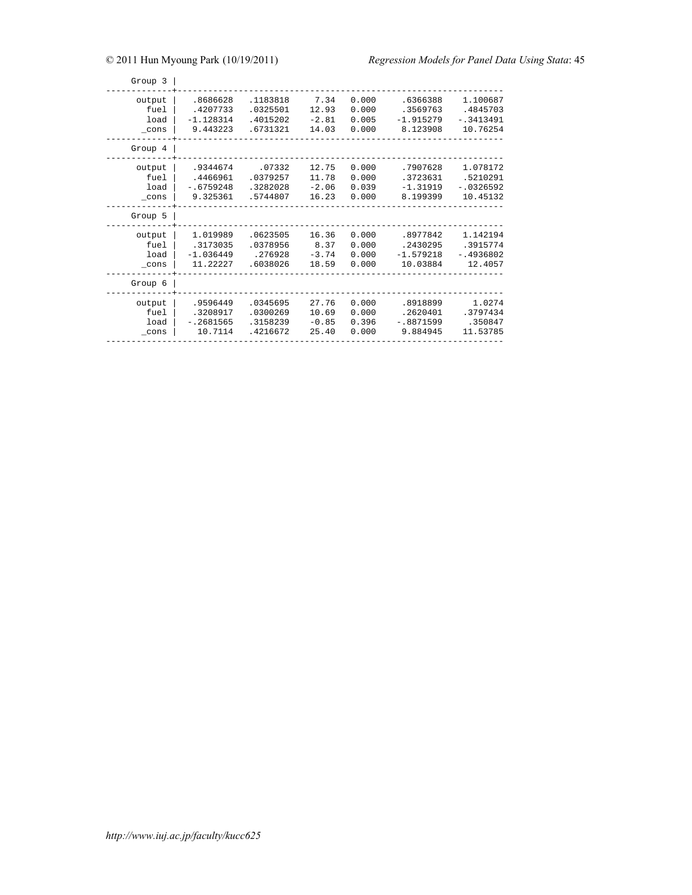| Group 3                                   |                                                 |                                              |                                    |                                  |                                                 |                                                 |
|-------------------------------------------|-------------------------------------------------|----------------------------------------------|------------------------------------|----------------------------------|-------------------------------------------------|-------------------------------------------------|
| output<br>fuel<br>load<br>cons<br>Group 4 | .8686628<br>.4207733<br>$-1.128314$<br>9.443223 | .1183818<br>.0325501<br>.4015202<br>.6731321 | 7.34<br>12.93<br>$-2.81$<br>14.03  | 0.000<br>0.000<br>0.005<br>0.000 | .6366388<br>.3569763<br>$-1.915279$<br>8.123908 | 1.100687<br>.4845703<br>$-13413491$<br>10.76254 |
| output<br>fuel<br>load<br>$_{\rm \_cons}$ | .9344674<br>.4466961<br>$-16759248$<br>9.325361 | .07332<br>.0379257<br>.3282028<br>.5744807   | 12.75<br>11.78<br>$-2.06$<br>16.23 | 0.000<br>0.000<br>0.039<br>0.000 | .7907628<br>.3723631<br>$-1.31919$<br>8.199399  | 1.078172<br>.5210291<br>$-10326592$<br>10.45132 |
| Group 5                                   |                                                 |                                              |                                    |                                  |                                                 |                                                 |
| output<br>fuel<br>load<br>cons            | 1.019989<br>.3173035<br>$-1.036449$<br>11.22227 | .0623505<br>.0378956<br>.276928<br>.6038026  | 16.36<br>8.37<br>$-3.74$<br>18.59  | 0.000<br>0.000<br>0.000<br>0.000 | .8977842<br>.2430295<br>$-1.579218$<br>10.03884 | 1.142194<br>.3915774<br>$-14936802$<br>12.4057  |
| Group 6                                   |                                                 |                                              |                                    |                                  |                                                 |                                                 |
| output<br>fuel<br>load<br>cons            | .9596449<br>.3208917<br>$-.2681565$<br>10.7114  | .0345695<br>.0300269<br>.3158239<br>.4216672 | 27.76<br>10.69<br>$-0.85$<br>25.40 | 0.000<br>0.000<br>0.396<br>0.000 | .8918899<br>.2620401<br>$-18871599$<br>9.884945 | 1.0274<br>.3797434<br>.350847<br>11.53785       |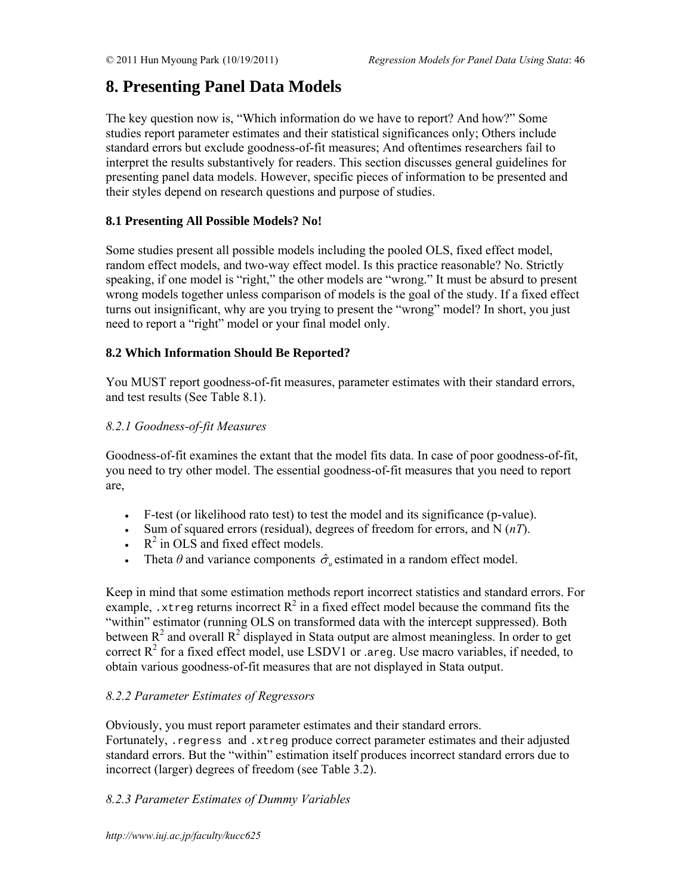# **8. Presenting Panel Data Models**

The key question now is, "Which information do we have to report? And how?" Some studies report parameter estimates and their statistical significances only; Others include standard errors but exclude goodness-of-fit measures; And oftentimes researchers fail to interpret the results substantively for readers. This section discusses general guidelines for presenting panel data models. However, specific pieces of information to be presented and their styles depend on research questions and purpose of studies.

# **8.1 Presenting All Possible Models? No!**

Some studies present all possible models including the pooled OLS, fixed effect model, random effect models, and two-way effect model. Is this practice reasonable? No. Strictly speaking, if one model is "right," the other models are "wrong." It must be absurd to present wrong models together unless comparison of models is the goal of the study. If a fixed effect turns out insignificant, why are you trying to present the "wrong" model? In short, you just need to report a "right" model or your final model only.

# **8.2 Which Information Should Be Reported?**

You MUST report goodness-of-fit measures, parameter estimates with their standard errors, and test results (See Table 8.1).

# *8.2.1 Goodness-of-fit Measures*

Goodness-of-fit examines the extant that the model fits data. In case of poor goodness-of-fit, you need to try other model. The essential goodness-of-fit measures that you need to report are,

- F-test (or likelihood rato test) to test the model and its significance (p-value).
- Sum of squared errors (residual), degrees of freedom for errors, and N (*nT*).
- $\cdot$  R<sup>2</sup> in OLS and fixed effect models.
- Theta  $\theta$  and variance components  $\hat{\sigma}$  estimated in a random effect model.

Keep in mind that some estimation methods report incorrect statistics and standard errors. For example, xtreg returns incorrect  $R^2$  in a fixed effect model because the command fits the "within" estimator (running OLS on transformed data with the intercept suppressed). Both between  $R^2$  and overall  $R^2$  displayed in Stata output are almost meaningless. In order to get correct  $R^2$  for a fixed effect model, use LSDV1 or .areg. Use macro variables, if needed, to obtain various goodness-of-fit measures that are not displayed in Stata output.

# *8.2.2 Parameter Estimates of Regressors*

Obviously, you must report parameter estimates and their standard errors. Fortunately, .regress and .xtreg produce correct parameter estimates and their adjusted standard errors. But the "within" estimation itself produces incorrect standard errors due to incorrect (larger) degrees of freedom (see Table 3.2).

# *8.2.3 Parameter Estimates of Dummy Variables*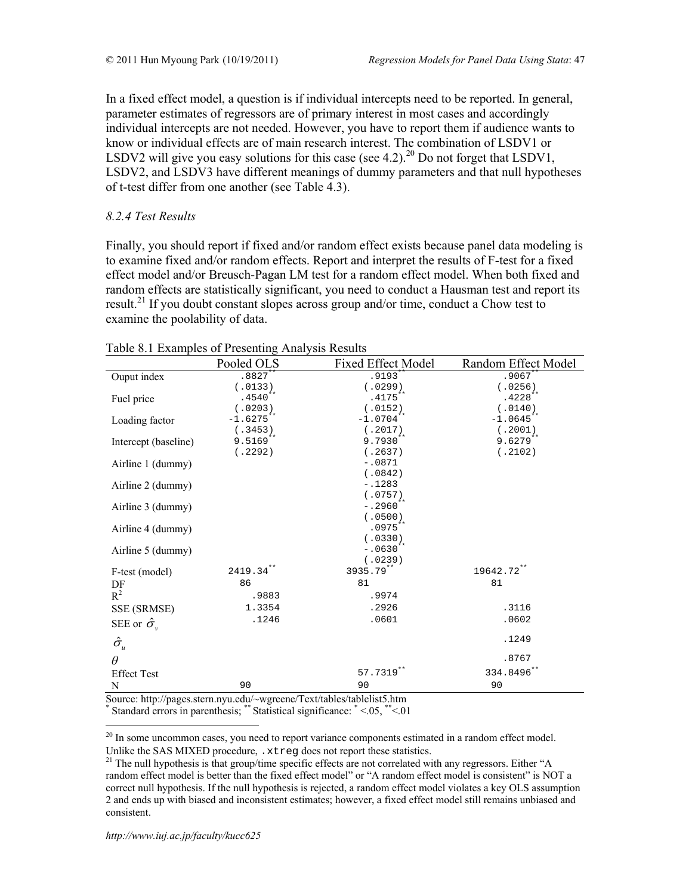In a fixed effect model, a question is if individual intercepts need to be reported. In general, parameter estimates of regressors are of primary interest in most cases and accordingly individual intercepts are not needed. However, you have to report them if audience wants to know or individual effects are of main research interest. The combination of LSDV1 or LSDV2 will give you easy solutions for this case (see 4.2).<sup>20</sup> Do not forget that LSDV1, LSDV2, and LSDV3 have different meanings of dummy parameters and that null hypotheses of t-test differ from one another (see Table 4.3).

# *8.2.4 Test Results*

Finally, you should report if fixed and/or random effect exists because panel data modeling is to examine fixed and/or random effects. Report and interpret the results of F-test for a fixed effect model and/or Breusch-Pagan LM test for a random effect model. When both fixed and random effects are statistically significant, you need to conduct a Hausman test and report its result.<sup>21</sup> If you doubt constant slopes across group and/or time, conduct a Chow test to examine the poolability of data.

|                         | Pooled OLS   | <b>Fixed Effect Model</b> | Random Effect Model |
|-------------------------|--------------|---------------------------|---------------------|
| Ouput index             | $.8827*$     | $.9193*$                  | $.9067*$            |
|                         | (.0133)      | (.0299)                   | (.0256)             |
| Fuel price              | $.4540**$    | $.4175***$                | $.4228$ **          |
|                         | (.0203)      | (.0152)                   | (.0140)             |
| Loading factor          | $-1.6275***$ | $-1.0704$ **              | $-1.0645$ **        |
|                         | (.3453)      | (.2017)                   | (.2001)             |
| Intercept (baseline)    | $9.5169$ **  | $9.7930**$                | $9.6279$ **         |
|                         | (.2292)      | (.2637)                   | (.2102)             |
| Airline 1 (dummy)       |              | $-.0871$                  |                     |
|                         |              | (.0842)<br>$-.1283$       |                     |
| Airline 2 (dummy)       |              |                           |                     |
|                         |              | (.0757)<br>$-.2960**$     |                     |
| Airline 3 (dummy)       |              | (.0500)                   |                     |
| Airline 4 (dummy)       |              | $.0975***$                |                     |
|                         |              | (.0330)                   |                     |
| Airline 5 (dummy)       |              | $-.0630^{*}$              |                     |
|                         |              | (.0239)                   |                     |
| F-test (model)          | 2419.34**    | 3935.79**                 | 19642.72**          |
| DF                      | 86           | 81                        | 81                  |
| $R^2$                   | .9883        | .9974                     |                     |
| SSE (SRMSE)             | 1.3354       | .2926                     | .3116               |
| SEE or $\hat{\sigma}_v$ | .1246        | .0601                     | .0602               |
|                         |              |                           |                     |
| $\hat{\sigma}_u$        |              |                           | .1249               |
| $\theta$                |              |                           | .8767               |
| <b>Effect Test</b>      |              | 57.7319**                 | 334.8496**          |
| N                       | 90           | 90                        | 90                  |

# Table 8.1 Examples of Presenting Analysis Results

Source: http://pages.stern.nyu.edu/~wgreene/Text/tables/tablelist5.htm \* Standard errors in parenthesis; \*\* Statistical significance: \* <.05, \*\*<.01

 $20$  In some uncommon cases, you need to report variance components estimated in a random effect model.

Unlike the SAS MIXED procedure, .xtreg does not report these statistics.<br><sup>21</sup> The null hypothesis is that group/time specific effects are not correlated with any regressors. Either "A random effect model is better than the fixed effect model" or "A random effect model is consistent" is NOT a correct null hypothesis. If the null hypothesis is rejected, a random effect model violates a key OLS assumption 2 and ends up with biased and inconsistent estimates; however, a fixed effect model still remains unbiased and consistent.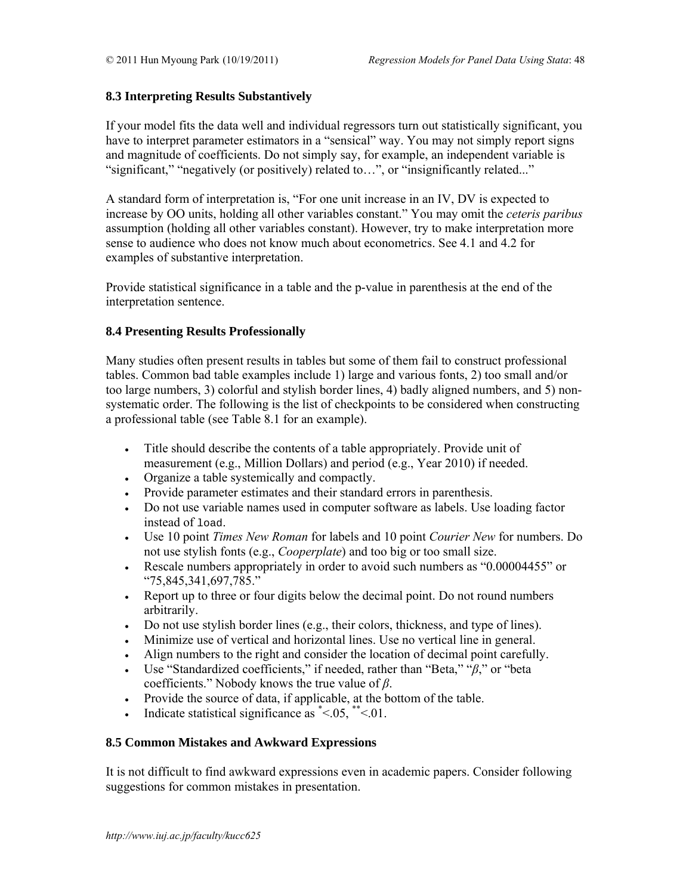# **8.3 Interpreting Results Substantively**

If your model fits the data well and individual regressors turn out statistically significant, you have to interpret parameter estimators in a "sensical" way. You may not simply report signs and magnitude of coefficients. Do not simply say, for example, an independent variable is "significant," "negatively (or positively) related to…", or "insignificantly related..."

A standard form of interpretation is, "For one unit increase in an IV, DV is expected to increase by OO units, holding all other variables constant." You may omit the *ceteris paribus* assumption (holding all other variables constant). However, try to make interpretation more sense to audience who does not know much about econometrics. See 4.1 and 4.2 for examples of substantive interpretation.

Provide statistical significance in a table and the p-value in parenthesis at the end of the interpretation sentence.

# **8.4 Presenting Results Professionally**

Many studies often present results in tables but some of them fail to construct professional tables. Common bad table examples include 1) large and various fonts, 2) too small and/or too large numbers, 3) colorful and stylish border lines, 4) badly aligned numbers, and 5) nonsystematic order. The following is the list of checkpoints to be considered when constructing a professional table (see Table 8.1 for an example).

- Title should describe the contents of a table appropriately. Provide unit of measurement (e.g., Million Dollars) and period (e.g., Year 2010) if needed.
- Organize a table systemically and compactly.
- Provide parameter estimates and their standard errors in parenthesis.
- Do not use variable names used in computer software as labels. Use loading factor instead of load.
- Use 10 point *Times New Roman* for labels and 10 point *Courier New* for numbers. Do not use stylish fonts (e.g., *Cooperplate*) and too big or too small size.
- Rescale numbers appropriately in order to avoid such numbers as "0.00004455" or "75,845,341,697,785."
- Report up to three or four digits below the decimal point. Do not round numbers arbitrarily.
- Do not use stylish border lines (e.g., their colors, thickness, and type of lines).
- Minimize use of vertical and horizontal lines. Use no vertical line in general.
- Align numbers to the right and consider the location of decimal point carefully.
- Use "Standardized coefficients," if needed, rather than "Beta," "*β*," or "beta coefficients." Nobody knows the true value of *β*.
- Provide the source of data, if applicable, at the bottom of the table.
- Indicate statistical significance as  $* < 0.05$ ,  $* < 0.01$ .

# **8.5 Common Mistakes and Awkward Expressions**

It is not difficult to find awkward expressions even in academic papers. Consider following suggestions for common mistakes in presentation.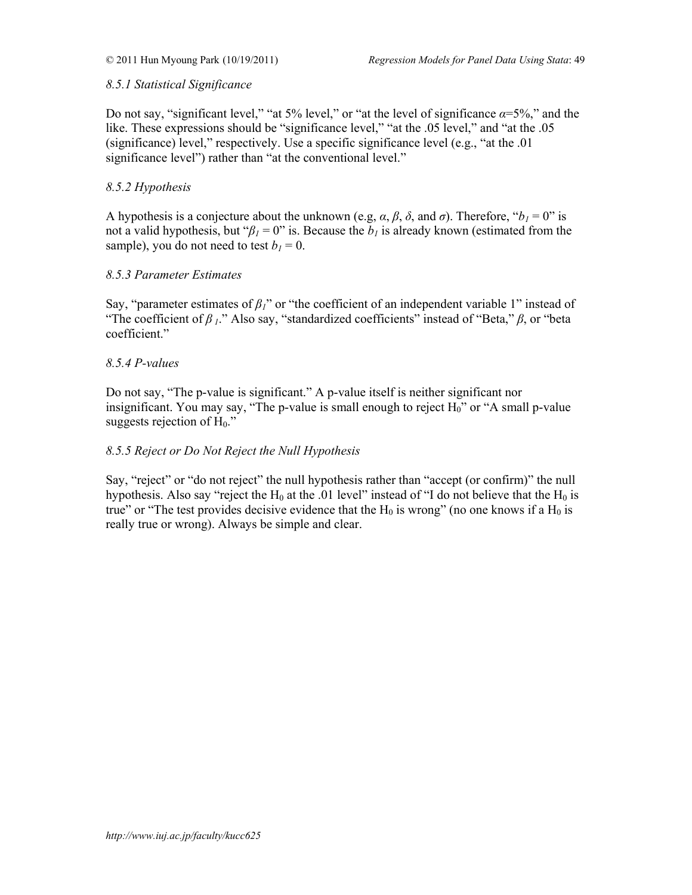# *8.5.1 Statistical Significance*

Do not say, "significant level," "at 5% level," or "at the level of significance  $\alpha = 5\%$ ," and the like. These expressions should be "significance level," "at the .05 level," and "at the .05 (significance) level," respectively. Use a specific significance level (e.g., "at the .01 significance level") rather than "at the conventional level."

# *8.5.2 Hypothesis*

A hypothesis is a conjecture about the unknown (e.g,  $\alpha$ ,  $\beta$ ,  $\delta$ , and  $\sigma$ ). Therefore, " $b_1 = 0$ " is not a valid hypothesis, but " $\beta_l = 0$ " is. Because the  $b_l$  is already known (estimated from the sample), you do not need to test  $b_1 = 0$ .

# *8.5.3 Parameter Estimates*

Say, "parameter estimates of  $\beta_l$ " or "the coefficient of an independent variable 1" instead of "The coefficient of *β 1*." Also say, "standardized coefficients" instead of "Beta," *β*, or "beta coefficient."

# *8.5.4 P-values*

Do not say, "The p-value is significant." A p-value itself is neither significant nor insignificant. You may say, "The p-value is small enough to reject  $H_0$ " or "A small p-value suggests rejection of  $H_0$ ."

# *8.5.5 Reject or Do Not Reject the Null Hypothesis*

Say, "reject" or "do not reject" the null hypothesis rather than "accept (or confirm)" the null hypothesis. Also say "reject the  $H_0$  at the .01 level" instead of "I do not believe that the  $H_0$  is true" or "The test provides decisive evidence that the  $H_0$  is wrong" (no one knows if a  $H_0$  is really true or wrong). Always be simple and clear.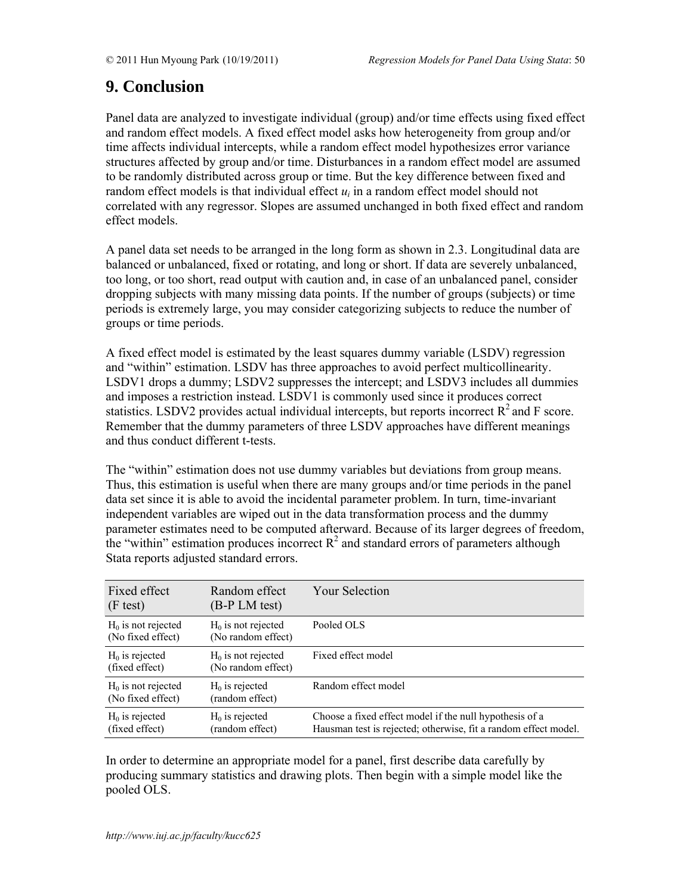# **9. Conclusion**

Panel data are analyzed to investigate individual (group) and/or time effects using fixed effect and random effect models. A fixed effect model asks how heterogeneity from group and/or time affects individual intercepts, while a random effect model hypothesizes error variance structures affected by group and/or time. Disturbances in a random effect model are assumed to be randomly distributed across group or time. But the key difference between fixed and random effect models is that individual effect  $u_i$  in a random effect model should not correlated with any regressor. Slopes are assumed unchanged in both fixed effect and random effect models.

A panel data set needs to be arranged in the long form as shown in 2.3. Longitudinal data are balanced or unbalanced, fixed or rotating, and long or short. If data are severely unbalanced, too long, or too short, read output with caution and, in case of an unbalanced panel, consider dropping subjects with many missing data points. If the number of groups (subjects) or time periods is extremely large, you may consider categorizing subjects to reduce the number of groups or time periods.

A fixed effect model is estimated by the least squares dummy variable (LSDV) regression and "within" estimation. LSDV has three approaches to avoid perfect multicollinearity. LSDV1 drops a dummy; LSDV2 suppresses the intercept; and LSDV3 includes all dummies and imposes a restriction instead. LSDV1 is commonly used since it produces correct statistics. LSDV2 provides actual individual intercepts, but reports incorrect  $R^2$  and F score. Remember that the dummy parameters of three LSDV approaches have different meanings and thus conduct different t-tests.

The "within" estimation does not use dummy variables but deviations from group means. Thus, this estimation is useful when there are many groups and/or time periods in the panel data set since it is able to avoid the incidental parameter problem. In turn, time-invariant independent variables are wiped out in the data transformation process and the dummy parameter estimates need to be computed afterward. Because of its larger degrees of freedom, the "within" estimation produces incorrect  $R^2$  and standard errors of parameters although Stata reports adjusted standard errors.

| Fixed effect<br>(F test)                   | Random effect<br>(B-P LM test)             | <b>Your Selection</b>                                                                                                      |
|--------------------------------------------|--------------------------------------------|----------------------------------------------------------------------------------------------------------------------------|
| $H_0$ is not rejected<br>(No fixed effect) | $H0$ is not rejected<br>(No random effect) | Pooled OLS                                                                                                                 |
| $H_0$ is rejected<br>(fixed effect)        | $H0$ is not rejected<br>(No random effect) | Fixed effect model                                                                                                         |
| $H_0$ is not rejected<br>(No fixed effect) | $H_0$ is rejected<br>(random effect)       | Random effect model                                                                                                        |
| $H0$ is rejected<br>(fixed effect)         | $H_0$ is rejected<br>(random effect)       | Choose a fixed effect model if the null hypothesis of a<br>Hausman test is rejected; otherwise, fit a random effect model. |

In order to determine an appropriate model for a panel, first describe data carefully by producing summary statistics and drawing plots. Then begin with a simple model like the pooled OLS.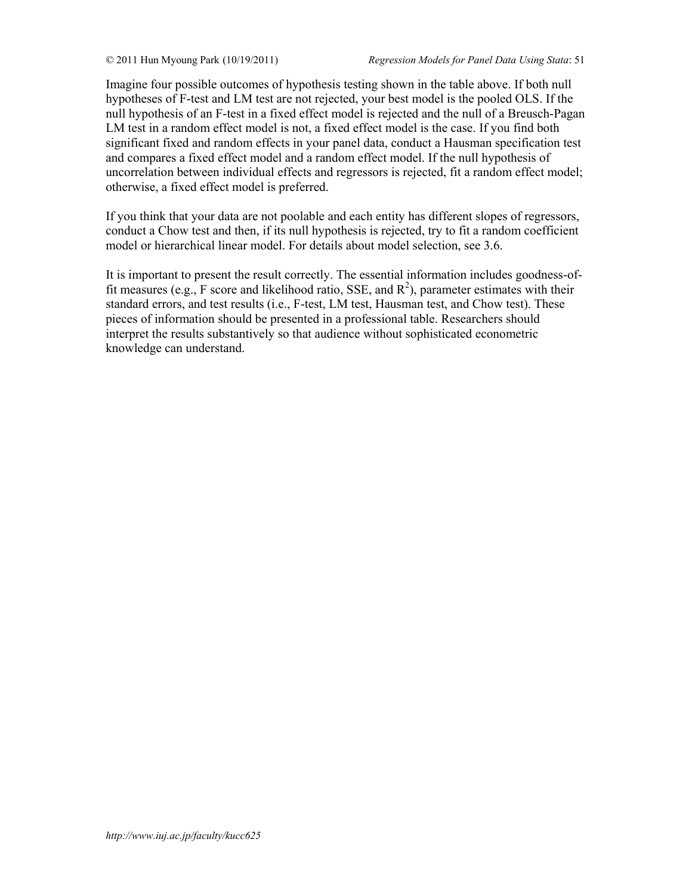Imagine four possible outcomes of hypothesis testing shown in the table above. If both null hypotheses of F-test and LM test are not rejected, your best model is the pooled OLS. If the null hypothesis of an F-test in a fixed effect model is rejected and the null of a Breusch-Pagan LM test in a random effect model is not, a fixed effect model is the case. If you find both significant fixed and random effects in your panel data, conduct a Hausman specification test and compares a fixed effect model and a random effect model. If the null hypothesis of uncorrelation between individual effects and regressors is rejected, fit a random effect model; otherwise, a fixed effect model is preferred.

If you think that your data are not poolable and each entity has different slopes of regressors, conduct a Chow test and then, if its null hypothesis is rejected, try to fit a random coefficient model or hierarchical linear model. For details about model selection, see 3.6.

It is important to present the result correctly. The essential information includes goodness-offit measures (e.g., F score and likelihood ratio, SSE, and  $R^2$ ), parameter estimates with their standard errors, and test results (i.e., F-test, LM test, Hausman test, and Chow test). These pieces of information should be presented in a professional table. Researchers should interpret the results substantively so that audience without sophisticated econometric knowledge can understand.